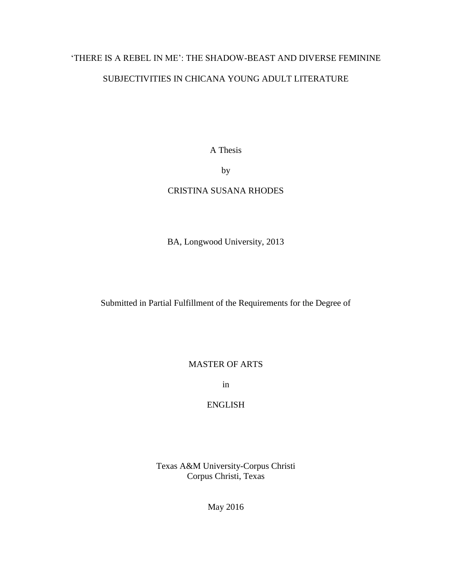# 'THERE IS A REBEL IN ME': THE SHADOW-BEAST AND DIVERSE FEMININE

# SUBJECTIVITIES IN CHICANA YOUNG ADULT LITERATURE

A Thesis

by

# CRISTINA SUSANA RHODES

BA, Longwood University, 2013

Submitted in Partial Fulfillment of the Requirements for the Degree of

MASTER OF ARTS

in

# ENGLISH

Texas A&M University-Corpus Christi Corpus Christi, Texas

May 2016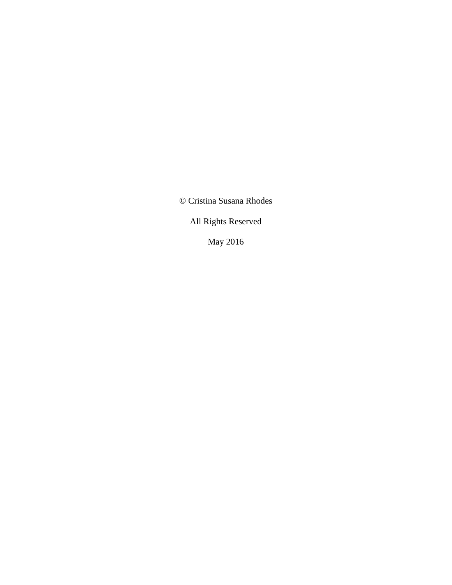© Cristina Susana Rhodes

All Rights Reserved

May 2016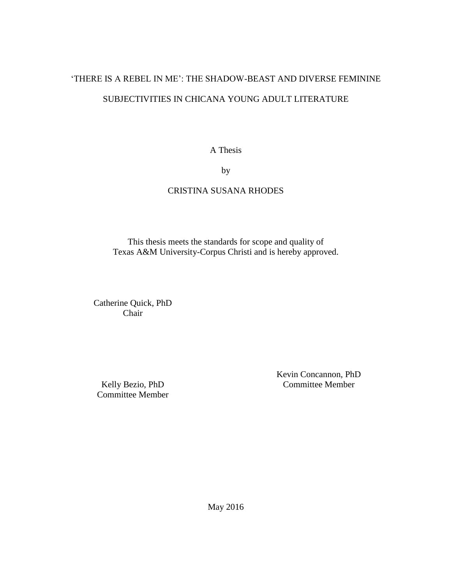# 'THERE IS A REBEL IN ME': THE SHADOW-BEAST AND DIVERSE FEMININE SUBJECTIVITIES IN CHICANA YOUNG ADULT LITERATURE

A Thesis

by

# CRISTINA SUSANA RHODES

This thesis meets the standards for scope and quality of Texas A&M University-Corpus Christi and is hereby approved.

Catherine Quick, PhD Chair

Kelly Bezio, PhD Committee Member Kevin Concannon, PhD Committee Member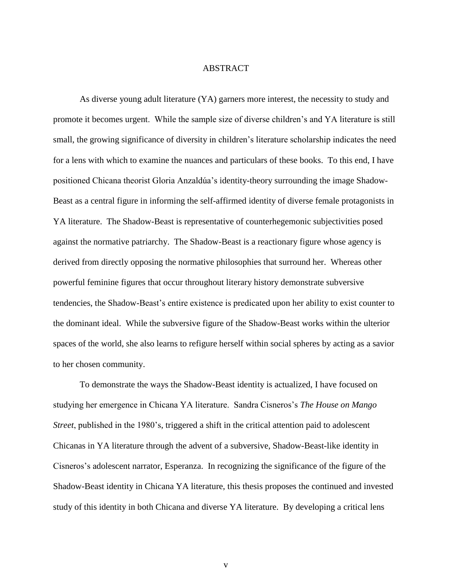## ABSTRACT

As diverse young adult literature (YA) garners more interest, the necessity to study and promote it becomes urgent. While the sample size of diverse children's and YA literature is still small, the growing significance of diversity in children's literature scholarship indicates the need for a lens with which to examine the nuances and particulars of these books. To this end, I have positioned Chicana theorist Gloria Anzaldúa's identity-theory surrounding the image Shadow-Beast as a central figure in informing the self-affirmed identity of diverse female protagonists in YA literature. The Shadow-Beast is representative of counterhegemonic subjectivities posed against the normative patriarchy. The Shadow-Beast is a reactionary figure whose agency is derived from directly opposing the normative philosophies that surround her. Whereas other powerful feminine figures that occur throughout literary history demonstrate subversive tendencies, the Shadow-Beast's entire existence is predicated upon her ability to exist counter to the dominant ideal. While the subversive figure of the Shadow-Beast works within the ulterior spaces of the world, she also learns to refigure herself within social spheres by acting as a savior to her chosen community.

To demonstrate the ways the Shadow-Beast identity is actualized, I have focused on studying her emergence in Chicana YA literature. Sandra Cisneros's *The House on Mango Street*, published in the 1980's, triggered a shift in the critical attention paid to adolescent Chicanas in YA literature through the advent of a subversive, Shadow-Beast-like identity in Cisneros's adolescent narrator, Esperanza. In recognizing the significance of the figure of the Shadow-Beast identity in Chicana YA literature, this thesis proposes the continued and invested study of this identity in both Chicana and diverse YA literature. By developing a critical lens

v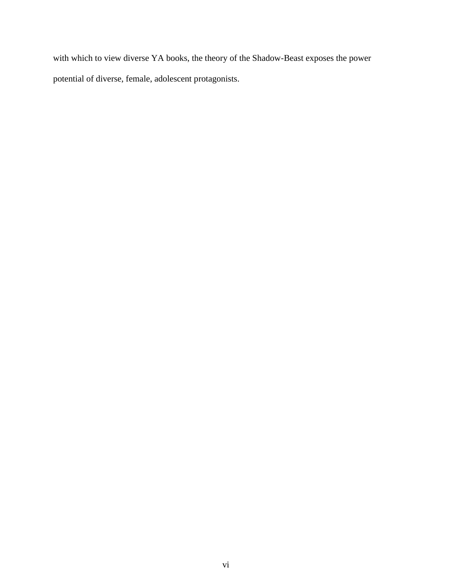with which to view diverse YA books, the theory of the Shadow-Beast exposes the power potential of diverse, female, adolescent protagonists.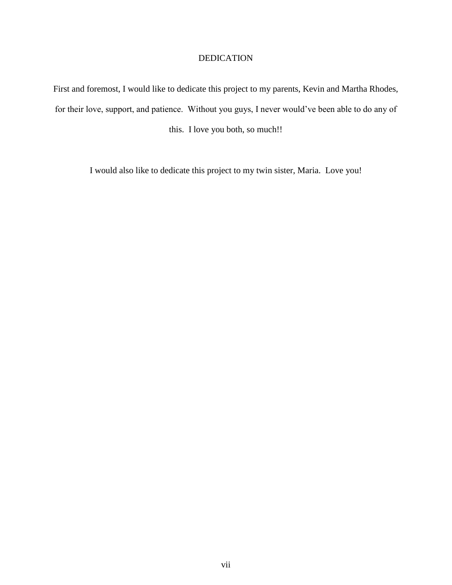# DEDICATION

First and foremost, I would like to dedicate this project to my parents, Kevin and Martha Rhodes, for their love, support, and patience. Without you guys, I never would've been able to do any of

this. I love you both, so much!!

I would also like to dedicate this project to my twin sister, Maria. Love you!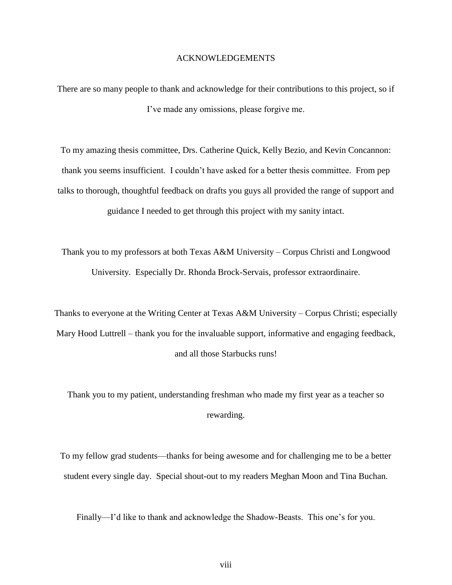# ACKNOWLEDGEMENTS

There are so many people to thank and acknowledge for their contributions to this project, so if I've made any omissions, please forgive me.

To my amazing thesis committee, Drs. Catherine Quick, Kelly Bezio, and Kevin Concannon: thank you seems insufficient. I couldn't have asked for a better thesis committee. From pep talks to thorough, thoughtful feedback on drafts you guys all provided the range of support and guidance I needed to get through this project with my sanity intact.

Thank you to my professors at both Texas A&M University – Corpus Christi and Longwood University. Especially Dr. Rhonda Brock-Servais, professor extraordinaire.

Thanks to everyone at the Writing Center at Texas A&M University – Corpus Christi; especially Mary Hood Luttrell – thank you for the invaluable support, informative and engaging feedback, and all those Starbucks runs!

Thank you to my patient, understanding freshman who made my first year as a teacher so rewarding.

To my fellow grad students—thanks for being awesome and for challenging me to be a better student every single day. Special shout-out to my readers Meghan Moon and Tina Buchan.

Finally—I'd like to thank and acknowledge the Shadow-Beasts. This one's for you.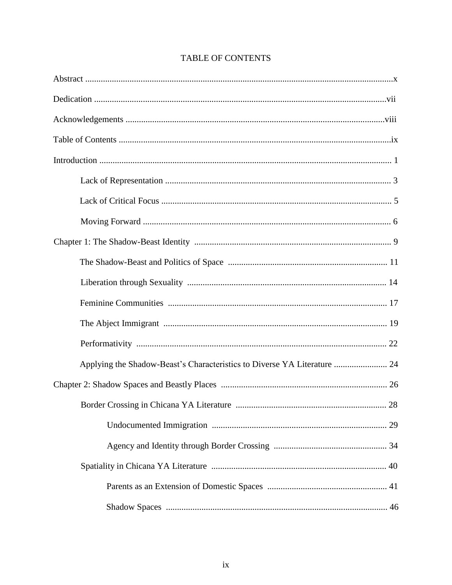| Applying the Shadow-Beast's Characteristics to Diverse YA Literature  24 |
|--------------------------------------------------------------------------|
|                                                                          |
|                                                                          |
|                                                                          |
|                                                                          |
|                                                                          |
|                                                                          |
|                                                                          |

# **TABLE OF CONTENTS**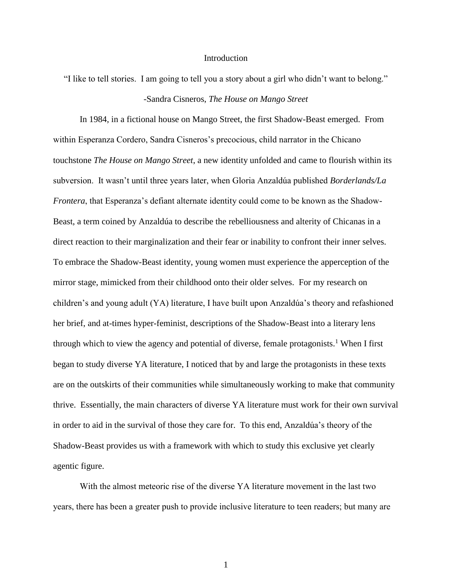#### Introduction

"I like to tell stories. I am going to tell you a story about a girl who didn't want to belong." -Sandra Cisneros, *The House on Mango Street*

In 1984, in a fictional house on Mango Street, the first Shadow-Beast emerged. From within Esperanza Cordero, Sandra Cisneros's precocious, child narrator in the Chicano touchstone *The House on Mango Street*, a new identity unfolded and came to flourish within its subversion. It wasn't until three years later, when Gloria Anzaldúa published *Borderlands/La Frontera*, that Esperanza's defiant alternate identity could come to be known as the Shadow-Beast, a term coined by Anzaldúa to describe the rebelliousness and alterity of Chicanas in a direct reaction to their marginalization and their fear or inability to confront their inner selves. To embrace the Shadow-Beast identity, young women must experience the apperception of the mirror stage, mimicked from their childhood onto their older selves. For my research on children's and young adult (YA) literature, I have built upon Anzaldúa's theory and refashioned her brief, and at-times hyper-feminist, descriptions of the Shadow-Beast into a literary lens through which to view the agency and potential of diverse, female protagonists.<sup>1</sup> When I first began to study diverse YA literature, I noticed that by and large the protagonists in these texts are on the outskirts of their communities while simultaneously working to make that community thrive. Essentially, the main characters of diverse YA literature must work for their own survival in order to aid in the survival of those they care for. To this end, Anzaldúa's theory of the Shadow-Beast provides us with a framework with which to study this exclusive yet clearly agentic figure.

With the almost meteoric rise of the diverse YA literature movement in the last two years, there has been a greater push to provide inclusive literature to teen readers; but many are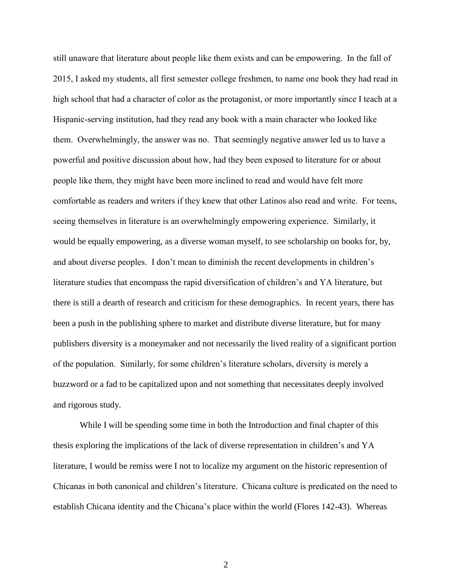still unaware that literature about people like them exists and can be empowering. In the fall of 2015, I asked my students, all first semester college freshmen, to name one book they had read in high school that had a character of color as the protagonist, or more importantly since I teach at a Hispanic-serving institution, had they read any book with a main character who looked like them. Overwhelmingly, the answer was no. That seemingly negative answer led us to have a powerful and positive discussion about how, had they been exposed to literature for or about people like them, they might have been more inclined to read and would have felt more comfortable as readers and writers if they knew that other Latinos also read and write. For teens, seeing themselves in literature is an overwhelmingly empowering experience. Similarly, it would be equally empowering, as a diverse woman myself, to see scholarship on books for, by, and about diverse peoples. I don't mean to diminish the recent developments in children's literature studies that encompass the rapid diversification of children's and YA literature, but there is still a dearth of research and criticism for these demographics. In recent years, there has been a push in the publishing sphere to market and distribute diverse literature, but for many publishers diversity is a moneymaker and not necessarily the lived reality of a significant portion of the population. Similarly, for some children's literature scholars, diversity is merely a buzzword or a fad to be capitalized upon and not something that necessitates deeply involved and rigorous study.

While I will be spending some time in both the Introduction and final chapter of this thesis exploring the implications of the lack of diverse representation in children's and YA literature, I would be remiss were I not to localize my argument on the historic represention of Chicanas in both canonical and children's literature. Chicana culture is predicated on the need to establish Chicana identity and the Chicana's place within the world (Flores 142-43). Whereas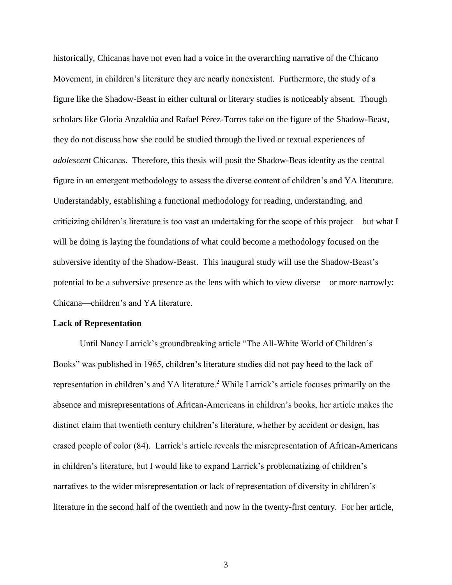historically, Chicanas have not even had a voice in the overarching narrative of the Chicano Movement, in children's literature they are nearly nonexistent. Furthermore, the study of a figure like the Shadow-Beast in either cultural or literary studies is noticeably absent. Though scholars like Gloria Anzaldúa and Rafael Pérez-Torres take on the figure of the Shadow-Beast, they do not discuss how she could be studied through the lived or textual experiences of *adolescent* Chicanas. Therefore, this thesis will posit the Shadow-Beas identity as the central figure in an emergent methodology to assess the diverse content of children's and YA literature. Understandably, establishing a functional methodology for reading, understanding, and criticizing children's literature is too vast an undertaking for the scope of this project—but what I will be doing is laying the foundations of what could become a methodology focused on the subversive identity of the Shadow-Beast. This inaugural study will use the Shadow-Beast's potential to be a subversive presence as the lens with which to view diverse—or more narrowly: Chicana—children's and YA literature.

#### **Lack of Representation**

Until Nancy Larrick's groundbreaking article "The All-White World of Children's Books" was published in 1965, children's literature studies did not pay heed to the lack of representation in children's and YA literature.<sup>2</sup> While Larrick's article focuses primarily on the absence and misrepresentations of African-Americans in children's books, her article makes the distinct claim that twentieth century children's literature, whether by accident or design, has erased people of color (84). Larrick's article reveals the misrepresentation of African-Americans in children's literature, but I would like to expand Larrick's problematizing of children's narratives to the wider misrepresentation or lack of representation of diversity in children's literature in the second half of the twentieth and now in the twenty-first century. For her article,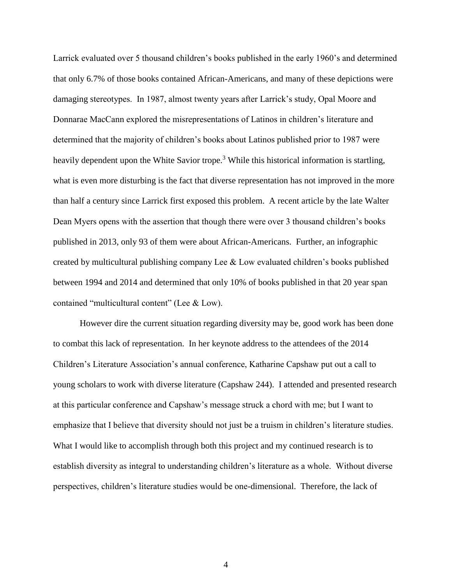Larrick evaluated over 5 thousand children's books published in the early 1960's and determined that only 6.7% of those books contained African-Americans, and many of these depictions were damaging stereotypes. In 1987, almost twenty years after Larrick's study, Opal Moore and Donnarae MacCann explored the misrepresentations of Latinos in children's literature and determined that the majority of children's books about Latinos published prior to 1987 were heavily dependent upon the White Savior trope.<sup>3</sup> While this historical information is startling, what is even more disturbing is the fact that diverse representation has not improved in the more than half a century since Larrick first exposed this problem. A recent article by the late Walter Dean Myers opens with the assertion that though there were over 3 thousand children's books published in 2013, only 93 of them were about African-Americans. Further, an infographic created by multicultural publishing company Lee & Low evaluated children's books published between 1994 and 2014 and determined that only 10% of books published in that 20 year span contained "multicultural content" (Lee & Low).

However dire the current situation regarding diversity may be, good work has been done to combat this lack of representation. In her keynote address to the attendees of the 2014 Children's Literature Association's annual conference, Katharine Capshaw put out a call to young scholars to work with diverse literature (Capshaw 244). I attended and presented research at this particular conference and Capshaw's message struck a chord with me; but I want to emphasize that I believe that diversity should not just be a truism in children's literature studies. What I would like to accomplish through both this project and my continued research is to establish diversity as integral to understanding children's literature as a whole. Without diverse perspectives, children's literature studies would be one-dimensional. Therefore, the lack of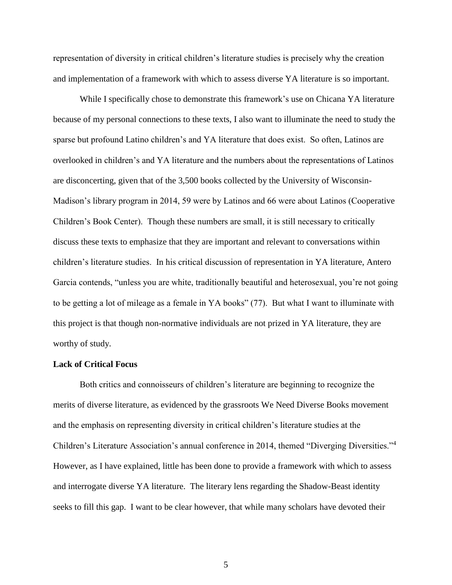representation of diversity in critical children's literature studies is precisely why the creation and implementation of a framework with which to assess diverse YA literature is so important.

While I specifically chose to demonstrate this framework's use on Chicana YA literature because of my personal connections to these texts, I also want to illuminate the need to study the sparse but profound Latino children's and YA literature that does exist. So often, Latinos are overlooked in children's and YA literature and the numbers about the representations of Latinos are disconcerting, given that of the 3,500 books collected by the University of Wisconsin-Madison's library program in 2014, 59 were by Latinos and 66 were about Latinos (Cooperative Children's Book Center). Though these numbers are small, it is still necessary to critically discuss these texts to emphasize that they are important and relevant to conversations within children's literature studies. In his critical discussion of representation in YA literature, Antero Garcia contends, "unless you are white, traditionally beautiful and heterosexual, you're not going to be getting a lot of mileage as a female in YA books" (77). But what I want to illuminate with this project is that though non-normative individuals are not prized in YA literature, they are worthy of study.

## **Lack of Critical Focus**

Both critics and connoisseurs of children's literature are beginning to recognize the merits of diverse literature, as evidenced by the grassroots We Need Diverse Books movement and the emphasis on representing diversity in critical children's literature studies at the Children's Literature Association's annual conference in 2014, themed "Diverging Diversities."<sup>4</sup> However, as I have explained, little has been done to provide a framework with which to assess and interrogate diverse YA literature. The literary lens regarding the Shadow-Beast identity seeks to fill this gap. I want to be clear however, that while many scholars have devoted their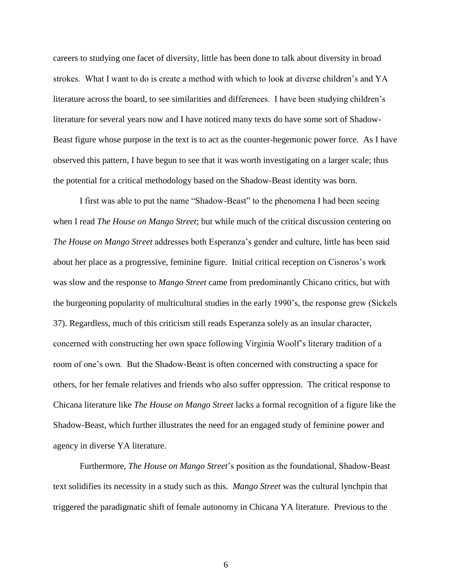careers to studying one facet of diversity, little has been done to talk about diversity in broad strokes. What I want to do is create a method with which to look at diverse children's and YA literature across the board, to see similarities and differences. I have been studying children's literature for several years now and I have noticed many texts do have some sort of Shadow-Beast figure whose purpose in the text is to act as the counter-hegemonic power force. As I have observed this pattern, I have begun to see that it was worth investigating on a larger scale; thus the potential for a critical methodology based on the Shadow-Beast identity was born.

I first was able to put the name "Shadow-Beast" to the phenomena I had been seeing when I read *The House on Mango Street*; but while much of the critical discussion centering on *The House on Mango Street* addresses both Esperanza's gender and culture, little has been said about her place as a progressive, feminine figure. Initial critical reception on Cisneros's work was slow and the response to *Mango Street* came from predominantly Chicano critics, but with the burgeoning popularity of multicultural studies in the early 1990's, the response grew (Sickels 37). Regardless, much of this criticism still reads Esperanza solely as an insular character, concerned with constructing her own space following Virginia Woolf's literary tradition of a room of one's own. But the Shadow-Beast is often concerned with constructing a space for others, for her female relatives and friends who also suffer oppression. The critical response to Chicana literature like *The House on Mango Street* lacks a formal recognition of a figure like the Shadow-Beast, which further illustrates the need for an engaged study of feminine power and agency in diverse YA literature.

Furthermore, *The House on Mango Street*'s position as the foundational, Shadow-Beast text solidifies its necessity in a study such as this. *Mango Street* was the cultural lynchpin that triggered the paradigmatic shift of female autonomy in Chicana YA literature. Previous to the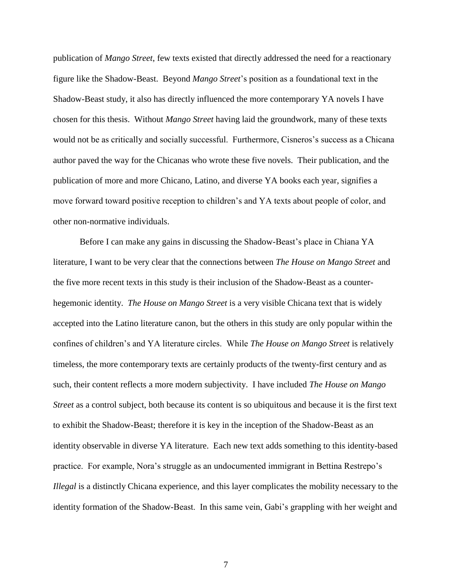publication of *Mango Street*, few texts existed that directly addressed the need for a reactionary figure like the Shadow-Beast. Beyond *Mango Street*'s position as a foundational text in the Shadow-Beast study, it also has directly influenced the more contemporary YA novels I have chosen for this thesis. Without *Mango Street* having laid the groundwork, many of these texts would not be as critically and socially successful. Furthermore, Cisneros's success as a Chicana author paved the way for the Chicanas who wrote these five novels. Their publication, and the publication of more and more Chicano, Latino, and diverse YA books each year, signifies a move forward toward positive reception to children's and YA texts about people of color, and other non-normative individuals.

Before I can make any gains in discussing the Shadow-Beast's place in Chiana YA literature, I want to be very clear that the connections between *The House on Mango Street* and the five more recent texts in this study is their inclusion of the Shadow-Beast as a counterhegemonic identity. *The House on Mango Street* is a very visible Chicana text that is widely accepted into the Latino literature canon, but the others in this study are only popular within the confines of children's and YA literature circles. While *The House on Mango Street* is relatively timeless, the more contemporary texts are certainly products of the twenty-first century and as such, their content reflects a more modern subjectivity. I have included *The House on Mango Street* as a control subject, both because its content is so ubiquitous and because it is the first text to exhibit the Shadow-Beast; therefore it is key in the inception of the Shadow-Beast as an identity observable in diverse YA literature. Each new text adds something to this identity-based practice. For example, Nora's struggle as an undocumented immigrant in Bettina Restrepo's *Illegal* is a distinctly Chicana experience, and this layer complicates the mobility necessary to the identity formation of the Shadow-Beast. In this same vein, Gabi's grappling with her weight and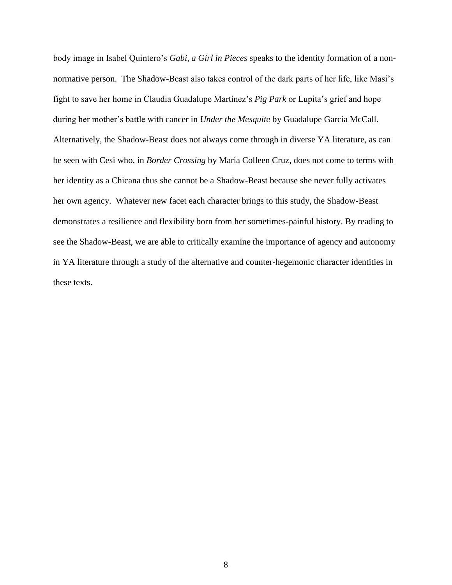body image in Isabel Quintero's *Gabi, a Girl in Pieces* speaks to the identity formation of a nonnormative person. The Shadow-Beast also takes control of the dark parts of her life, like Masi's fight to save her home in Claudia Guadalupe Martínez's *Pig Park* or Lupita's grief and hope during her mother's battle with cancer in *Under the Mesquite* by Guadalupe Garcia McCall. Alternatively, the Shadow-Beast does not always come through in diverse YA literature, as can be seen with Cesi who, in *Border Crossing* by Maria Colleen Cruz, does not come to terms with her identity as a Chicana thus she cannot be a Shadow-Beast because she never fully activates her own agency. Whatever new facet each character brings to this study, the Shadow-Beast demonstrates a resilience and flexibility born from her sometimes-painful history. By reading to see the Shadow-Beast, we are able to critically examine the importance of agency and autonomy in YA literature through a study of the alternative and counter-hegemonic character identities in these texts.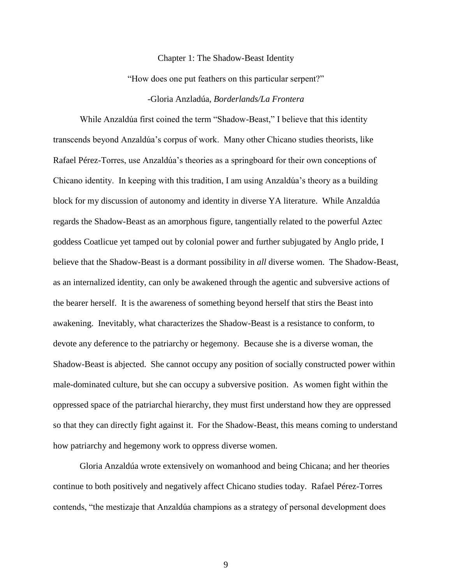#### Chapter 1: The Shadow-Beast Identity

"How does one put feathers on this particular serpent?"

## -Gloria Anzladúa, *Borderlands/La Frontera*

While Anzaldúa first coined the term "Shadow-Beast," I believe that this identity transcends beyond Anzaldúa's corpus of work. Many other Chicano studies theorists, like Rafael Pérez-Torres, use Anzaldúa's theories as a springboard for their own conceptions of Chicano identity. In keeping with this tradition, I am using Anzaldúa's theory as a building block for my discussion of autonomy and identity in diverse YA literature. While Anzaldúa regards the Shadow-Beast as an amorphous figure, tangentially related to the powerful Aztec goddess Coatlicue yet tamped out by colonial power and further subjugated by Anglo pride, I believe that the Shadow-Beast is a dormant possibility in *all* diverse women. The Shadow-Beast, as an internalized identity, can only be awakened through the agentic and subversive actions of the bearer herself. It is the awareness of something beyond herself that stirs the Beast into awakening. Inevitably, what characterizes the Shadow-Beast is a resistance to conform, to devote any deference to the patriarchy or hegemony. Because she is a diverse woman, the Shadow-Beast is abjected. She cannot occupy any position of socially constructed power within male-dominated culture, but she can occupy a subversive position. As women fight within the oppressed space of the patriarchal hierarchy, they must first understand how they are oppressed so that they can directly fight against it. For the Shadow-Beast, this means coming to understand how patriarchy and hegemony work to oppress diverse women.

Gloria Anzaldúa wrote extensively on womanhood and being Chicana; and her theories continue to both positively and negatively affect Chicano studies today. Rafael Pérez-Torres contends, "the mestizaje that Anzaldúa champions as a strategy of personal development does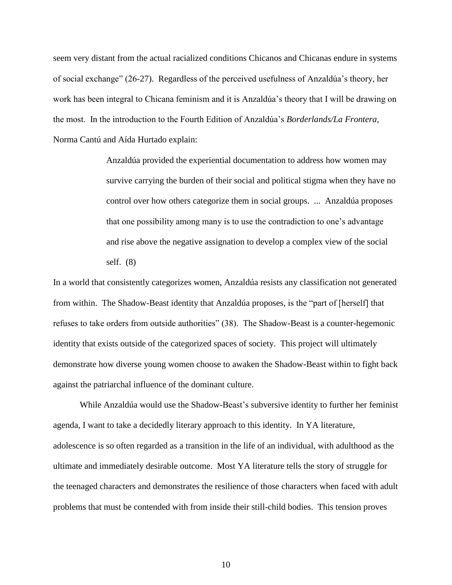seem very distant from the actual racialized conditions Chicanos and Chicanas endure in systems of social exchange" (26-27). Regardless of the perceived usefulness of Anzaldúa's theory, her work has been integral to Chicana feminism and it is Anzaldúa's theory that I will be drawing on the most. In the introduction to the Fourth Edition of Anzaldúa's *Borderlands/La Frontera*, Norma Cantú and Aída Hurtado explain:

> Anzaldúa provided the experiential documentation to address how women may survive carrying the burden of their social and political stigma when they have no control over how others categorize them in social groups. ... Anzaldúa proposes that one possibility among many is to use the contradiction to one's advantage and rise above the negative assignation to develop a complex view of the social self. (8)

In a world that consistently categorizes women, Anzaldúa resists any classification not generated from within. The Shadow-Beast identity that Anzaldúa proposes, is the "part of [herself] that refuses to take orders from outside authorities" (38). The Shadow-Beast is a counter-hegemonic identity that exists outside of the categorized spaces of society. This project will ultimately demonstrate how diverse young women choose to awaken the Shadow-Beast within to fight back against the patriarchal influence of the dominant culture.

While Anzaldúa would use the Shadow-Beast's subversive identity to further her feminist agenda, I want to take a decidedly literary approach to this identity. In YA literature, adolescence is so often regarded as a transition in the life of an individual, with adulthood as the ultimate and immediately desirable outcome. Most YA literature tells the story of struggle for the teenaged characters and demonstrates the resilience of those characters when faced with adult problems that must be contended with from inside their still-child bodies. This tension proves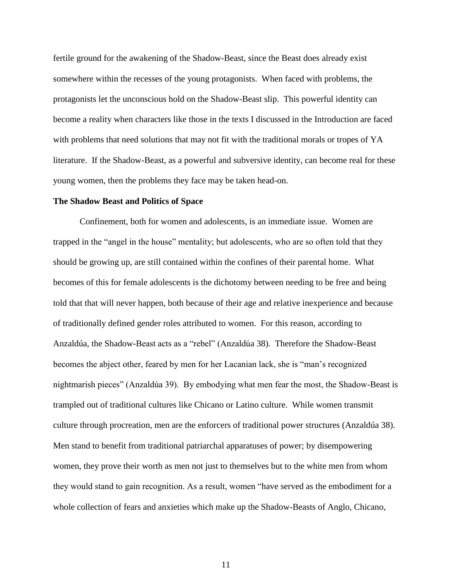fertile ground for the awakening of the Shadow-Beast, since the Beast does already exist somewhere within the recesses of the young protagonists. When faced with problems, the protagonists let the unconscious hold on the Shadow-Beast slip. This powerful identity can become a reality when characters like those in the texts I discussed in the Introduction are faced with problems that need solutions that may not fit with the traditional morals or tropes of YA literature. If the Shadow-Beast, as a powerful and subversive identity, can become real for these young women, then the problems they face may be taken head-on.

#### **The Shadow Beast and Politics of Space**

Confinement, both for women and adolescents, is an immediate issue. Women are trapped in the "angel in the house" mentality; but adolescents, who are so often told that they should be growing up, are still contained within the confines of their parental home. What becomes of this for female adolescents is the dichotomy between needing to be free and being told that that will never happen, both because of their age and relative inexperience and because of traditionally defined gender roles attributed to women. For this reason, according to Anzaldúa, the Shadow-Beast acts as a "rebel" (Anzaldúa 38). Therefore the Shadow-Beast becomes the abject other, feared by men for her Lacanian lack, she is "man's recognized nightmarish pieces" (Anzaldúa 39). By embodying what men fear the most, the Shadow-Beast is trampled out of traditional cultures like Chicano or Latino culture. While women transmit culture through procreation, men are the enforcers of traditional power structures (Anzaldúa 38). Men stand to benefit from traditional patriarchal apparatuses of power; by disempowering women, they prove their worth as men not just to themselves but to the white men from whom they would stand to gain recognition. As a result, women "have served as the embodiment for a whole collection of fears and anxieties which make up the Shadow-Beasts of Anglo, Chicano,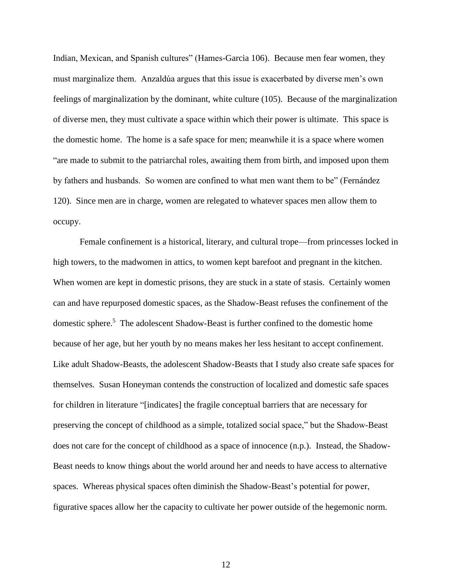Indian, Mexican, and Spanish cultures" (Hames-Garcia 106). Because men fear women, they must marginalize them. Anzaldúa argues that this issue is exacerbated by diverse men's own feelings of marginalization by the dominant, white culture (105). Because of the marginalization of diverse men, they must cultivate a space within which their power is ultimate. This space is the domestic home. The home is a safe space for men; meanwhile it is a space where women "are made to submit to the patriarchal roles, awaiting them from birth, and imposed upon them by fathers and husbands. So women are confined to what men want them to be" (Fernández 120). Since men are in charge, women are relegated to whatever spaces men allow them to occupy.

Female confinement is a historical, literary, and cultural trope—from princesses locked in high towers, to the madwomen in attics, to women kept barefoot and pregnant in the kitchen. When women are kept in domestic prisons, they are stuck in a state of stasis. Certainly women can and have repurposed domestic spaces, as the Shadow-Beast refuses the confinement of the domestic sphere.<sup>5</sup> The adolescent Shadow-Beast is further confined to the domestic home because of her age, but her youth by no means makes her less hesitant to accept confinement. Like adult Shadow-Beasts, the adolescent Shadow-Beasts that I study also create safe spaces for themselves. Susan Honeyman contends the construction of localized and domestic safe spaces for children in literature "[indicates] the fragile conceptual barriers that are necessary for preserving the concept of childhood as a simple, totalized social space," but the Shadow-Beast does not care for the concept of childhood as a space of innocence (n.p.). Instead, the Shadow-Beast needs to know things about the world around her and needs to have access to alternative spaces. Whereas physical spaces often diminish the Shadow-Beast's potential for power, figurative spaces allow her the capacity to cultivate her power outside of the hegemonic norm.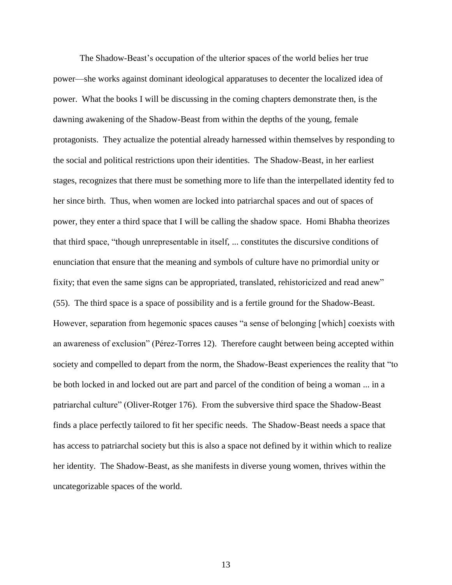The Shadow-Beast's occupation of the ulterior spaces of the world belies her true power—she works against dominant ideological apparatuses to decenter the localized idea of power. What the books I will be discussing in the coming chapters demonstrate then, is the dawning awakening of the Shadow-Beast from within the depths of the young, female protagonists. They actualize the potential already harnessed within themselves by responding to the social and political restrictions upon their identities. The Shadow-Beast, in her earliest stages, recognizes that there must be something more to life than the interpellated identity fed to her since birth. Thus, when women are locked into patriarchal spaces and out of spaces of power, they enter a third space that I will be calling the shadow space. Homi Bhabha theorizes that third space, "though unrepresentable in itself, ... constitutes the discursive conditions of enunciation that ensure that the meaning and symbols of culture have no primordial unity or fixity; that even the same signs can be appropriated, translated, rehistoricized and read anew" (55). The third space is a space of possibility and is a fertile ground for the Shadow-Beast. However, separation from hegemonic spaces causes "a sense of belonging [which] coexists with an awareness of exclusion" (Pérez-Torres 12). Therefore caught between being accepted within society and compelled to depart from the norm, the Shadow-Beast experiences the reality that "to be both locked in and locked out are part and parcel of the condition of being a woman ... in a patriarchal culture" (Oliver-Rotger 176). From the subversive third space the Shadow-Beast finds a place perfectly tailored to fit her specific needs. The Shadow-Beast needs a space that has access to patriarchal society but this is also a space not defined by it within which to realize her identity. The Shadow-Beast, as she manifests in diverse young women, thrives within the uncategorizable spaces of the world.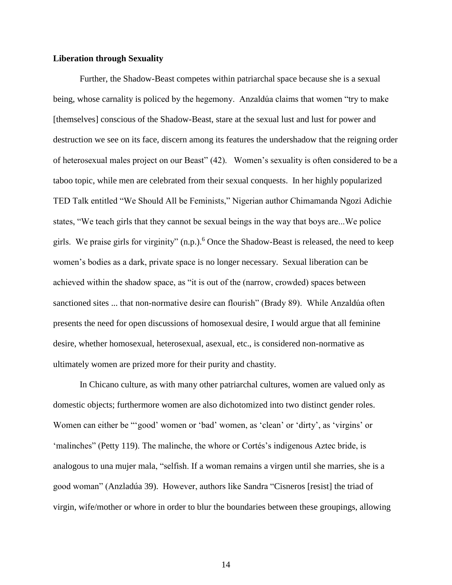## **Liberation through Sexuality**

Further, the Shadow-Beast competes within patriarchal space because she is a sexual being, whose carnality is policed by the hegemony. Anzaldúa claims that women "try to make [themselves] conscious of the Shadow-Beast, stare at the sexual lust and lust for power and destruction we see on its face, discern among its features the undershadow that the reigning order of heterosexual males project on our Beast" (42). Women's sexuality is often considered to be a taboo topic, while men are celebrated from their sexual conquests. In her highly popularized TED Talk entitled "We Should All be Feminists," Nigerian author Chimamanda Ngozi Adichie states, "We teach girls that they cannot be sexual beings in the way that boys are...We police girls. We praise girls for virginity" (n.p.). <sup>6</sup> Once the Shadow-Beast is released, the need to keep women's bodies as a dark, private space is no longer necessary. Sexual liberation can be achieved within the shadow space, as "it is out of the (narrow, crowded) spaces between sanctioned sites ... that non-normative desire can flourish" (Brady 89). While Anzaldúa often presents the need for open discussions of homosexual desire, I would argue that all feminine desire, whether homosexual, heterosexual, asexual, etc., is considered non-normative as ultimately women are prized more for their purity and chastity.

In Chicano culture, as with many other patriarchal cultures, women are valued only as domestic objects; furthermore women are also dichotomized into two distinct gender roles. Women can either be "'good' women or 'bad' women, as 'clean' or 'dirty', as 'virgins' or 'malinches" (Petty 119). The malinche, the whore or Cortés's indigenous Aztec bride, is analogous to una mujer mala, "selfish. If a woman remains a virgen until she marries, she is a good woman" (Anzladúa 39). However, authors like Sandra "Cisneros [resist] the triad of virgin, wife/mother or whore in order to blur the boundaries between these groupings, allowing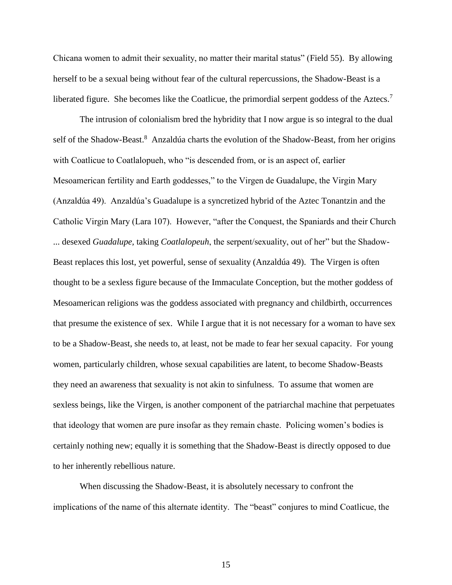Chicana women to admit their sexuality, no matter their marital status" (Field 55). By allowing herself to be a sexual being without fear of the cultural repercussions, the Shadow-Beast is a liberated figure. She becomes like the Coatlicue, the primordial serpent goddess of the Aztecs.<sup>7</sup>

The intrusion of colonialism bred the hybridity that I now argue is so integral to the dual self of the Shadow-Beast.<sup>8</sup> Anzaldúa charts the evolution of the Shadow-Beast, from her origins with Coatlicue to Coatlalopueh, who "is descended from, or is an aspect of, earlier Mesoamerican fertility and Earth goddesses," to the Virgen de Guadalupe, the Virgin Mary (Anzaldúa 49). Anzaldúa's Guadalupe is a syncretized hybrid of the Aztec Tonantzin and the Catholic Virgin Mary (Lara 107). However, "after the Conquest, the Spaniards and their Church ... desexed *Guadalupe,* taking *Coatlalopeuh*, the serpent/sexuality, out of her" but the Shadow-Beast replaces this lost, yet powerful, sense of sexuality (Anzaldúa 49). The Virgen is often thought to be a sexless figure because of the Immaculate Conception, but the mother goddess of Mesoamerican religions was the goddess associated with pregnancy and childbirth, occurrences that presume the existence of sex. While I argue that it is not necessary for a woman to have sex to be a Shadow-Beast, she needs to, at least, not be made to fear her sexual capacity. For young women, particularly children, whose sexual capabilities are latent, to become Shadow-Beasts they need an awareness that sexuality is not akin to sinfulness. To assume that women are sexless beings, like the Virgen, is another component of the patriarchal machine that perpetuates that ideology that women are pure insofar as they remain chaste. Policing women's bodies is certainly nothing new; equally it is something that the Shadow-Beast is directly opposed to due to her inherently rebellious nature.

When discussing the Shadow-Beast, it is absolutely necessary to confront the implications of the name of this alternate identity. The "beast" conjures to mind Coatlicue, the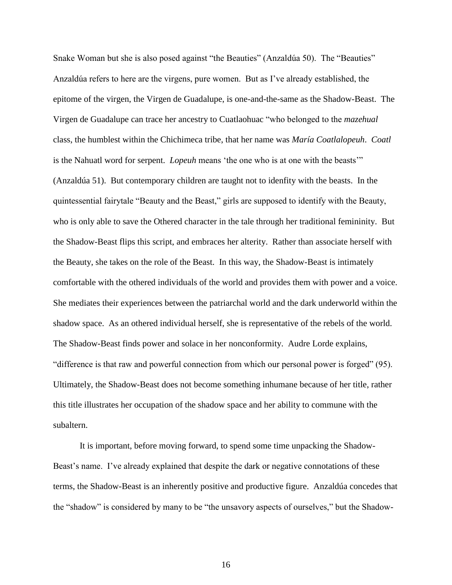Snake Woman but she is also posed against "the Beauties" (Anzaldúa 50). The "Beauties" Anzaldúa refers to here are the virgens, pure women. But as I've already established, the epitome of the virgen, the Virgen de Guadalupe, is one-and-the-same as the Shadow-Beast. The Virgen de Guadalupe can trace her ancestry to Cuatlaohuac "who belonged to the *mazehual* class, the humblest within the Chichimeca tribe, that her name was *María Coatlalopeuh*. *Coatl* is the Nahuatl word for serpent. *Lopeuh* means 'the one who is at one with the beasts'" (Anzaldúa 51). But contemporary children are taught not to idenfity with the beasts. In the quintessential fairytale "Beauty and the Beast," girls are supposed to identify with the Beauty, who is only able to save the Othered character in the tale through her traditional femininity. But the Shadow-Beast flips this script, and embraces her alterity. Rather than associate herself with the Beauty, she takes on the role of the Beast. In this way, the Shadow-Beast is intimately comfortable with the othered individuals of the world and provides them with power and a voice. She mediates their experiences between the patriarchal world and the dark underworld within the shadow space. As an othered individual herself, she is representative of the rebels of the world. The Shadow-Beast finds power and solace in her nonconformity. Audre Lorde explains, "difference is that raw and powerful connection from which our personal power is forged" (95). Ultimately, the Shadow-Beast does not become something inhumane because of her title, rather this title illustrates her occupation of the shadow space and her ability to commune with the subaltern.

It is important, before moving forward, to spend some time unpacking the Shadow-Beast's name. I've already explained that despite the dark or negative connotations of these terms, the Shadow-Beast is an inherently positive and productive figure. Anzaldúa concedes that the "shadow" is considered by many to be "the unsavory aspects of ourselves," but the Shadow-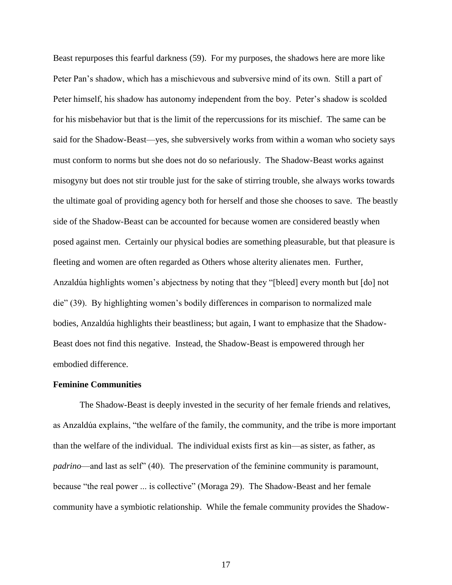Beast repurposes this fearful darkness (59). For my purposes, the shadows here are more like Peter Pan's shadow, which has a mischievous and subversive mind of its own. Still a part of Peter himself, his shadow has autonomy independent from the boy. Peter's shadow is scolded for his misbehavior but that is the limit of the repercussions for its mischief. The same can be said for the Shadow-Beast—yes, she subversively works from within a woman who society says must conform to norms but she does not do so nefariously. The Shadow-Beast works against misogyny but does not stir trouble just for the sake of stirring trouble, she always works towards the ultimate goal of providing agency both for herself and those she chooses to save. The beastly side of the Shadow-Beast can be accounted for because women are considered beastly when posed against men. Certainly our physical bodies are something pleasurable, but that pleasure is fleeting and women are often regarded as Others whose alterity alienates men. Further, Anzaldúa highlights women's abjectness by noting that they "[bleed] every month but [do] not die" (39). By highlighting women's bodily differences in comparison to normalized male bodies, Anzaldúa highlights their beastliness; but again, I want to emphasize that the Shadow-Beast does not find this negative. Instead, the Shadow-Beast is empowered through her embodied difference.

#### **Feminine Communities**

The Shadow-Beast is deeply invested in the security of her female friends and relatives, as Anzaldúa explains, "the welfare of the family, the community, and the tribe is more important than the welfare of the individual. The individual exists first as kin—as sister, as father, as *padrino*—and last as self" (40). The preservation of the feminine community is paramount, because "the real power ... is collective" (Moraga 29). The Shadow-Beast and her female community have a symbiotic relationship. While the female community provides the Shadow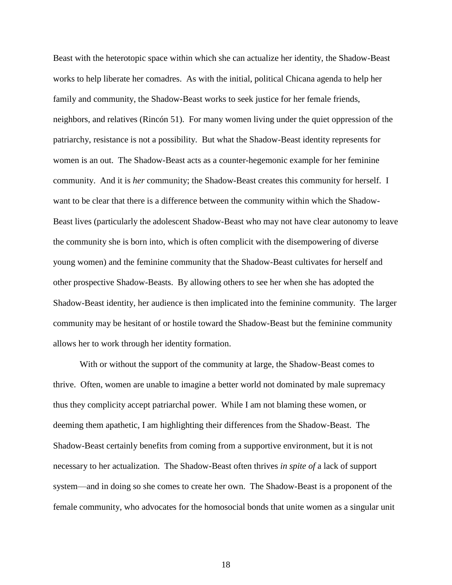Beast with the heterotopic space within which she can actualize her identity, the Shadow-Beast works to help liberate her comadres. As with the initial, political Chicana agenda to help her family and community, the Shadow-Beast works to seek justice for her female friends, neighbors, and relatives (Rincón 51). For many women living under the quiet oppression of the patriarchy, resistance is not a possibility. But what the Shadow-Beast identity represents for women is an out. The Shadow-Beast acts as a counter-hegemonic example for her feminine community. And it is *her* community; the Shadow-Beast creates this community for herself. I want to be clear that there is a difference between the community within which the Shadow-Beast lives (particularly the adolescent Shadow-Beast who may not have clear autonomy to leave the community she is born into, which is often complicit with the disempowering of diverse young women) and the feminine community that the Shadow-Beast cultivates for herself and other prospective Shadow-Beasts. By allowing others to see her when she has adopted the Shadow-Beast identity, her audience is then implicated into the feminine community. The larger community may be hesitant of or hostile toward the Shadow-Beast but the feminine community allows her to work through her identity formation.

With or without the support of the community at large, the Shadow-Beast comes to thrive. Often, women are unable to imagine a better world not dominated by male supremacy thus they complicity accept patriarchal power. While I am not blaming these women, or deeming them apathetic, I am highlighting their differences from the Shadow-Beast. The Shadow-Beast certainly benefits from coming from a supportive environment, but it is not necessary to her actualization. The Shadow-Beast often thrives *in spite of* a lack of support system—and in doing so she comes to create her own. The Shadow-Beast is a proponent of the female community, who advocates for the homosocial bonds that unite women as a singular unit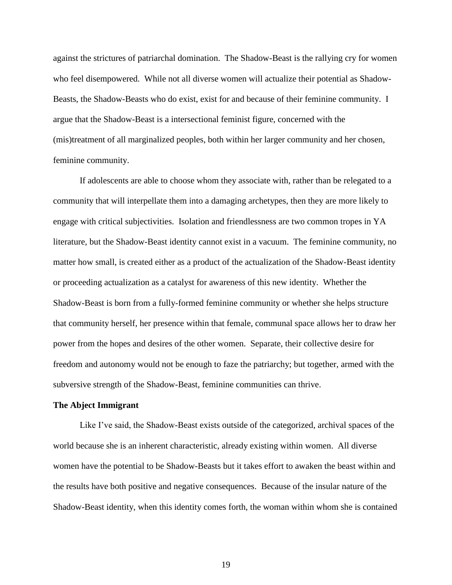against the strictures of patriarchal domination. The Shadow-Beast is the rallying cry for women who feel disempowered. While not all diverse women will actualize their potential as Shadow-Beasts, the Shadow-Beasts who do exist, exist for and because of their feminine community. I argue that the Shadow-Beast is a intersectional feminist figure, concerned with the (mis)treatment of all marginalized peoples, both within her larger community and her chosen, feminine community.

If adolescents are able to choose whom they associate with, rather than be relegated to a community that will interpellate them into a damaging archetypes, then they are more likely to engage with critical subjectivities. Isolation and friendlessness are two common tropes in YA literature, but the Shadow-Beast identity cannot exist in a vacuum. The feminine community, no matter how small, is created either as a product of the actualization of the Shadow-Beast identity or proceeding actualization as a catalyst for awareness of this new identity. Whether the Shadow-Beast is born from a fully-formed feminine community or whether she helps structure that community herself, her presence within that female, communal space allows her to draw her power from the hopes and desires of the other women. Separate, their collective desire for freedom and autonomy would not be enough to faze the patriarchy; but together, armed with the subversive strength of the Shadow-Beast, feminine communities can thrive.

#### **The Abject Immigrant**

Like I've said, the Shadow-Beast exists outside of the categorized, archival spaces of the world because she is an inherent characteristic, already existing within women. All diverse women have the potential to be Shadow-Beasts but it takes effort to awaken the beast within and the results have both positive and negative consequences. Because of the insular nature of the Shadow-Beast identity, when this identity comes forth, the woman within whom she is contained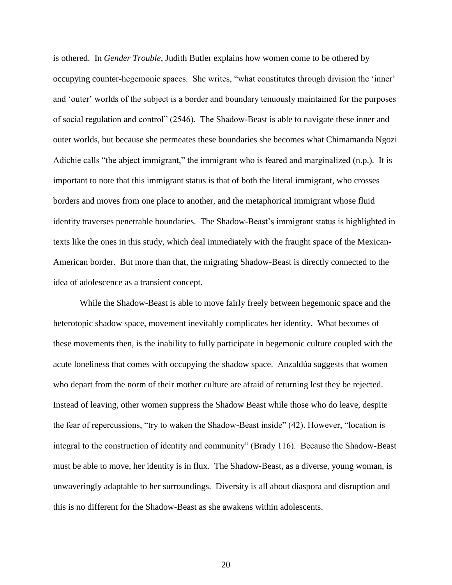is othered. In *Gender Trouble*, Judith Butler explains how women come to be othered by occupying counter-hegemonic spaces. She writes, "what constitutes through division the 'inner' and 'outer' worlds of the subject is a border and boundary tenuously maintained for the purposes of social regulation and control" (2546). The Shadow-Beast is able to navigate these inner and outer worlds, but because she permeates these boundaries she becomes what Chimamanda Ngozi Adichie calls "the abject immigrant," the immigrant who is feared and marginalized (n.p.). It is important to note that this immigrant status is that of both the literal immigrant, who crosses borders and moves from one place to another, and the metaphorical immigrant whose fluid identity traverses penetrable boundaries. The Shadow-Beast's immigrant status is highlighted in texts like the ones in this study, which deal immediately with the fraught space of the Mexican-American border. But more than that, the migrating Shadow-Beast is directly connected to the idea of adolescence as a transient concept.

While the Shadow-Beast is able to move fairly freely between hegemonic space and the heterotopic shadow space, movement inevitably complicates her identity. What becomes of these movements then, is the inability to fully participate in hegemonic culture coupled with the acute loneliness that comes with occupying the shadow space. Anzaldúa suggests that women who depart from the norm of their mother culture are afraid of returning lest they be rejected. Instead of leaving, other women suppress the Shadow Beast while those who do leave, despite the fear of repercussions, "try to waken the Shadow-Beast inside" (42). However, "location is integral to the construction of identity and community" (Brady 116). Because the Shadow-Beast must be able to move, her identity is in flux. The Shadow-Beast, as a diverse, young woman, is unwaveringly adaptable to her surroundings. Diversity is all about diaspora and disruption and this is no different for the Shadow-Beast as she awakens within adolescents.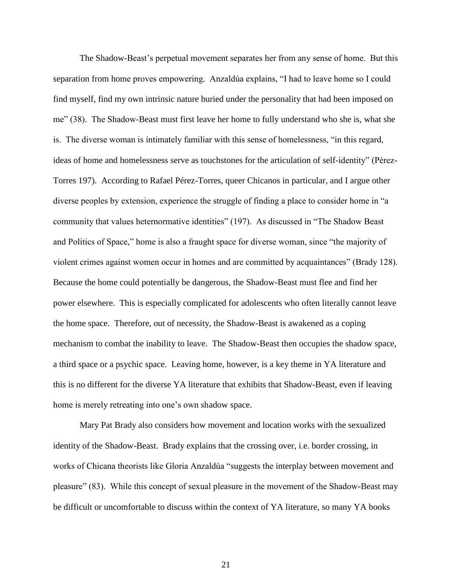The Shadow-Beast's perpetual movement separates her from any sense of home. But this separation from home proves empowering. Anzaldúa explains, "I had to leave home so I could find myself, find my own intrinsic nature buried under the personality that had been imposed on me" (38). The Shadow-Beast must first leave her home to fully understand who she is, what she is. The diverse woman is intimately familiar with this sense of homelessness, "in this regard, ideas of home and homelessness serve as touchstones for the articulation of self-identity" (Pérez-Torres 197). According to Rafael Pérez-Torres, queer Chicanos in particular, and I argue other diverse peoples by extension, experience the struggle of finding a place to consider home in "a community that values heternormative identities" (197). As discussed in "The Shadow Beast and Politics of Space," home is also a fraught space for diverse woman, since "the majority of violent crimes against women occur in homes and are committed by acquaintances" (Brady 128). Because the home could potentially be dangerous, the Shadow-Beast must flee and find her power elsewhere. This is especially complicated for adolescents who often literally cannot leave the home space. Therefore, out of necessity, the Shadow-Beast is awakened as a coping mechanism to combat the inability to leave. The Shadow-Beast then occupies the shadow space, a third space or a psychic space. Leaving home, however, is a key theme in YA literature and this is no different for the diverse YA literature that exhibits that Shadow-Beast, even if leaving home is merely retreating into one's own shadow space.

Mary Pat Brady also considers how movement and location works with the sexualized identity of the Shadow-Beast. Brady explains that the crossing over, i.e. border crossing, in works of Chicana theorists like Gloria Anzaldúa "suggests the interplay between movement and pleasure" (83). While this concept of sexual pleasure in the movement of the Shadow-Beast may be difficult or uncomfortable to discuss within the context of YA literature, so many YA books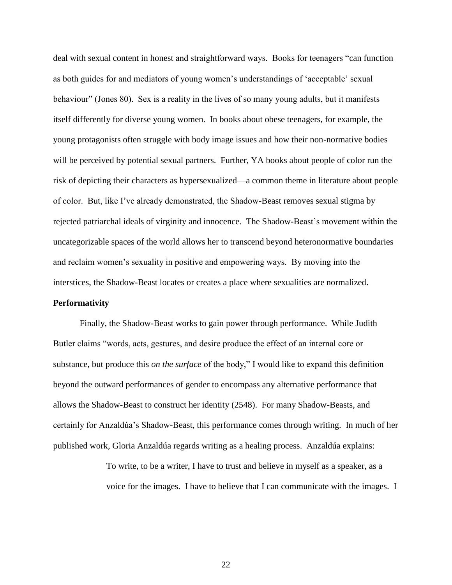deal with sexual content in honest and straightforward ways. Books for teenagers "can function as both guides for and mediators of young women's understandings of 'acceptable' sexual behaviour" (Jones 80). Sex is a reality in the lives of so many young adults, but it manifests itself differently for diverse young women. In books about obese teenagers, for example, the young protagonists often struggle with body image issues and how their non-normative bodies will be perceived by potential sexual partners. Further, YA books about people of color run the risk of depicting their characters as hypersexualized—a common theme in literature about people of color. But, like I've already demonstrated, the Shadow-Beast removes sexual stigma by rejected patriarchal ideals of virginity and innocence. The Shadow-Beast's movement within the uncategorizable spaces of the world allows her to transcend beyond heteronormative boundaries and reclaim women's sexuality in positive and empowering ways. By moving into the interstices, the Shadow-Beast locates or creates a place where sexualities are normalized.

## **Performativity**

Finally, the Shadow-Beast works to gain power through performance. While Judith Butler claims "words, acts, gestures, and desire produce the effect of an internal core or substance, but produce this *on the surface* of the body," I would like to expand this definition beyond the outward performances of gender to encompass any alternative performance that allows the Shadow-Beast to construct her identity (2548). For many Shadow-Beasts, and certainly for Anzaldúa's Shadow-Beast, this performance comes through writing. In much of her published work, Gloria Anzaldúa regards writing as a healing process. Anzaldúa explains:

> To write, to be a writer, I have to trust and believe in myself as a speaker, as a voice for the images. I have to believe that I can communicate with the images. I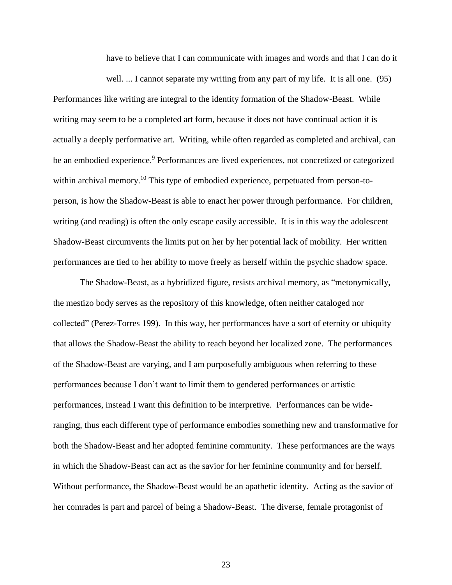have to believe that I can communicate with images and words and that I can do it

well. ... I cannot separate my writing from any part of my life. It is all one. (95) Performances like writing are integral to the identity formation of the Shadow-Beast. While writing may seem to be a completed art form, because it does not have continual action it is actually a deeply performative art. Writing, while often regarded as completed and archival, can be an embodied experience.<sup>9</sup> Performances are lived experiences, not concretized or categorized within archival memory.<sup>10</sup> This type of embodied experience, perpetuated from person-toperson, is how the Shadow-Beast is able to enact her power through performance. For children, writing (and reading) is often the only escape easily accessible. It is in this way the adolescent Shadow-Beast circumvents the limits put on her by her potential lack of mobility. Her written performances are tied to her ability to move freely as herself within the psychic shadow space.

The Shadow-Beast, as a hybridized figure, resists archival memory, as "metonymically, the mestizo body serves as the repository of this knowledge, often neither cataloged nor collected" (Perez-Torres 199). In this way, her performances have a sort of eternity or ubiquity that allows the Shadow-Beast the ability to reach beyond her localized zone. The performances of the Shadow-Beast are varying, and I am purposefully ambiguous when referring to these performances because I don't want to limit them to gendered performances or artistic performances, instead I want this definition to be interpretive. Performances can be wideranging, thus each different type of performance embodies something new and transformative for both the Shadow-Beast and her adopted feminine community. These performances are the ways in which the Shadow-Beast can act as the savior for her feminine community and for herself. Without performance, the Shadow-Beast would be an apathetic identity. Acting as the savior of her comrades is part and parcel of being a Shadow-Beast. The diverse, female protagonist of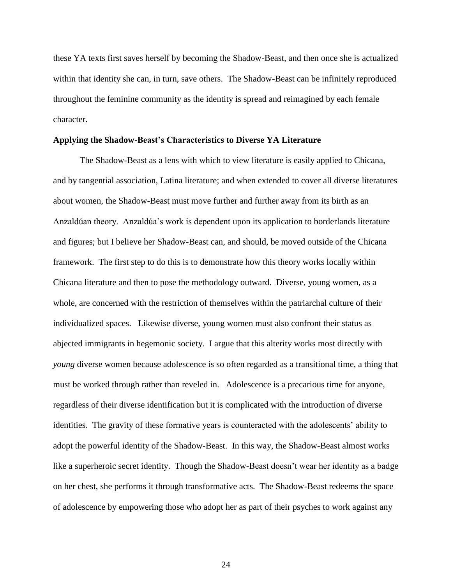these YA texts first saves herself by becoming the Shadow-Beast, and then once she is actualized within that identity she can, in turn, save others. The Shadow-Beast can be infinitely reproduced throughout the feminine community as the identity is spread and reimagined by each female character.

### **Applying the Shadow-Beast's Characteristics to Diverse YA Literature**

The Shadow-Beast as a lens with which to view literature is easily applied to Chicana, and by tangential association, Latina literature; and when extended to cover all diverse literatures about women, the Shadow-Beast must move further and further away from its birth as an Anzaldúan theory. Anzaldúa's work is dependent upon its application to borderlands literature and figures; but I believe her Shadow-Beast can, and should, be moved outside of the Chicana framework. The first step to do this is to demonstrate how this theory works locally within Chicana literature and then to pose the methodology outward. Diverse, young women, as a whole, are concerned with the restriction of themselves within the patriarchal culture of their individualized spaces. Likewise diverse, young women must also confront their status as abjected immigrants in hegemonic society. I argue that this alterity works most directly with *young* diverse women because adolescence is so often regarded as a transitional time, a thing that must be worked through rather than reveled in. Adolescence is a precarious time for anyone, regardless of their diverse identification but it is complicated with the introduction of diverse identities. The gravity of these formative years is counteracted with the adolescents' ability to adopt the powerful identity of the Shadow-Beast. In this way, the Shadow-Beast almost works like a superheroic secret identity. Though the Shadow-Beast doesn't wear her identity as a badge on her chest, she performs it through transformative acts. The Shadow-Beast redeems the space of adolescence by empowering those who adopt her as part of their psyches to work against any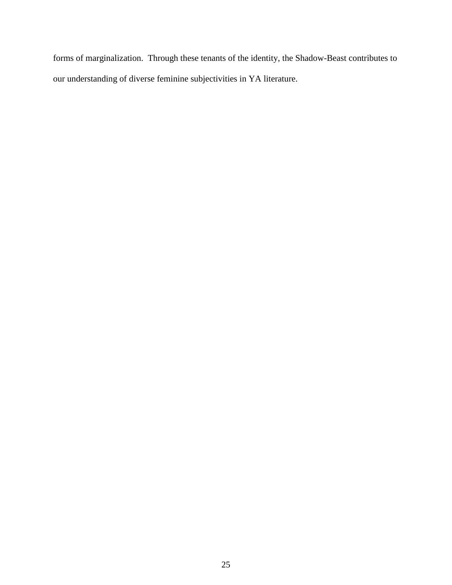forms of marginalization. Through these tenants of the identity, the Shadow-Beast contributes to our understanding of diverse feminine subjectivities in YA literature.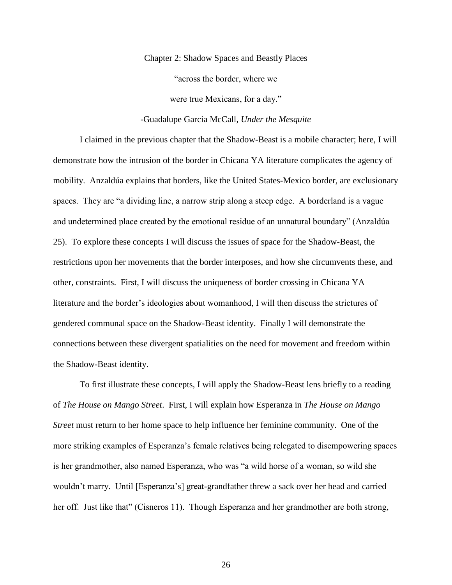Chapter 2: Shadow Spaces and Beastly Places "across the border, where we

were true Mexicans, for a day."

# -Guadalupe Garcia McCall, *Under the Mesquite*

I claimed in the previous chapter that the Shadow-Beast is a mobile character; here, I will demonstrate how the intrusion of the border in Chicana YA literature complicates the agency of mobility. Anzaldúa explains that borders, like the United States-Mexico border, are exclusionary spaces. They are "a dividing line, a narrow strip along a steep edge. A borderland is a vague and undetermined place created by the emotional residue of an unnatural boundary" (Anzaldúa 25). To explore these concepts I will discuss the issues of space for the Shadow-Beast, the restrictions upon her movements that the border interposes, and how she circumvents these, and other, constraints. First, I will discuss the uniqueness of border crossing in Chicana YA literature and the border's ideologies about womanhood, I will then discuss the strictures of gendered communal space on the Shadow-Beast identity. Finally I will demonstrate the connections between these divergent spatialities on the need for movement and freedom within the Shadow-Beast identity.

To first illustrate these concepts, I will apply the Shadow-Beast lens briefly to a reading of *The House on Mango Street*. First, I will explain how Esperanza in *The House on Mango Street* must return to her home space to help influence her feminine community. One of the more striking examples of Esperanza's female relatives being relegated to disempowering spaces is her grandmother, also named Esperanza, who was "a wild horse of a woman, so wild she wouldn't marry. Until [Esperanza's] great-grandfather threw a sack over her head and carried her off. Just like that" (Cisneros 11). Though Esperanza and her grandmother are both strong,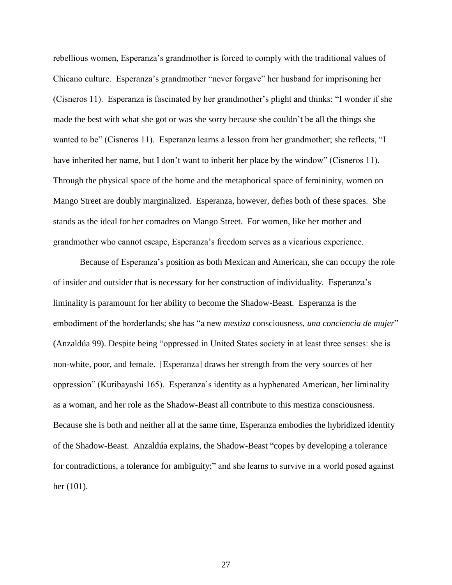rebellious women, Esperanza's grandmother is forced to comply with the traditional values of Chicano culture. Esperanza's grandmother "never forgave" her husband for imprisoning her (Cisneros 11). Esperanza is fascinated by her grandmother's plight and thinks: "I wonder if she made the best with what she got or was she sorry because she couldn't be all the things she wanted to be" (Cisneros 11). Esperanza learns a lesson from her grandmother; she reflects, "I have inherited her name, but I don't want to inherit her place by the window" (Cisneros 11). Through the physical space of the home and the metaphorical space of femininity, women on Mango Street are doubly marginalized. Esperanza, however, defies both of these spaces. She stands as the ideal for her comadres on Mango Street. For women, like her mother and grandmother who cannot escape, Esperanza's freedom serves as a vicarious experience.

Because of Esperanza's position as both Mexican and American, she can occupy the role of insider and outsider that is necessary for her construction of individuality. Esperanza's liminality is paramount for her ability to become the Shadow-Beast. Esperanza is the embodiment of the borderlands; she has "a new *mestiza* consciousness, *una conciencia de mujer*" (Anzaldúa 99). Despite being "oppressed in United States society in at least three senses: she is non-white, poor, and female. [Esperanza] draws her strength from the very sources of her oppression" (Kuribayashi 165). Esperanza's identity as a hyphenated American, her liminality as a woman, and her role as the Shadow-Beast all contribute to this mestiza consciousness. Because she is both and neither all at the same time, Esperanza embodies the hybridized identity of the Shadow-Beast. Anzaldúa explains, the Shadow-Beast "copes by developing a tolerance for contradictions, a tolerance for ambiguity;" and she learns to survive in a world posed against her (101).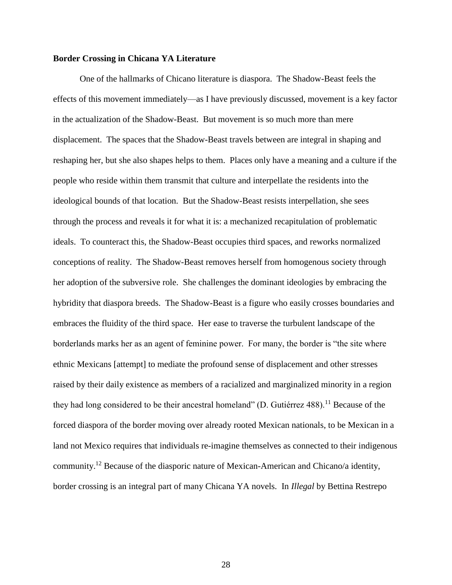# **Border Crossing in Chicana YA Literature**

One of the hallmarks of Chicano literature is diaspora. The Shadow-Beast feels the effects of this movement immediately—as I have previously discussed, movement is a key factor in the actualization of the Shadow-Beast. But movement is so much more than mere displacement. The spaces that the Shadow-Beast travels between are integral in shaping and reshaping her, but she also shapes helps to them. Places only have a meaning and a culture if the people who reside within them transmit that culture and interpellate the residents into the ideological bounds of that location. But the Shadow-Beast resists interpellation, she sees through the process and reveals it for what it is: a mechanized recapitulation of problematic ideals. To counteract this, the Shadow-Beast occupies third spaces, and reworks normalized conceptions of reality. The Shadow-Beast removes herself from homogenous society through her adoption of the subversive role. She challenges the dominant ideologies by embracing the hybridity that diaspora breeds. The Shadow-Beast is a figure who easily crosses boundaries and embraces the fluidity of the third space. Her ease to traverse the turbulent landscape of the borderlands marks her as an agent of feminine power. For many, the border is "the site where ethnic Mexicans [attempt] to mediate the profound sense of displacement and other stresses raised by their daily existence as members of a racialized and marginalized minority in a region they had long considered to be their ancestral homeland" (D. Gutiérrez 488).<sup>11</sup> Because of the forced diaspora of the border moving over already rooted Mexican nationals, to be Mexican in a land not Mexico requires that individuals re-imagine themselves as connected to their indigenous community.<sup>12</sup> Because of the diasporic nature of Mexican-American and Chicano/a identity, border crossing is an integral part of many Chicana YA novels. In *Illegal* by Bettina Restrepo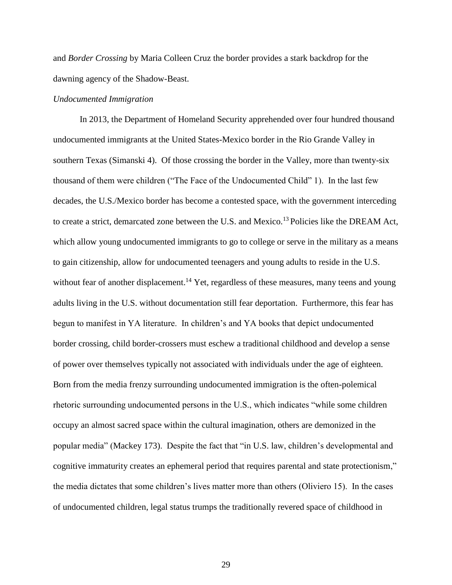and *Border Crossing* by Maria Colleen Cruz the border provides a stark backdrop for the dawning agency of the Shadow-Beast.

### *Undocumented Immigration*

In 2013, the Department of Homeland Security apprehended over four hundred thousand undocumented immigrants at the United States-Mexico border in the Rio Grande Valley in southern Texas (Simanski 4). Of those crossing the border in the Valley, more than twenty-six thousand of them were children ("The Face of the Undocumented Child" 1). In the last few decades, the U.S./Mexico border has become a contested space, with the government interceding to create a strict, demarcated zone between the U.S. and Mexico.<sup>13</sup> Policies like the DREAM Act, which allow young undocumented immigrants to go to college or serve in the military as a means to gain citizenship, allow for undocumented teenagers and young adults to reside in the U.S. without fear of another displacement.<sup>14</sup> Yet, regardless of these measures, many teens and young adults living in the U.S. without documentation still fear deportation. Furthermore, this fear has begun to manifest in YA literature. In children's and YA books that depict undocumented border crossing, child border-crossers must eschew a traditional childhood and develop a sense of power over themselves typically not associated with individuals under the age of eighteen. Born from the media frenzy surrounding undocumented immigration is the often-polemical rhetoric surrounding undocumented persons in the U.S., which indicates "while some children occupy an almost sacred space within the cultural imagination, others are demonized in the popular media" (Mackey 173). Despite the fact that "in U.S. law, children's developmental and cognitive immaturity creates an ephemeral period that requires parental and state protectionism," the media dictates that some children's lives matter more than others (Oliviero 15). In the cases of undocumented children, legal status trumps the traditionally revered space of childhood in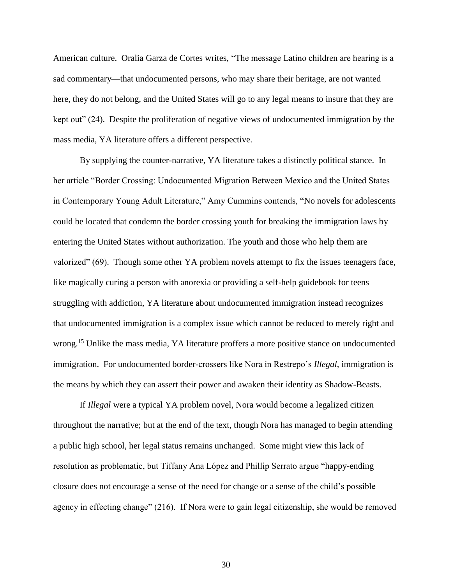American culture. Oralia Garza de Cortes writes, "The message Latino children are hearing is a sad commentary—that undocumented persons, who may share their heritage, are not wanted here, they do not belong, and the United States will go to any legal means to insure that they are kept out" (24). Despite the proliferation of negative views of undocumented immigration by the mass media, YA literature offers a different perspective.

By supplying the counter-narrative, YA literature takes a distinctly political stance. In her article "Border Crossing: Undocumented Migration Between Mexico and the United States in Contemporary Young Adult Literature," Amy Cummins contends, "No novels for adolescents could be located that condemn the border crossing youth for breaking the immigration laws by entering the United States without authorization. The youth and those who help them are valorized" (69). Though some other YA problem novels attempt to fix the issues teenagers face, like magically curing a person with anorexia or providing a self-help guidebook for teens struggling with addiction, YA literature about undocumented immigration instead recognizes that undocumented immigration is a complex issue which cannot be reduced to merely right and wrong.<sup>15</sup> Unlike the mass media, YA literature proffers a more positive stance on undocumented immigration. For undocumented border-crossers like Nora in Restrepo's *Illegal*, immigration is the means by which they can assert their power and awaken their identity as Shadow-Beasts.

If *Illegal* were a typical YA problem novel, Nora would become a legalized citizen throughout the narrative; but at the end of the text, though Nora has managed to begin attending a public high school, her legal status remains unchanged. Some might view this lack of resolution as problematic, but Tiffany Ana López and Phillip Serrato argue "happy-ending closure does not encourage a sense of the need for change or a sense of the child's possible agency in effecting change" (216). If Nora were to gain legal citizenship, she would be removed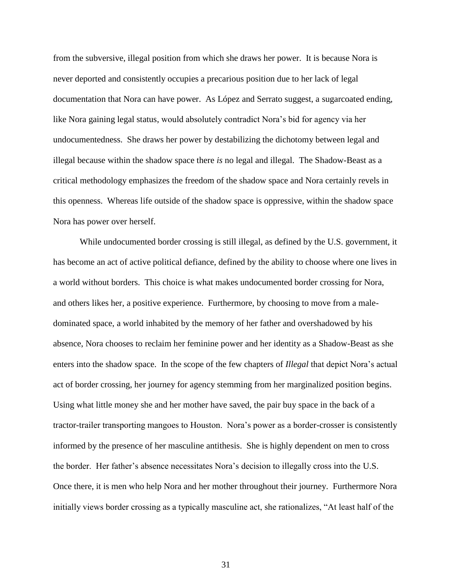from the subversive, illegal position from which she draws her power. It is because Nora is never deported and consistently occupies a precarious position due to her lack of legal documentation that Nora can have power. As López and Serrato suggest, a sugarcoated ending, like Nora gaining legal status, would absolutely contradict Nora's bid for agency via her undocumentedness. She draws her power by destabilizing the dichotomy between legal and illegal because within the shadow space there *is* no legal and illegal. The Shadow-Beast as a critical methodology emphasizes the freedom of the shadow space and Nora certainly revels in this openness. Whereas life outside of the shadow space is oppressive, within the shadow space Nora has power over herself.

While undocumented border crossing is still illegal, as defined by the U.S. government, it has become an act of active political defiance, defined by the ability to choose where one lives in a world without borders. This choice is what makes undocumented border crossing for Nora, and others likes her, a positive experience. Furthermore, by choosing to move from a maledominated space, a world inhabited by the memory of her father and overshadowed by his absence, Nora chooses to reclaim her feminine power and her identity as a Shadow-Beast as she enters into the shadow space. In the scope of the few chapters of *Illegal* that depict Nora's actual act of border crossing, her journey for agency stemming from her marginalized position begins. Using what little money she and her mother have saved, the pair buy space in the back of a tractor-trailer transporting mangoes to Houston. Nora's power as a border-crosser is consistently informed by the presence of her masculine antithesis. She is highly dependent on men to cross the border. Her father's absence necessitates Nora's decision to illegally cross into the U.S. Once there, it is men who help Nora and her mother throughout their journey. Furthermore Nora initially views border crossing as a typically masculine act, she rationalizes, "At least half of the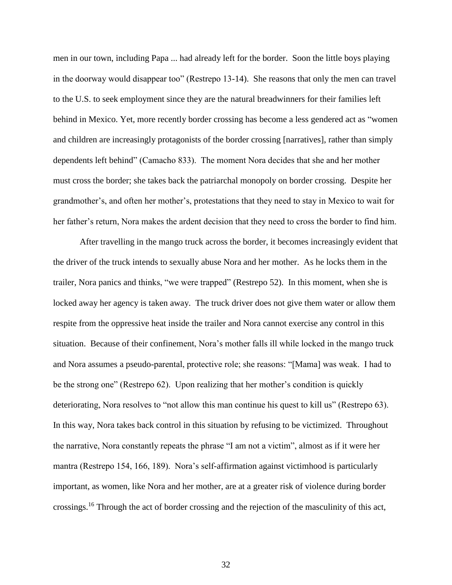men in our town, including Papa ... had already left for the border. Soon the little boys playing in the doorway would disappear too" (Restrepo 13-14). She reasons that only the men can travel to the U.S. to seek employment since they are the natural breadwinners for their families left behind in Mexico. Yet, more recently border crossing has become a less gendered act as "women and children are increasingly protagonists of the border crossing [narratives], rather than simply dependents left behind" (Camacho 833). The moment Nora decides that she and her mother must cross the border; she takes back the patriarchal monopoly on border crossing. Despite her grandmother's, and often her mother's, protestations that they need to stay in Mexico to wait for her father's return, Nora makes the ardent decision that they need to cross the border to find him.

After travelling in the mango truck across the border, it becomes increasingly evident that the driver of the truck intends to sexually abuse Nora and her mother. As he locks them in the trailer, Nora panics and thinks, "we were trapped" (Restrepo 52). In this moment, when she is locked away her agency is taken away. The truck driver does not give them water or allow them respite from the oppressive heat inside the trailer and Nora cannot exercise any control in this situation. Because of their confinement, Nora's mother falls ill while locked in the mango truck and Nora assumes a pseudo-parental, protective role; she reasons: "[Mama] was weak. I had to be the strong one" (Restrepo 62). Upon realizing that her mother's condition is quickly deteriorating, Nora resolves to "not allow this man continue his quest to kill us" (Restrepo 63). In this way, Nora takes back control in this situation by refusing to be victimized. Throughout the narrative, Nora constantly repeats the phrase "I am not a victim", almost as if it were her mantra (Restrepo 154, 166, 189). Nora's self-affirmation against victimhood is particularly important, as women, like Nora and her mother, are at a greater risk of violence during border crossings.<sup>16</sup> Through the act of border crossing and the rejection of the masculinity of this act,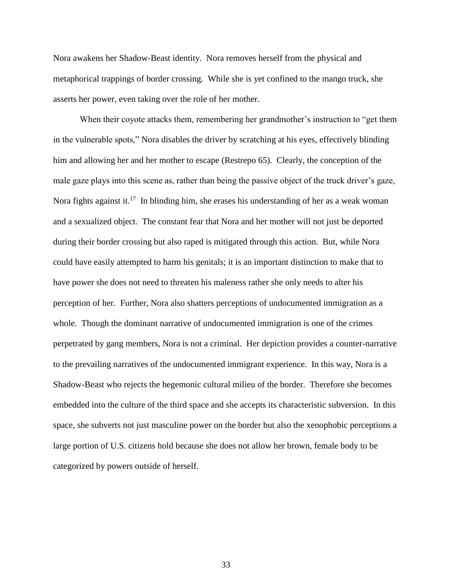Nora awakens her Shadow-Beast identity. Nora removes herself from the physical and metaphorical trappings of border crossing. While she is yet confined to the mango truck, she asserts her power, even taking over the role of her mother.

When their coyote attacks them, remembering her grandmother's instruction to "get them in the vulnerable spots," Nora disables the driver by scratching at his eyes, effectively blinding him and allowing her and her mother to escape (Restrepo 65). Clearly, the conception of the male gaze plays into this scene as, rather than being the passive object of the truck driver's gaze, Nora fights against it.<sup>17</sup> In blinding him, she erases his understanding of her as a weak woman and a sexualized object. The constant fear that Nora and her mother will not just be deported during their border crossing but also raped is mitigated through this action. But, while Nora could have easily attempted to harm his genitals; it is an important distinction to make that to have power she does not need to threaten his maleness rather she only needs to alter his perception of her. Further, Nora also shatters perceptions of undocumented immigration as a whole. Though the dominant narrative of undocumented immigration is one of the crimes perpetrated by gang members, Nora is not a criminal. Her depiction provides a counter-narrative to the prevailing narratives of the undocumented immigrant experience. In this way, Nora is a Shadow-Beast who rejects the hegemonic cultural milieu of the border. Therefore she becomes embedded into the culture of the third space and she accepts its characteristic subversion. In this space, she subverts not just masculine power on the border but also the xenophobic perceptions a large portion of U.S. citizens hold because she does not allow her brown, female body to be categorized by powers outside of herself.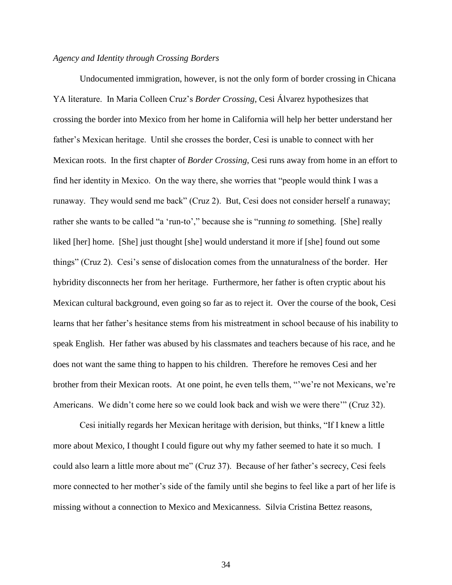# *Agency and Identity through Crossing Borders*

Undocumented immigration, however, is not the only form of border crossing in Chicana YA literature. In Maria Colleen Cruz's *Border Crossing*, Cesi Álvarez hypothesizes that crossing the border into Mexico from her home in California will help her better understand her father's Mexican heritage. Until she crosses the border, Cesi is unable to connect with her Mexican roots. In the first chapter of *Border Crossing*, Cesi runs away from home in an effort to find her identity in Mexico. On the way there, she worries that "people would think I was a runaway. They would send me back" (Cruz 2). But, Cesi does not consider herself a runaway; rather she wants to be called "a 'run-to'," because she is "running *to* something. [She] really liked [her] home. [She] just thought [she] would understand it more if [she] found out some things" (Cruz 2). Cesi's sense of dislocation comes from the unnaturalness of the border. Her hybridity disconnects her from her heritage. Furthermore, her father is often cryptic about his Mexican cultural background, even going so far as to reject it. Over the course of the book, Cesi learns that her father's hesitance stems from his mistreatment in school because of his inability to speak English. Her father was abused by his classmates and teachers because of his race, and he does not want the same thing to happen to his children. Therefore he removes Cesi and her brother from their Mexican roots. At one point, he even tells them, "'we're not Mexicans, we're Americans. We didn't come here so we could look back and wish we were there'" (Cruz 32).

Cesi initially regards her Mexican heritage with derision, but thinks, "If I knew a little more about Mexico, I thought I could figure out why my father seemed to hate it so much. I could also learn a little more about me" (Cruz 37). Because of her father's secrecy, Cesi feels more connected to her mother's side of the family until she begins to feel like a part of her life is missing without a connection to Mexico and Mexicanness. Silvia Cristina Bettez reasons,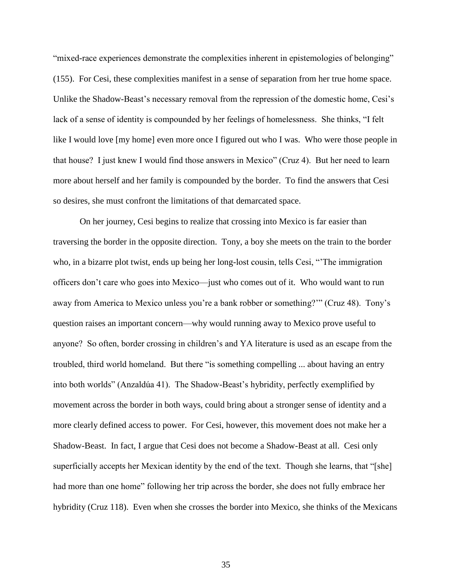"mixed-race experiences demonstrate the complexities inherent in epistemologies of belonging" (155). For Cesi, these complexities manifest in a sense of separation from her true home space. Unlike the Shadow-Beast's necessary removal from the repression of the domestic home, Cesi's lack of a sense of identity is compounded by her feelings of homelessness. She thinks, "I felt like I would love [my home] even more once I figured out who I was. Who were those people in that house? I just knew I would find those answers in Mexico" (Cruz 4). But her need to learn more about herself and her family is compounded by the border. To find the answers that Cesi so desires, she must confront the limitations of that demarcated space.

On her journey, Cesi begins to realize that crossing into Mexico is far easier than traversing the border in the opposite direction. Tony, a boy she meets on the train to the border who, in a bizarre plot twist, ends up being her long-lost cousin, tells Cesi, "'The immigration officers don't care who goes into Mexico—just who comes out of it. Who would want to run away from America to Mexico unless you're a bank robber or something?'" (Cruz 48). Tony's question raises an important concern—why would running away to Mexico prove useful to anyone? So often, border crossing in children's and YA literature is used as an escape from the troubled, third world homeland. But there "is something compelling ... about having an entry into both worlds" (Anzaldúa 41). The Shadow-Beast's hybridity, perfectly exemplified by movement across the border in both ways, could bring about a stronger sense of identity and a more clearly defined access to power. For Cesi, however, this movement does not make her a Shadow-Beast. In fact, I argue that Cesi does not become a Shadow-Beast at all. Cesi only superficially accepts her Mexican identity by the end of the text. Though she learns, that "[she] had more than one home" following her trip across the border, she does not fully embrace her hybridity (Cruz 118). Even when she crosses the border into Mexico, she thinks of the Mexicans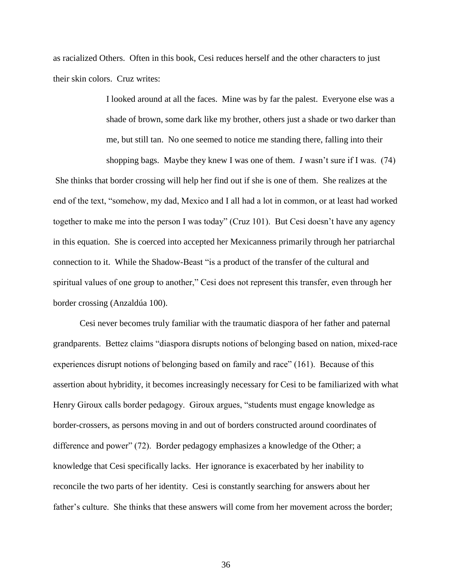as racialized Others. Often in this book, Cesi reduces herself and the other characters to just their skin colors. Cruz writes:

> I looked around at all the faces. Mine was by far the palest. Everyone else was a shade of brown, some dark like my brother, others just a shade or two darker than me, but still tan. No one seemed to notice me standing there, falling into their

shopping bags. Maybe they knew I was one of them. *I* wasn't sure if I was. (74) She thinks that border crossing will help her find out if she is one of them. She realizes at the end of the text, "somehow, my dad, Mexico and I all had a lot in common, or at least had worked together to make me into the person I was today" (Cruz 101). But Cesi doesn't have any agency in this equation. She is coerced into accepted her Mexicanness primarily through her patriarchal connection to it. While the Shadow-Beast "is a product of the transfer of the cultural and spiritual values of one group to another," Cesi does not represent this transfer, even through her border crossing (Anzaldúa 100).

Cesi never becomes truly familiar with the traumatic diaspora of her father and paternal grandparents. Bettez claims "diaspora disrupts notions of belonging based on nation, mixed-race experiences disrupt notions of belonging based on family and race" (161). Because of this assertion about hybridity, it becomes increasingly necessary for Cesi to be familiarized with what Henry Giroux calls border pedagogy. Giroux argues, "students must engage knowledge as border-crossers, as persons moving in and out of borders constructed around coordinates of difference and power" (72). Border pedagogy emphasizes a knowledge of the Other; a knowledge that Cesi specifically lacks. Her ignorance is exacerbated by her inability to reconcile the two parts of her identity. Cesi is constantly searching for answers about her father's culture. She thinks that these answers will come from her movement across the border;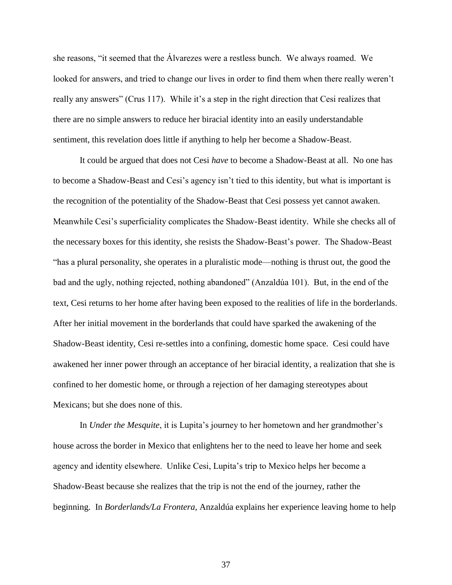she reasons, "it seemed that the Álvarezes were a restless bunch. We always roamed. We looked for answers, and tried to change our lives in order to find them when there really weren't really any answers" (Crus 117). While it's a step in the right direction that Cesi realizes that there are no simple answers to reduce her biracial identity into an easily understandable sentiment, this revelation does little if anything to help her become a Shadow-Beast.

It could be argued that does not Cesi *have* to become a Shadow-Beast at all. No one has to become a Shadow-Beast and Cesi's agency isn't tied to this identity, but what is important is the recognition of the potentiality of the Shadow-Beast that Cesi possess yet cannot awaken. Meanwhile Cesi's superficiality complicates the Shadow-Beast identity. While she checks all of the necessary boxes for this identity, she resists the Shadow-Beast's power. The Shadow-Beast "has a plural personality, she operates in a pluralistic mode—nothing is thrust out, the good the bad and the ugly, nothing rejected, nothing abandoned" (Anzaldúa 101). But, in the end of the text, Cesi returns to her home after having been exposed to the realities of life in the borderlands. After her initial movement in the borderlands that could have sparked the awakening of the Shadow-Beast identity, Cesi re-settles into a confining, domestic home space. Cesi could have awakened her inner power through an acceptance of her biracial identity, a realization that she is confined to her domestic home, or through a rejection of her damaging stereotypes about Mexicans; but she does none of this.

In *Under the Mesquite*, it is Lupita's journey to her hometown and her grandmother's house across the border in Mexico that enlightens her to the need to leave her home and seek agency and identity elsewhere. Unlike Cesi, Lupita's trip to Mexico helps her become a Shadow-Beast because she realizes that the trip is not the end of the journey, rather the beginning. In *Borderlands/La Frontera,* Anzaldúa explains her experience leaving home to help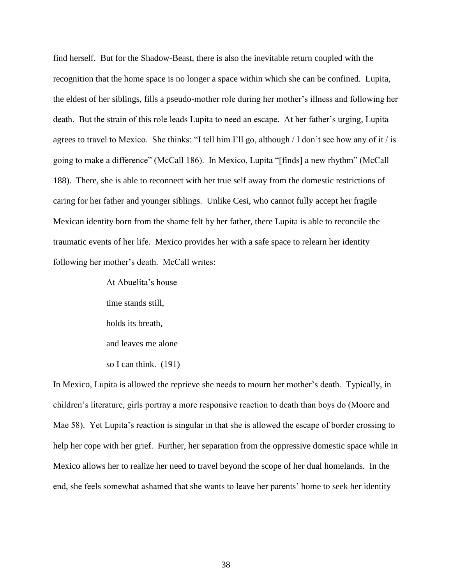find herself. But for the Shadow-Beast, there is also the inevitable return coupled with the recognition that the home space is no longer a space within which she can be confined. Lupita, the eldest of her siblings, fills a pseudo-mother role during her mother's illness and following her death. But the strain of this role leads Lupita to need an escape. At her father's urging, Lupita agrees to travel to Mexico. She thinks: "I tell him I'll go, although / I don't see how any of it / is going to make a difference" (McCall 186). In Mexico, Lupita "[finds] a new rhythm" (McCall 188). There, she is able to reconnect with her true self away from the domestic restrictions of caring for her father and younger siblings. Unlike Cesi, who cannot fully accept her fragile Mexican identity born from the shame felt by her father, there Lupita is able to reconcile the traumatic events of her life. Mexico provides her with a safe space to relearn her identity following her mother's death. McCall writes:

> At Abuelita's house time stands still, holds its breath, and leaves me alone so I can think. (191)

In Mexico, Lupita is allowed the reprieve she needs to mourn her mother's death. Typically, in children's literature, girls portray a more responsive reaction to death than boys do (Moore and Mae 58). Yet Lupita's reaction is singular in that she is allowed the escape of border crossing to help her cope with her grief. Further, her separation from the oppressive domestic space while in Mexico allows her to realize her need to travel beyond the scope of her dual homelands. In the end, she feels somewhat ashamed that she wants to leave her parents' home to seek her identity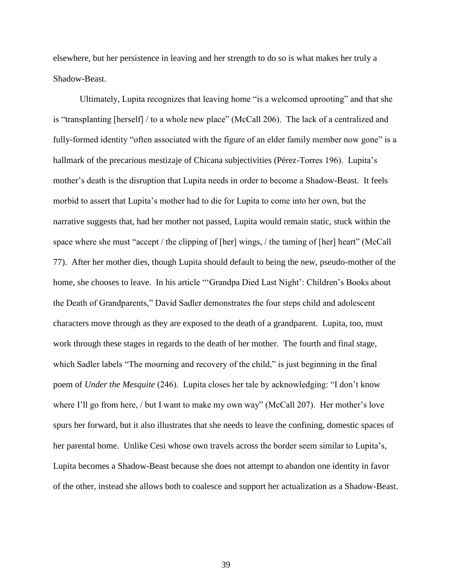elsewhere, but her persistence in leaving and her strength to do so is what makes her truly a Shadow-Beast.

Ultimately, Lupita recognizes that leaving home "is a welcomed uprooting" and that she is "transplanting [herself] / to a whole new place" (McCall 206). The lack of a centralized and fully-formed identity "often associated with the figure of an elder family member now gone" is a hallmark of the precarious mestizaje of Chicana subjectivities (Pérez-Torres 196). Lupita's mother's death is the disruption that Lupita needs in order to become a Shadow-Beast. It feels morbid to assert that Lupita's mother had to die for Lupita to come into her own, but the narrative suggests that, had her mother not passed, Lupita would remain static, stuck within the space where she must "accept / the clipping of [her] wings, / the taming of [her] heart" (McCall 77). After her mother dies, though Lupita should default to being the new, pseudo-mother of the home, she chooses to leave. In his article "'Grandpa Died Last Night': Children's Books about the Death of Grandparents," David Sadler demonstrates the four steps child and adolescent characters move through as they are exposed to the death of a grandparent. Lupita, too, must work through these stages in regards to the death of her mother. The fourth and final stage, which Sadler labels "The mourning and recovery of the child," is just beginning in the final poem of *Under the Mesquite* (246). Lupita closes her tale by acknowledging: "I don't know where I'll go from here, / but I want to make my own way" (McCall 207). Her mother's love spurs her forward, but it also illustrates that she needs to leave the confining, domestic spaces of her parental home. Unlike Cesi whose own travels across the border seem similar to Lupita's, Lupita becomes a Shadow-Beast because she does not attempt to abandon one identity in favor of the other, instead she allows both to coalesce and support her actualization as a Shadow-Beast.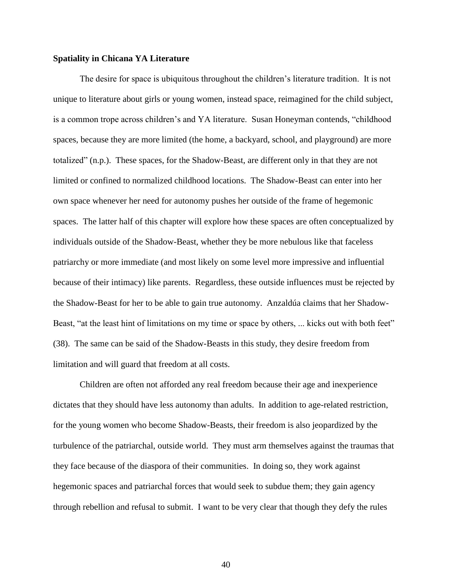# **Spatiality in Chicana YA Literature**

The desire for space is ubiquitous throughout the children's literature tradition. It is not unique to literature about girls or young women, instead space, reimagined for the child subject, is a common trope across children's and YA literature. Susan Honeyman contends, "childhood spaces, because they are more limited (the home, a backyard, school, and playground) are more totalized" (n.p.). These spaces, for the Shadow-Beast, are different only in that they are not limited or confined to normalized childhood locations. The Shadow-Beast can enter into her own space whenever her need for autonomy pushes her outside of the frame of hegemonic spaces. The latter half of this chapter will explore how these spaces are often conceptualized by individuals outside of the Shadow-Beast, whether they be more nebulous like that faceless patriarchy or more immediate (and most likely on some level more impressive and influential because of their intimacy) like parents. Regardless, these outside influences must be rejected by the Shadow-Beast for her to be able to gain true autonomy. Anzaldúa claims that her Shadow-Beast, "at the least hint of limitations on my time or space by others, ... kicks out with both feet" (38). The same can be said of the Shadow-Beasts in this study, they desire freedom from limitation and will guard that freedom at all costs.

Children are often not afforded any real freedom because their age and inexperience dictates that they should have less autonomy than adults. In addition to age-related restriction, for the young women who become Shadow-Beasts, their freedom is also jeopardized by the turbulence of the patriarchal, outside world. They must arm themselves against the traumas that they face because of the diaspora of their communities. In doing so, they work against hegemonic spaces and patriarchal forces that would seek to subdue them; they gain agency through rebellion and refusal to submit. I want to be very clear that though they defy the rules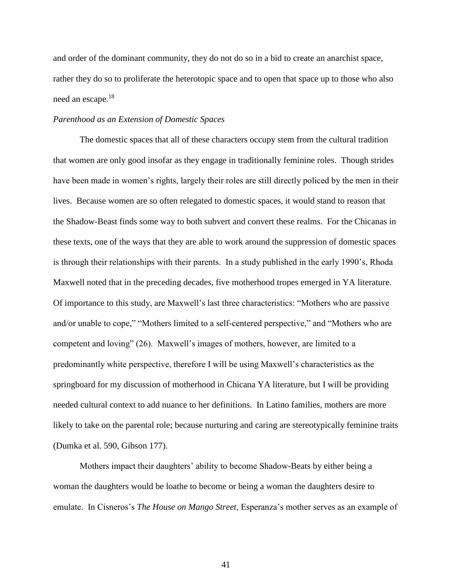and order of the dominant community, they do not do so in a bid to create an anarchist space, rather they do so to proliferate the heterotopic space and to open that space up to those who also need an escape.<sup>18</sup>

# *Parenthood as an Extension of Domestic Spaces*

The domestic spaces that all of these characters occupy stem from the cultural tradition that women are only good insofar as they engage in traditionally feminine roles. Though strides have been made in women's rights, largely their roles are still directly policed by the men in their lives. Because women are so often relegated to domestic spaces, it would stand to reason that the Shadow-Beast finds some way to both subvert and convert these realms. For the Chicanas in these texts, one of the ways that they are able to work around the suppression of domestic spaces is through their relationships with their parents. In a study published in the early 1990's, Rhoda Maxwell noted that in the preceding decades, five motherhood tropes emerged in YA literature. Of importance to this study, are Maxwell's last three characteristics: "Mothers who are passive and/or unable to cope," "Mothers limited to a self-centered perspective," and "Mothers who are competent and loving" (26). Maxwell's images of mothers, however, are limited to a predominantly white perspective, therefore I will be using Maxwell's characteristics as the springboard for my discussion of motherhood in Chicana YA literature, but I will be providing needed cultural context to add nuance to her definitions. In Latino families, mothers are more likely to take on the parental role; because nurturing and caring are stereotypically feminine traits (Dumka et al. 590, Gibson 177).

Mothers impact their daughters' ability to become Shadow-Beats by either being a woman the daughters would be loathe to become or being a woman the daughters desire to emulate. In Cisneros's *The House on Mango Street*, Esperanza's mother serves as an example of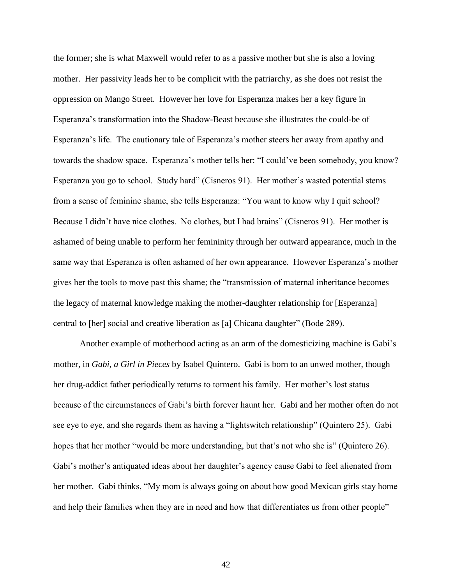the former; she is what Maxwell would refer to as a passive mother but she is also a loving mother. Her passivity leads her to be complicit with the patriarchy, as she does not resist the oppression on Mango Street. However her love for Esperanza makes her a key figure in Esperanza's transformation into the Shadow-Beast because she illustrates the could-be of Esperanza's life. The cautionary tale of Esperanza's mother steers her away from apathy and towards the shadow space. Esperanza's mother tells her: "I could've been somebody, you know? Esperanza you go to school. Study hard" (Cisneros 91). Her mother's wasted potential stems from a sense of feminine shame, she tells Esperanza: "You want to know why I quit school? Because I didn't have nice clothes. No clothes, but I had brains" (Cisneros 91). Her mother is ashamed of being unable to perform her femininity through her outward appearance, much in the same way that Esperanza is often ashamed of her own appearance. However Esperanza's mother gives her the tools to move past this shame; the "transmission of maternal inheritance becomes the legacy of maternal knowledge making the mother-daughter relationship for [Esperanza] central to [her] social and creative liberation as [a] Chicana daughter" (Bode 289).

Another example of motherhood acting as an arm of the domesticizing machine is Gabi's mother, in *Gabi, a Girl in Pieces* by Isabel Quintero. Gabi is born to an unwed mother, though her drug-addict father periodically returns to torment his family. Her mother's lost status because of the circumstances of Gabi's birth forever haunt her. Gabi and her mother often do not see eye to eye, and she regards them as having a "lightswitch relationship" (Quintero 25). Gabi hopes that her mother "would be more understanding, but that's not who she is" (Quintero 26). Gabi's mother's antiquated ideas about her daughter's agency cause Gabi to feel alienated from her mother. Gabi thinks, "My mom is always going on about how good Mexican girls stay home and help their families when they are in need and how that differentiates us from other people"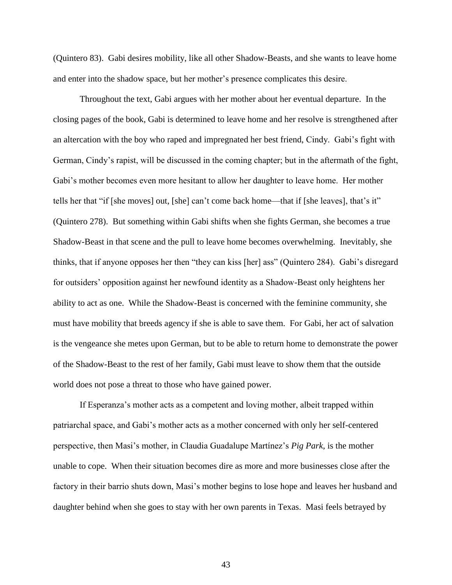(Quintero 83). Gabi desires mobility, like all other Shadow-Beasts, and she wants to leave home and enter into the shadow space, but her mother's presence complicates this desire.

Throughout the text, Gabi argues with her mother about her eventual departure. In the closing pages of the book, Gabi is determined to leave home and her resolve is strengthened after an altercation with the boy who raped and impregnated her best friend, Cindy. Gabi's fight with German, Cindy's rapist, will be discussed in the coming chapter; but in the aftermath of the fight, Gabi's mother becomes even more hesitant to allow her daughter to leave home. Her mother tells her that "if [she moves] out, [she] can't come back home—that if [she leaves], that's it" (Quintero 278). But something within Gabi shifts when she fights German, she becomes a true Shadow-Beast in that scene and the pull to leave home becomes overwhelming. Inevitably, she thinks, that if anyone opposes her then "they can kiss [her] ass" (Quintero 284). Gabi's disregard for outsiders' opposition against her newfound identity as a Shadow-Beast only heightens her ability to act as one. While the Shadow-Beast is concerned with the feminine community, she must have mobility that breeds agency if she is able to save them. For Gabi, her act of salvation is the vengeance she metes upon German, but to be able to return home to demonstrate the power of the Shadow-Beast to the rest of her family, Gabi must leave to show them that the outside world does not pose a threat to those who have gained power.

If Esperanza's mother acts as a competent and loving mother, albeit trapped within patriarchal space, and Gabi's mother acts as a mother concerned with only her self-centered perspective, then Masi's mother, in Claudia Guadalupe Martínez's *Pig Park*, is the mother unable to cope. When their situation becomes dire as more and more businesses close after the factory in their barrio shuts down, Masi's mother begins to lose hope and leaves her husband and daughter behind when she goes to stay with her own parents in Texas. Masi feels betrayed by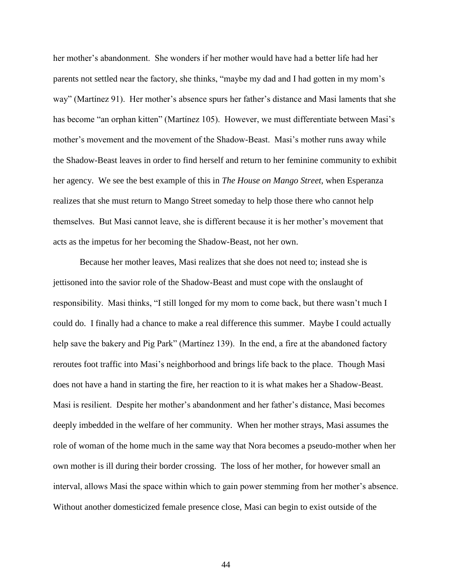her mother's abandonment. She wonders if her mother would have had a better life had her parents not settled near the factory, she thinks, "maybe my dad and I had gotten in my mom's way" (Martínez 91). Her mother's absence spurs her father's distance and Masi laments that she has become "an orphan kitten" (Martínez 105). However, we must differentiate between Masi's mother's movement and the movement of the Shadow-Beast. Masi's mother runs away while the Shadow-Beast leaves in order to find herself and return to her feminine community to exhibit her agency. We see the best example of this in *The House on Mango Street*, when Esperanza realizes that she must return to Mango Street someday to help those there who cannot help themselves. But Masi cannot leave, she is different because it is her mother's movement that acts as the impetus for her becoming the Shadow-Beast, not her own.

Because her mother leaves, Masi realizes that she does not need to; instead she is jettisoned into the savior role of the Shadow-Beast and must cope with the onslaught of responsibility. Masi thinks, "I still longed for my mom to come back, but there wasn't much I could do. I finally had a chance to make a real difference this summer. Maybe I could actually help save the bakery and Pig Park" (Martínez 139). In the end, a fire at the abandoned factory reroutes foot traffic into Masi's neighborhood and brings life back to the place. Though Masi does not have a hand in starting the fire, her reaction to it is what makes her a Shadow-Beast. Masi is resilient. Despite her mother's abandonment and her father's distance, Masi becomes deeply imbedded in the welfare of her community. When her mother strays, Masi assumes the role of woman of the home much in the same way that Nora becomes a pseudo-mother when her own mother is ill during their border crossing. The loss of her mother, for however small an interval, allows Masi the space within which to gain power stemming from her mother's absence. Without another domesticized female presence close, Masi can begin to exist outside of the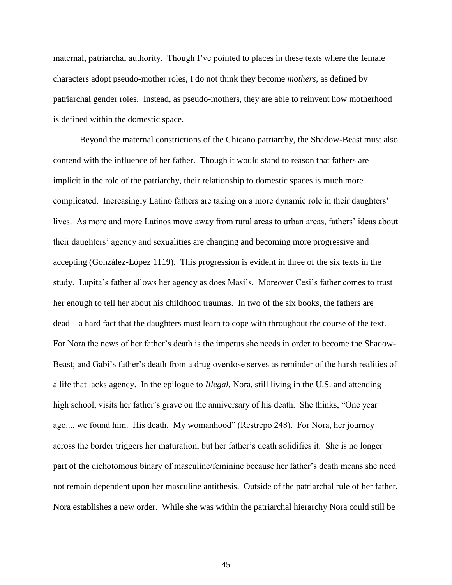maternal, patriarchal authority. Though I've pointed to places in these texts where the female characters adopt pseudo-mother roles, I do not think they become *mothers*, as defined by patriarchal gender roles. Instead, as pseudo-mothers, they are able to reinvent how motherhood is defined within the domestic space.

Beyond the maternal constrictions of the Chicano patriarchy, the Shadow-Beast must also contend with the influence of her father. Though it would stand to reason that fathers are implicit in the role of the patriarchy, their relationship to domestic spaces is much more complicated. Increasingly Latino fathers are taking on a more dynamic role in their daughters' lives. As more and more Latinos move away from rural areas to urban areas, fathers' ideas about their daughters' agency and sexualities are changing and becoming more progressive and accepting (González-López 1119). This progression is evident in three of the six texts in the study. Lupita's father allows her agency as does Masi's. Moreover Cesi's father comes to trust her enough to tell her about his childhood traumas. In two of the six books, the fathers are dead—a hard fact that the daughters must learn to cope with throughout the course of the text. For Nora the news of her father's death is the impetus she needs in order to become the Shadow-Beast; and Gabi's father's death from a drug overdose serves as reminder of the harsh realities of a life that lacks agency. In the epilogue to *Illegal*, Nora, still living in the U.S. and attending high school, visits her father's grave on the anniversary of his death. She thinks, "One year ago..., we found him. His death. My womanhood" (Restrepo 248). For Nora, her journey across the border triggers her maturation, but her father's death solidifies it. She is no longer part of the dichotomous binary of masculine/feminine because her father's death means she need not remain dependent upon her masculine antithesis. Outside of the patriarchal rule of her father, Nora establishes a new order. While she was within the patriarchal hierarchy Nora could still be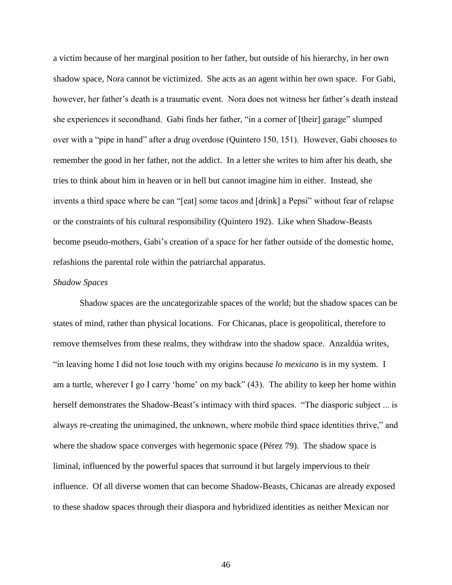a victim because of her marginal position to her father, but outside of his hierarchy, in her own shadow space, Nora cannot be victimized. She acts as an agent within her own space. For Gabi, however, her father's death is a traumatic event. Nora does not witness her father's death instead she experiences it secondhand. Gabi finds her father, "in a corner of [their] garage" slumped over with a "pipe in hand" after a drug overdose (Quintero 150, 151). However, Gabi chooses to remember the good in her father, not the addict. In a letter she writes to him after his death, she tries to think about him in heaven or in hell but cannot imagine him in either. Instead, she invents a third space where he can "[eat] some tacos and [drink] a Pepsi" without fear of relapse or the constraints of his cultural responsibility (Quintero 192). Like when Shadow-Beasts become pseudo-mothers, Gabi's creation of a space for her father outside of the domestic home, refashions the parental role within the patriarchal apparatus.

### *Shadow Spaces*

Shadow spaces are the uncategorizable spaces of the world; but the shadow spaces can be states of mind, rather than physical locations. For Chicanas, place is geopolitical, therefore to remove themselves from these realms, they withdraw into the shadow space. Anzaldúa writes, "in leaving home I did not lose touch with my origins because *lo mexicano* is in my system. I am a turtle, wherever I go I carry 'home' on my back" (43). The ability to keep her home within herself demonstrates the Shadow-Beast's intimacy with third spaces. "The diasporic subject ... is always re-creating the unimagined, the unknown, where mobile third space identities thrive," and where the shadow space converges with hegemonic space (Pérez 79). The shadow space is liminal, influenced by the powerful spaces that surround it but largely impervious to their influence. Of all diverse women that can become Shadow-Beasts, Chicanas are already exposed to these shadow spaces through their diaspora and hybridized identities as neither Mexican nor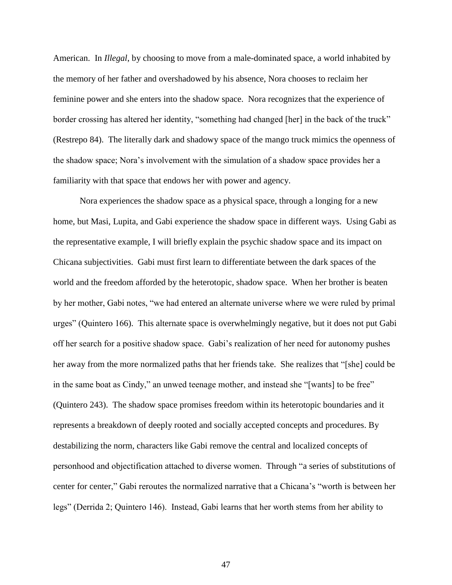American. In *Illegal*, by choosing to move from a male-dominated space, a world inhabited by the memory of her father and overshadowed by his absence, Nora chooses to reclaim her feminine power and she enters into the shadow space. Nora recognizes that the experience of border crossing has altered her identity, "something had changed [her] in the back of the truck" (Restrepo 84). The literally dark and shadowy space of the mango truck mimics the openness of the shadow space; Nora's involvement with the simulation of a shadow space provides her a familiarity with that space that endows her with power and agency.

Nora experiences the shadow space as a physical space, through a longing for a new home, but Masi, Lupita, and Gabi experience the shadow space in different ways. Using Gabi as the representative example, I will briefly explain the psychic shadow space and its impact on Chicana subjectivities. Gabi must first learn to differentiate between the dark spaces of the world and the freedom afforded by the heterotopic, shadow space. When her brother is beaten by her mother, Gabi notes, "we had entered an alternate universe where we were ruled by primal urges" (Quintero 166). This alternate space is overwhelmingly negative, but it does not put Gabi off her search for a positive shadow space. Gabi's realization of her need for autonomy pushes her away from the more normalized paths that her friends take. She realizes that "[she] could be in the same boat as Cindy," an unwed teenage mother, and instead she "[wants] to be free" (Quintero 243). The shadow space promises freedom within its heterotopic boundaries and it represents a breakdown of deeply rooted and socially accepted concepts and procedures. By destabilizing the norm, characters like Gabi remove the central and localized concepts of personhood and objectification attached to diverse women. Through "a series of substitutions of center for center," Gabi reroutes the normalized narrative that a Chicana's "worth is between her legs" (Derrida 2; Quintero 146). Instead, Gabi learns that her worth stems from her ability to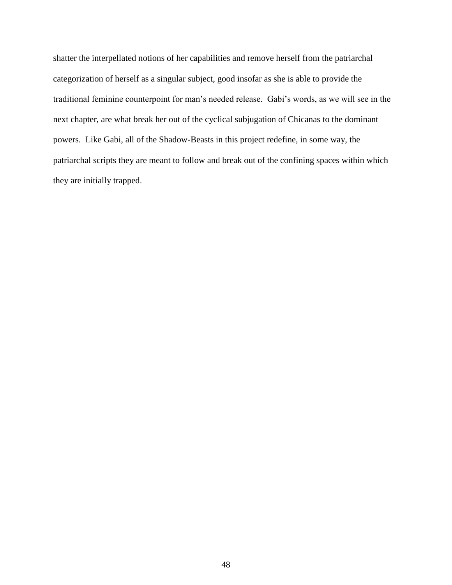shatter the interpellated notions of her capabilities and remove herself from the patriarchal categorization of herself as a singular subject, good insofar as she is able to provide the traditional feminine counterpoint for man's needed release. Gabi's words, as we will see in the next chapter, are what break her out of the cyclical subjugation of Chicanas to the dominant powers. Like Gabi, all of the Shadow-Beasts in this project redefine, in some way, the patriarchal scripts they are meant to follow and break out of the confining spaces within which they are initially trapped.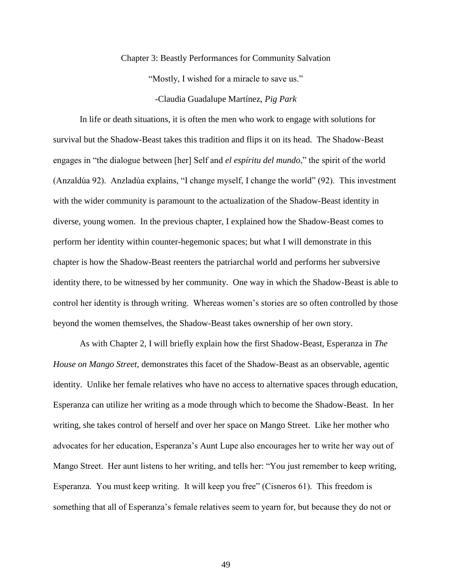#### Chapter 3: Beastly Performances for Community Salvation

"Mostly, I wished for a miracle to save us."

-Claudia Guadalupe Martínez, *Pig Park*

In life or death situations, it is often the men who work to engage with solutions for survival but the Shadow-Beast takes this tradition and flips it on its head. The Shadow-Beast engages in "the dialogue between [her] Self and *el espíritu del mundo*," the spirit of the world (Anzaldúa 92). Anzladúa explains, "I change myself, I change the world" (92). This investment with the wider community is paramount to the actualization of the Shadow-Beast identity in diverse, young women. In the previous chapter, I explained how the Shadow-Beast comes to perform her identity within counter-hegemonic spaces; but what I will demonstrate in this chapter is how the Shadow-Beast reenters the patriarchal world and performs her subversive identity there, to be witnessed by her community. One way in which the Shadow-Beast is able to control her identity is through writing. Whereas women's stories are so often controlled by those beyond the women themselves, the Shadow-Beast takes ownership of her own story.

As with Chapter 2, I will briefly explain how the first Shadow-Beast, Esperanza in *The House on Mango Street,* demonstrates this facet of the Shadow-Beast as an observable, agentic identity. Unlike her female relatives who have no access to alternative spaces through education, Esperanza can utilize her writing as a mode through which to become the Shadow-Beast. In her writing, she takes control of herself and over her space on Mango Street. Like her mother who advocates for her education, Esperanza's Aunt Lupe also encourages her to write her way out of Mango Street. Her aunt listens to her writing, and tells her: "You just remember to keep writing, Esperanza. You must keep writing. It will keep you free" (Cisneros 61). This freedom is something that all of Esperanza's female relatives seem to yearn for, but because they do not or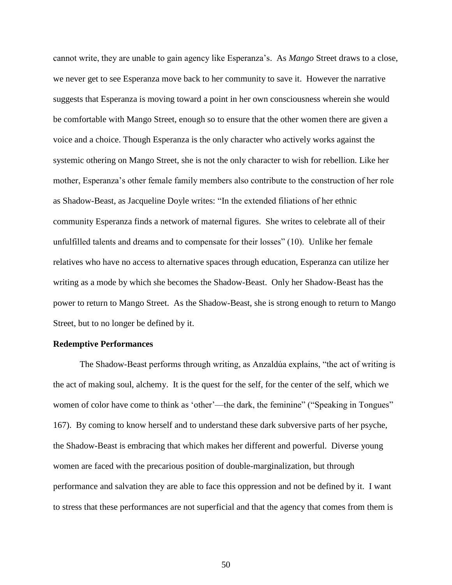cannot write, they are unable to gain agency like Esperanza's. As *Mango* Street draws to a close, we never get to see Esperanza move back to her community to save it. However the narrative suggests that Esperanza is moving toward a point in her own consciousness wherein she would be comfortable with Mango Street, enough so to ensure that the other women there are given a voice and a choice. Though Esperanza is the only character who actively works against the systemic othering on Mango Street, she is not the only character to wish for rebellion. Like her mother, Esperanza's other female family members also contribute to the construction of her role as Shadow-Beast, as Jacqueline Doyle writes: "In the extended filiations of her ethnic community Esperanza finds a network of maternal figures. She writes to celebrate all of their unfulfilled talents and dreams and to compensate for their losses" (10). Unlike her female relatives who have no access to alternative spaces through education, Esperanza can utilize her writing as a mode by which she becomes the Shadow-Beast. Only her Shadow-Beast has the power to return to Mango Street. As the Shadow-Beast, she is strong enough to return to Mango Street, but to no longer be defined by it.

### **Redemptive Performances**

The Shadow-Beast performs through writing, as Anzaldúa explains, "the act of writing is the act of making soul, alchemy. It is the quest for the self, for the center of the self, which we women of color have come to think as 'other'—the dark, the feminine" ("Speaking in Tongues" 167). By coming to know herself and to understand these dark subversive parts of her psyche, the Shadow-Beast is embracing that which makes her different and powerful. Diverse young women are faced with the precarious position of double-marginalization, but through performance and salvation they are able to face this oppression and not be defined by it. I want to stress that these performances are not superficial and that the agency that comes from them is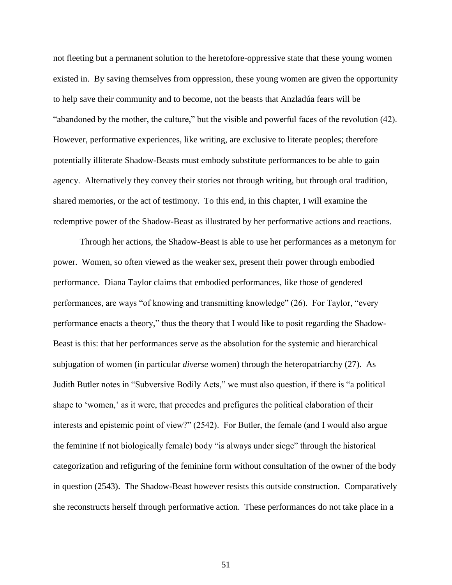not fleeting but a permanent solution to the heretofore-oppressive state that these young women existed in. By saving themselves from oppression, these young women are given the opportunity to help save their community and to become, not the beasts that Anzladúa fears will be "abandoned by the mother, the culture," but the visible and powerful faces of the revolution (42). However, performative experiences, like writing, are exclusive to literate peoples; therefore potentially illiterate Shadow-Beasts must embody substitute performances to be able to gain agency. Alternatively they convey their stories not through writing, but through oral tradition, shared memories, or the act of testimony. To this end, in this chapter, I will examine the redemptive power of the Shadow-Beast as illustrated by her performative actions and reactions.

Through her actions, the Shadow-Beast is able to use her performances as a metonym for power. Women, so often viewed as the weaker sex, present their power through embodied performance. Diana Taylor claims that embodied performances, like those of gendered performances, are ways "of knowing and transmitting knowledge" (26). For Taylor, "every performance enacts a theory," thus the theory that I would like to posit regarding the Shadow-Beast is this: that her performances serve as the absolution for the systemic and hierarchical subjugation of women (in particular *diverse* women) through the heteropatriarchy (27). As Judith Butler notes in "Subversive Bodily Acts," we must also question, if there is "a political shape to 'women,' as it were, that precedes and prefigures the political elaboration of their interests and epistemic point of view?" (2542). For Butler, the female (and I would also argue the feminine if not biologically female) body "is always under siege" through the historical categorization and refiguring of the feminine form without consultation of the owner of the body in question (2543). The Shadow-Beast however resists this outside construction. Comparatively she reconstructs herself through performative action. These performances do not take place in a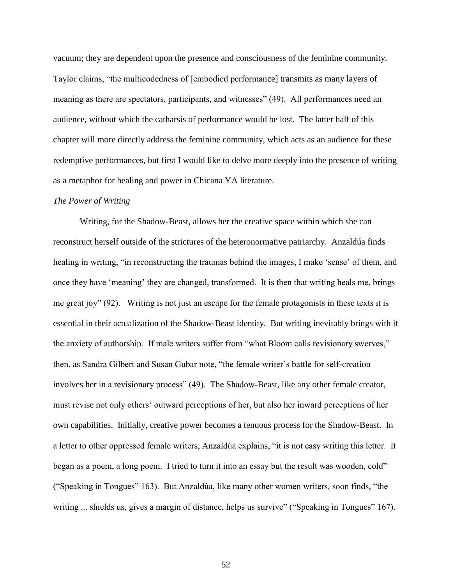vacuum; they are dependent upon the presence and consciousness of the feminine community. Taylor claims, "the multicodedness of [embodied performance] transmits as many layers of meaning as there are spectators, participants, and witnesses" (49). All performances need an audience, without which the catharsis of performance would be lost. The latter half of this chapter will more directly address the feminine community, which acts as an audience for these redemptive performances, but first I would like to delve more deeply into the presence of writing as a metaphor for healing and power in Chicana YA literature.

### *The Power of Writing*

Writing, for the Shadow-Beast, allows her the creative space within which she can reconstruct herself outside of the strictures of the heteronormative patriarchy. Anzaldúa finds healing in writing, "in reconstructing the traumas behind the images, I make 'sense' of them, and once they have 'meaning' they are changed, transformed. It is then that writing heals me, brings me great joy" (92). Writing is not just an escape for the female protagonists in these texts it is essential in their actualization of the Shadow-Beast identity. But writing inevitably brings with it the anxiety of authorship. If male writers suffer from "what Bloom calls revisionary swerves," then, as Sandra Gilbert and Susan Gubar note, "the female writer's battle for self-creation involves her in a revisionary process" (49). The Shadow-Beast, like any other female creator, must revise not only others' outward perceptions of her, but also her inward perceptions of her own capabilities. Initially, creative power becomes a tenuous process for the Shadow-Beast. In a letter to other oppressed female writers, Anzaldúa explains, "it is not easy writing this letter. It began as a poem, a long poem. I tried to turn it into an essay but the result was wooden, cold" ("Speaking in Tongues" 163). But Anzaldúa, like many other women writers, soon finds, "the writing ... shields us, gives a margin of distance, helps us survive" ("Speaking in Tongues" 167).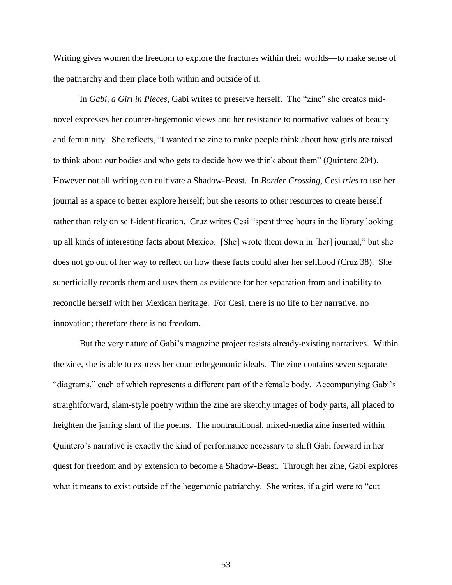Writing gives women the freedom to explore the fractures within their worlds—to make sense of the patriarchy and their place both within and outside of it.

In *Gabi, a Girl in Pieces*, Gabi writes to preserve herself. The "zine" she creates midnovel expresses her counter-hegemonic views and her resistance to normative values of beauty and femininity. She reflects, "I wanted the zine to make people think about how girls are raised to think about our bodies and who gets to decide how we think about them" (Quintero 204). However not all writing can cultivate a Shadow-Beast. In *Border Crossing,* Cesi *tries* to use her journal as a space to better explore herself; but she resorts to other resources to create herself rather than rely on self-identification. Cruz writes Cesi "spent three hours in the library looking up all kinds of interesting facts about Mexico. [She] wrote them down in [her] journal," but she does not go out of her way to reflect on how these facts could alter her selfhood (Cruz 38). She superficially records them and uses them as evidence for her separation from and inability to reconcile herself with her Mexican heritage. For Cesi, there is no life to her narrative, no innovation; therefore there is no freedom.

But the very nature of Gabi's magazine project resists already-existing narratives. Within the zine, she is able to express her counterhegemonic ideals. The zine contains seven separate "diagrams," each of which represents a different part of the female body. Accompanying Gabi's straightforward, slam-style poetry within the zine are sketchy images of body parts, all placed to heighten the jarring slant of the poems. The nontraditional, mixed-media zine inserted within Quintero's narrative is exactly the kind of performance necessary to shift Gabi forward in her quest for freedom and by extension to become a Shadow-Beast. Through her zine, Gabi explores what it means to exist outside of the hegemonic patriarchy. She writes, if a girl were to "cut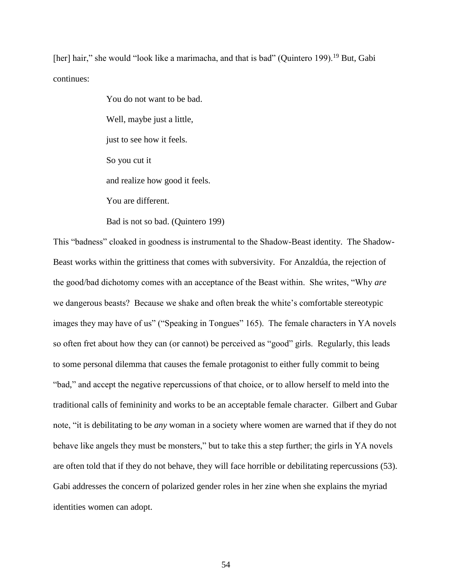[her] hair," she would "look like a marimacha, and that is bad" (Quintero 199).<sup>19</sup> But, Gabi continues:

> You do not want to be bad. Well, maybe just a little, just to see how it feels. So you cut it and realize how good it feels. You are different.

Bad is not so bad. (Quintero 199)

This "badness" cloaked in goodness is instrumental to the Shadow-Beast identity. The Shadow-Beast works within the grittiness that comes with subversivity. For Anzaldúa, the rejection of the good/bad dichotomy comes with an acceptance of the Beast within. She writes, "Why *are* we dangerous beasts? Because we shake and often break the white's comfortable stereotypic images they may have of us" ("Speaking in Tongues" 165). The female characters in YA novels so often fret about how they can (or cannot) be perceived as "good" girls. Regularly, this leads to some personal dilemma that causes the female protagonist to either fully commit to being "bad," and accept the negative repercussions of that choice, or to allow herself to meld into the traditional calls of femininity and works to be an acceptable female character. Gilbert and Gubar note, "it is debilitating to be *any* woman in a society where women are warned that if they do not behave like angels they must be monsters," but to take this a step further; the girls in YA novels are often told that if they do not behave, they will face horrible or debilitating repercussions (53). Gabi addresses the concern of polarized gender roles in her zine when she explains the myriad identities women can adopt.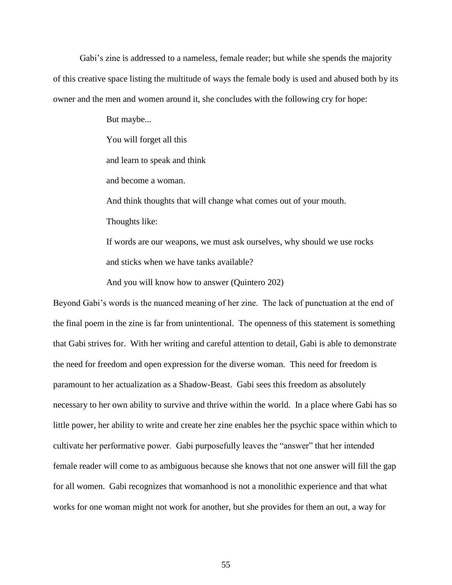Gabi's zine is addressed to a nameless, female reader; but while she spends the majority of this creative space listing the multitude of ways the female body is used and abused both by its owner and the men and women around it, she concludes with the following cry for hope:

> But maybe... You will forget all this and learn to speak and think and become a woman. And think thoughts that will change what comes out of your mouth. Thoughts like: If words are our weapons, we must ask ourselves, why should we use rocks and sticks when we have tanks available?

And you will know how to answer (Quintero 202)

Beyond Gabi's words is the nuanced meaning of her zine. The lack of punctuation at the end of the final poem in the zine is far from unintentional. The openness of this statement is something that Gabi strives for. With her writing and careful attention to detail, Gabi is able to demonstrate the need for freedom and open expression for the diverse woman. This need for freedom is paramount to her actualization as a Shadow-Beast. Gabi sees this freedom as absolutely necessary to her own ability to survive and thrive within the world. In a place where Gabi has so little power, her ability to write and create her zine enables her the psychic space within which to cultivate her performative power. Gabi purposefully leaves the "answer" that her intended female reader will come to as ambiguous because she knows that not one answer will fill the gap for all women. Gabi recognizes that womanhood is not a monolithic experience and that what works for one woman might not work for another, but she provides for them an out, a way for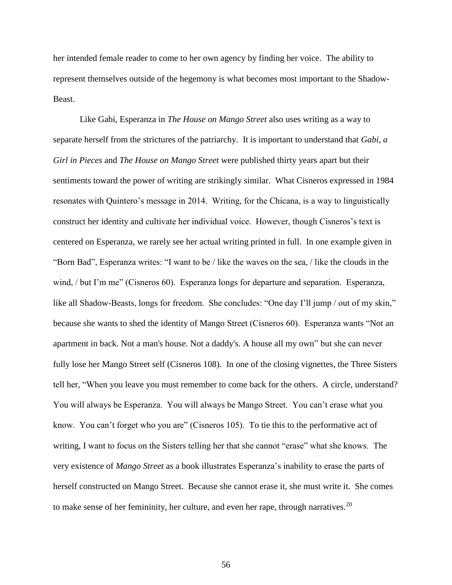her intended female reader to come to her own agency by finding her voice. The ability to represent themselves outside of the hegemony is what becomes most important to the Shadow-Beast.

Like Gabi, Esperanza in *The House on Mango Street* also uses writing as a way to separate herself from the strictures of the patriarchy. It is important to understand that *Gabi, a Girl in Pieces* and *The House on Mango Street* were published thirty years apart but their sentiments toward the power of writing are strikingly similar. What Cisneros expressed in 1984 resonates with Quintero's message in 2014. Writing, for the Chicana, is a way to linguistically construct her identity and cultivate her individual voice. However, though Cisneros's text is centered on Esperanza, we rarely see her actual writing printed in full. In one example given in "Born Bad", Esperanza writes: "I want to be / like the waves on the sea, / like the clouds in the wind, / but I'm me" (Cisneros 60). Esperanza longs for departure and separation. Esperanza, like all Shadow-Beasts, longs for freedom. She concludes: "One day I'll jump / out of my skin," because she wants to shed the identity of Mango Street (Cisneros 60). Esperanza wants "Not an apartment in back. Not a man's house. Not a daddy's. A house all my own" but she can never fully lose her Mango Street self (Cisneros 108). In one of the closing vignettes, the Three Sisters tell her, "When you leave you must remember to come back for the others. A circle, understand? You will always be Esperanza. You will always be Mango Street. You can't erase what you know. You can't forget who you are" (Cisneros 105). To tie this to the performative act of writing, I want to focus on the Sisters telling her that she cannot "erase" what she knows. The very existence of *Mango Street* as a book illustrates Esperanza's inability to erase the parts of herself constructed on Mango Street. Because she cannot erase it, she must write it. She comes to make sense of her femininity, her culture, and even her rape, through narratives. $20$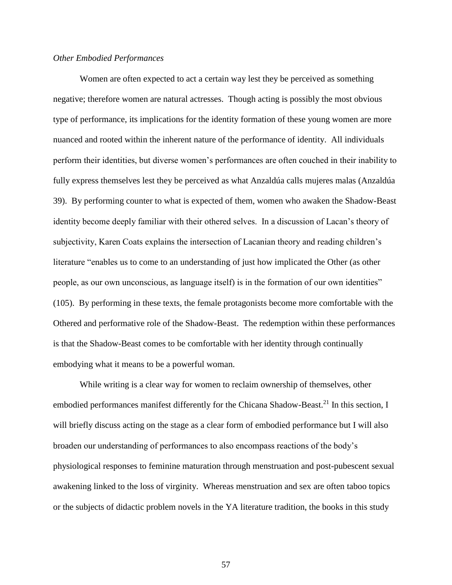### *Other Embodied Performances*

Women are often expected to act a certain way lest they be perceived as something negative; therefore women are natural actresses. Though acting is possibly the most obvious type of performance, its implications for the identity formation of these young women are more nuanced and rooted within the inherent nature of the performance of identity. All individuals perform their identities, but diverse women's performances are often couched in their inability to fully express themselves lest they be perceived as what Anzaldúa calls mujeres malas (Anzaldúa 39). By performing counter to what is expected of them, women who awaken the Shadow-Beast identity become deeply familiar with their othered selves. In a discussion of Lacan's theory of subjectivity, Karen Coats explains the intersection of Lacanian theory and reading children's literature "enables us to come to an understanding of just how implicated the Other (as other people, as our own unconscious, as language itself) is in the formation of our own identities" (105). By performing in these texts, the female protagonists become more comfortable with the Othered and performative role of the Shadow-Beast. The redemption within these performances is that the Shadow-Beast comes to be comfortable with her identity through continually embodying what it means to be a powerful woman.

While writing is a clear way for women to reclaim ownership of themselves, other embodied performances manifest differently for the Chicana Shadow-Beast.<sup>21</sup> In this section, I will briefly discuss acting on the stage as a clear form of embodied performance but I will also broaden our understanding of performances to also encompass reactions of the body's physiological responses to feminine maturation through menstruation and post-pubescent sexual awakening linked to the loss of virginity. Whereas menstruation and sex are often taboo topics or the subjects of didactic problem novels in the YA literature tradition, the books in this study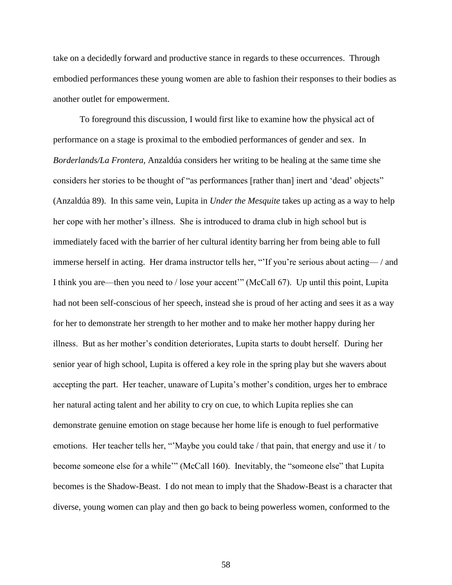take on a decidedly forward and productive stance in regards to these occurrences. Through embodied performances these young women are able to fashion their responses to their bodies as another outlet for empowerment.

To foreground this discussion, I would first like to examine how the physical act of performance on a stage is proximal to the embodied performances of gender and sex. In *Borderlands/La Frontera,* Anzaldúa considers her writing to be healing at the same time she considers her stories to be thought of "as performances [rather than] inert and 'dead' objects" (Anzaldúa 89). In this same vein, Lupita in *Under the Mesquite* takes up acting as a way to help her cope with her mother's illness. She is introduced to drama club in high school but is immediately faced with the barrier of her cultural identity barring her from being able to full immerse herself in acting. Her drama instructor tells her, "'If you're serious about acting— / and I think you are—then you need to / lose your accent'" (McCall 67). Up until this point, Lupita had not been self-conscious of her speech, instead she is proud of her acting and sees it as a way for her to demonstrate her strength to her mother and to make her mother happy during her illness. But as her mother's condition deteriorates, Lupita starts to doubt herself. During her senior year of high school, Lupita is offered a key role in the spring play but she wavers about accepting the part. Her teacher, unaware of Lupita's mother's condition, urges her to embrace her natural acting talent and her ability to cry on cue, to which Lupita replies she can demonstrate genuine emotion on stage because her home life is enough to fuel performative emotions. Her teacher tells her, "'Maybe you could take / that pain, that energy and use it / to become someone else for a while'" (McCall 160). Inevitably, the "someone else" that Lupita becomes is the Shadow-Beast. I do not mean to imply that the Shadow-Beast is a character that diverse, young women can play and then go back to being powerless women, conformed to the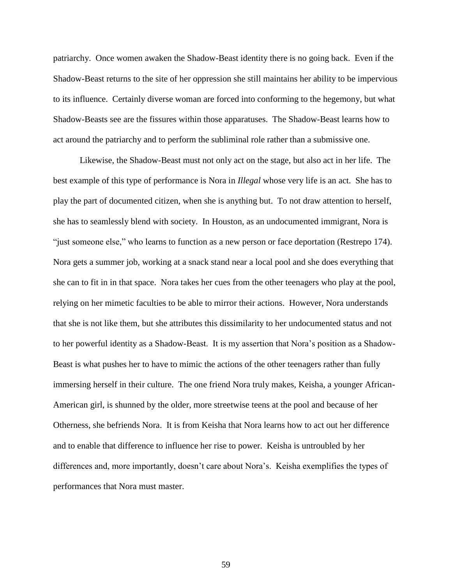patriarchy. Once women awaken the Shadow-Beast identity there is no going back. Even if the Shadow-Beast returns to the site of her oppression she still maintains her ability to be impervious to its influence. Certainly diverse woman are forced into conforming to the hegemony, but what Shadow-Beasts see are the fissures within those apparatuses. The Shadow-Beast learns how to act around the patriarchy and to perform the subliminal role rather than a submissive one.

Likewise, the Shadow-Beast must not only act on the stage, but also act in her life. The best example of this type of performance is Nora in *Illegal* whose very life is an act. She has to play the part of documented citizen, when she is anything but. To not draw attention to herself, she has to seamlessly blend with society. In Houston, as an undocumented immigrant, Nora is "just someone else," who learns to function as a new person or face deportation (Restrepo 174). Nora gets a summer job, working at a snack stand near a local pool and she does everything that she can to fit in in that space. Nora takes her cues from the other teenagers who play at the pool, relying on her mimetic faculties to be able to mirror their actions. However, Nora understands that she is not like them, but she attributes this dissimilarity to her undocumented status and not to her powerful identity as a Shadow-Beast. It is my assertion that Nora's position as a Shadow-Beast is what pushes her to have to mimic the actions of the other teenagers rather than fully immersing herself in their culture. The one friend Nora truly makes, Keisha, a younger African-American girl, is shunned by the older, more streetwise teens at the pool and because of her Otherness, she befriends Nora. It is from Keisha that Nora learns how to act out her difference and to enable that difference to influence her rise to power. Keisha is untroubled by her differences and, more importantly, doesn't care about Nora's. Keisha exemplifies the types of performances that Nora must master.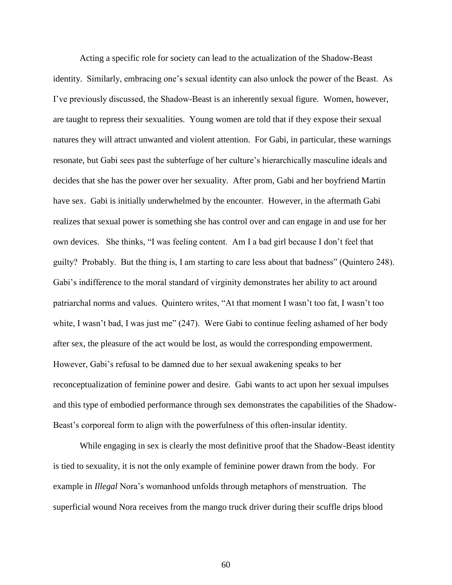Acting a specific role for society can lead to the actualization of the Shadow-Beast identity. Similarly, embracing one's sexual identity can also unlock the power of the Beast. As I've previously discussed, the Shadow-Beast is an inherently sexual figure. Women, however, are taught to repress their sexualities. Young women are told that if they expose their sexual natures they will attract unwanted and violent attention. For Gabi, in particular, these warnings resonate, but Gabi sees past the subterfuge of her culture's hierarchically masculine ideals and decides that she has the power over her sexuality. After prom, Gabi and her boyfriend Martin have sex. Gabi is initially underwhelmed by the encounter. However, in the aftermath Gabi realizes that sexual power is something she has control over and can engage in and use for her own devices. She thinks, "I was feeling content. Am I a bad girl because I don't feel that guilty? Probably. But the thing is, I am starting to care less about that badness" (Quintero 248). Gabi's indifference to the moral standard of virginity demonstrates her ability to act around patriarchal norms and values. Quintero writes, "At that moment I wasn't too fat, I wasn't too white, I wasn't bad, I was just me" (247). Were Gabi to continue feeling ashamed of her body after sex, the pleasure of the act would be lost, as would the corresponding empowerment. However, Gabi's refusal to be damned due to her sexual awakening speaks to her reconceptualization of feminine power and desire. Gabi wants to act upon her sexual impulses and this type of embodied performance through sex demonstrates the capabilities of the Shadow-Beast's corporeal form to align with the powerfulness of this often-insular identity.

While engaging in sex is clearly the most definitive proof that the Shadow-Beast identity is tied to sexuality, it is not the only example of feminine power drawn from the body. For example in *Illegal* Nora's womanhood unfolds through metaphors of menstruation. The superficial wound Nora receives from the mango truck driver during their scuffle drips blood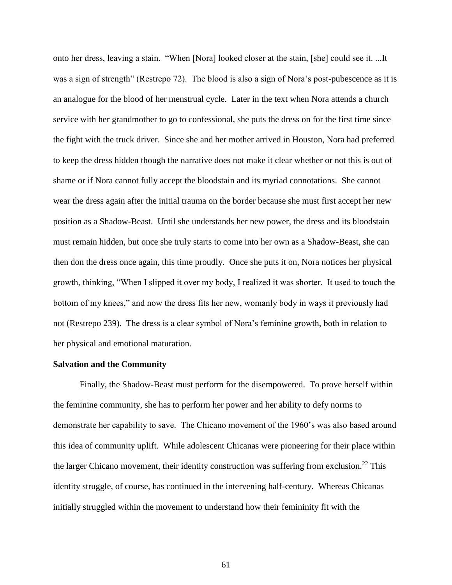onto her dress, leaving a stain. "When [Nora] looked closer at the stain, [she] could see it. ...It was a sign of strength" (Restrepo 72). The blood is also a sign of Nora's post-pubescence as it is an analogue for the blood of her menstrual cycle. Later in the text when Nora attends a church service with her grandmother to go to confessional, she puts the dress on for the first time since the fight with the truck driver. Since she and her mother arrived in Houston, Nora had preferred to keep the dress hidden though the narrative does not make it clear whether or not this is out of shame or if Nora cannot fully accept the bloodstain and its myriad connotations. She cannot wear the dress again after the initial trauma on the border because she must first accept her new position as a Shadow-Beast. Until she understands her new power, the dress and its bloodstain must remain hidden, but once she truly starts to come into her own as a Shadow-Beast, she can then don the dress once again, this time proudly. Once she puts it on, Nora notices her physical growth, thinking, "When I slipped it over my body, I realized it was shorter. It used to touch the bottom of my knees," and now the dress fits her new, womanly body in ways it previously had not (Restrepo 239). The dress is a clear symbol of Nora's feminine growth, both in relation to her physical and emotional maturation.

# **Salvation and the Community**

Finally, the Shadow-Beast must perform for the disempowered. To prove herself within the feminine community, she has to perform her power and her ability to defy norms to demonstrate her capability to save. The Chicano movement of the 1960's was also based around this idea of community uplift. While adolescent Chicanas were pioneering for their place within the larger Chicano movement, their identity construction was suffering from exclusion.<sup>22</sup> This identity struggle, of course, has continued in the intervening half-century. Whereas Chicanas initially struggled within the movement to understand how their femininity fit with the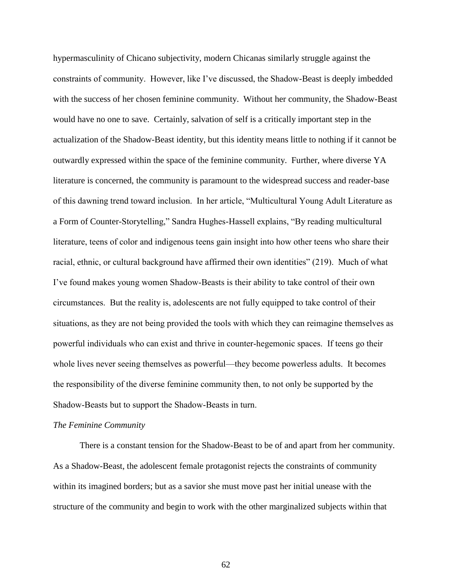hypermasculinity of Chicano subjectivity, modern Chicanas similarly struggle against the constraints of community. However, like I've discussed, the Shadow-Beast is deeply imbedded with the success of her chosen feminine community. Without her community, the Shadow-Beast would have no one to save. Certainly, salvation of self is a critically important step in the actualization of the Shadow-Beast identity, but this identity means little to nothing if it cannot be outwardly expressed within the space of the feminine community. Further, where diverse YA literature is concerned, the community is paramount to the widespread success and reader-base of this dawning trend toward inclusion. In her article, "Multicultural Young Adult Literature as a Form of Counter-Storytelling," Sandra Hughes-Hassell explains, "By reading multicultural literature, teens of color and indigenous teens gain insight into how other teens who share their racial, ethnic, or cultural background have affirmed their own identities" (219). Much of what I've found makes young women Shadow-Beasts is their ability to take control of their own circumstances. But the reality is, adolescents are not fully equipped to take control of their situations, as they are not being provided the tools with which they can reimagine themselves as powerful individuals who can exist and thrive in counter-hegemonic spaces. If teens go their whole lives never seeing themselves as powerful—they become powerless adults. It becomes the responsibility of the diverse feminine community then, to not only be supported by the Shadow-Beasts but to support the Shadow-Beasts in turn.

### *The Feminine Community*

There is a constant tension for the Shadow-Beast to be of and apart from her community. As a Shadow-Beast, the adolescent female protagonist rejects the constraints of community within its imagined borders; but as a savior she must move past her initial unease with the structure of the community and begin to work with the other marginalized subjects within that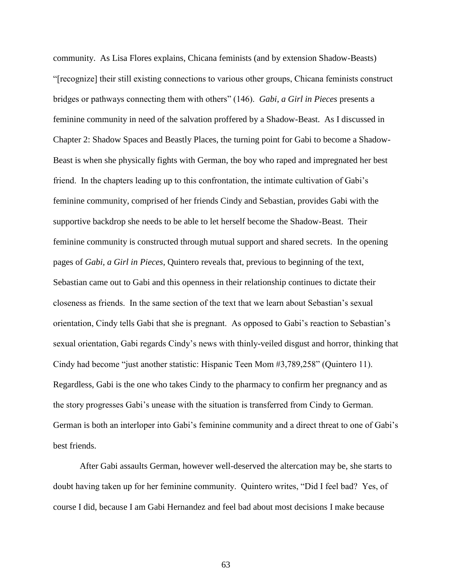community. As Lisa Flores explains, Chicana feminists (and by extension Shadow-Beasts) "[recognize] their still existing connections to various other groups, Chicana feminists construct bridges or pathways connecting them with others" (146). *Gabi, a Girl in Pieces* presents a feminine community in need of the salvation proffered by a Shadow-Beast. As I discussed in Chapter 2: Shadow Spaces and Beastly Places, the turning point for Gabi to become a Shadow-Beast is when she physically fights with German, the boy who raped and impregnated her best friend. In the chapters leading up to this confrontation, the intimate cultivation of Gabi's feminine community, comprised of her friends Cindy and Sebastian, provides Gabi with the supportive backdrop she needs to be able to let herself become the Shadow-Beast. Their feminine community is constructed through mutual support and shared secrets. In the opening pages of *Gabi, a Girl in Pieces*, Quintero reveals that, previous to beginning of the text, Sebastian came out to Gabi and this openness in their relationship continues to dictate their closeness as friends. In the same section of the text that we learn about Sebastian's sexual orientation, Cindy tells Gabi that she is pregnant. As opposed to Gabi's reaction to Sebastian's sexual orientation, Gabi regards Cindy's news with thinly-veiled disgust and horror, thinking that Cindy had become "just another statistic: Hispanic Teen Mom #3,789,258" (Quintero 11). Regardless, Gabi is the one who takes Cindy to the pharmacy to confirm her pregnancy and as the story progresses Gabi's unease with the situation is transferred from Cindy to German. German is both an interloper into Gabi's feminine community and a direct threat to one of Gabi's best friends.

After Gabi assaults German, however well-deserved the altercation may be, she starts to doubt having taken up for her feminine community. Quintero writes, "Did I feel bad? Yes, of course I did, because I am Gabi Hernandez and feel bad about most decisions I make because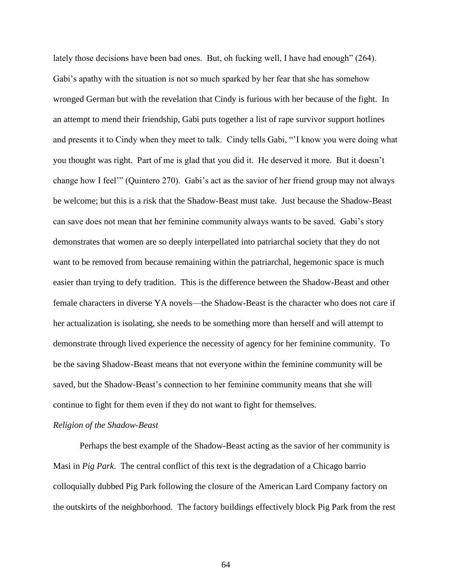lately those decisions have been bad ones. But, oh fucking well, I have had enough" (264). Gabi's apathy with the situation is not so much sparked by her fear that she has somehow wronged German but with the revelation that Cindy is furious with her because of the fight. In an attempt to mend their friendship, Gabi puts together a list of rape survivor support hotlines and presents it to Cindy when they meet to talk. Cindy tells Gabi, "'I know you were doing what you thought was right. Part of me is glad that you did it. He deserved it more. But it doesn't change how I feel'" (Quintero 270). Gabi's act as the savior of her friend group may not always be welcome; but this is a risk that the Shadow-Beast must take. Just because the Shadow-Beast can save does not mean that her feminine community always wants to be saved. Gabi's story demonstrates that women are so deeply interpellated into patriarchal society that they do not want to be removed from because remaining within the patriarchal, hegemonic space is much easier than trying to defy tradition. This is the difference between the Shadow-Beast and other female characters in diverse YA novels—the Shadow-Beast is the character who does not care if her actualization is isolating, she needs to be something more than herself and will attempt to demonstrate through lived experience the necessity of agency for her feminine community. To be the saving Shadow-Beast means that not everyone within the feminine community will be saved, but the Shadow-Beast's connection to her feminine community means that she will continue to fight for them even if they do not want to fight for themselves.

## *Religion of the Shadow-Beast*

Perhaps the best example of the Shadow-Beast acting as the savior of her community is Masi in *Pig Park*. The central conflict of this text is the degradation of a Chicago barrio colloquially dubbed Pig Park following the closure of the American Lard Company factory on the outskirts of the neighborhood. The factory buildings effectively block Pig Park from the rest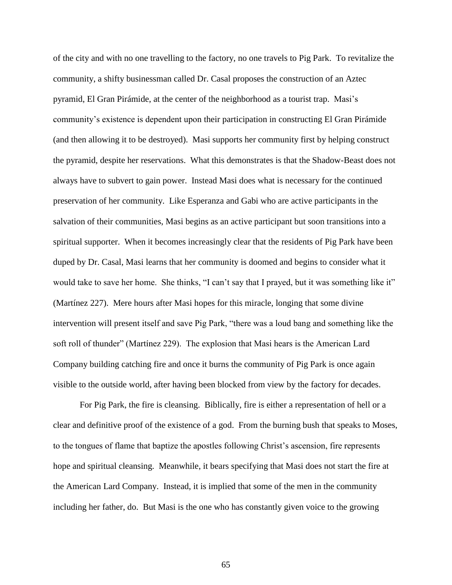of the city and with no one travelling to the factory, no one travels to Pig Park. To revitalize the community, a shifty businessman called Dr. Casal proposes the construction of an Aztec pyramid, El Gran Pirámide, at the center of the neighborhood as a tourist trap. Masi's community's existence is dependent upon their participation in constructing El Gran Pirámide (and then allowing it to be destroyed). Masi supports her community first by helping construct the pyramid, despite her reservations. What this demonstrates is that the Shadow-Beast does not always have to subvert to gain power. Instead Masi does what is necessary for the continued preservation of her community. Like Esperanza and Gabi who are active participants in the salvation of their communities, Masi begins as an active participant but soon transitions into a spiritual supporter. When it becomes increasingly clear that the residents of Pig Park have been duped by Dr. Casal, Masi learns that her community is doomed and begins to consider what it would take to save her home. She thinks, "I can't say that I prayed, but it was something like it" (Martínez 227). Mere hours after Masi hopes for this miracle, longing that some divine intervention will present itself and save Pig Park, "there was a loud bang and something like the soft roll of thunder" (Martínez 229). The explosion that Masi hears is the American Lard Company building catching fire and once it burns the community of Pig Park is once again visible to the outside world, after having been blocked from view by the factory for decades.

For Pig Park, the fire is cleansing. Biblically, fire is either a representation of hell or a clear and definitive proof of the existence of a god. From the burning bush that speaks to Moses, to the tongues of flame that baptize the apostles following Christ's ascension, fire represents hope and spiritual cleansing. Meanwhile, it bears specifying that Masi does not start the fire at the American Lard Company. Instead, it is implied that some of the men in the community including her father, do. But Masi is the one who has constantly given voice to the growing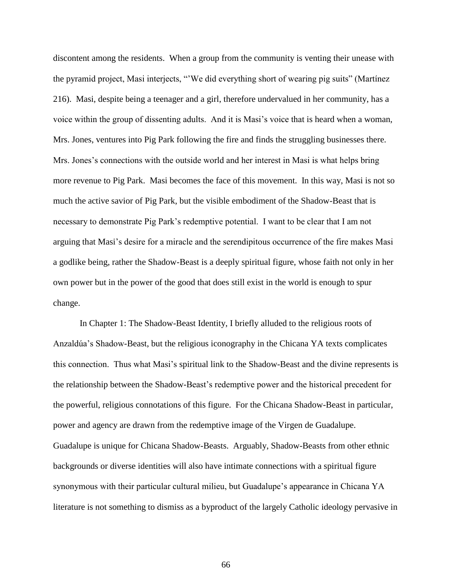discontent among the residents. When a group from the community is venting their unease with the pyramid project, Masi interjects, "'We did everything short of wearing pig suits" (Martínez 216). Masi, despite being a teenager and a girl, therefore undervalued in her community, has a voice within the group of dissenting adults. And it is Masi's voice that is heard when a woman, Mrs. Jones, ventures into Pig Park following the fire and finds the struggling businesses there. Mrs. Jones's connections with the outside world and her interest in Masi is what helps bring more revenue to Pig Park. Masi becomes the face of this movement. In this way, Masi is not so much the active savior of Pig Park, but the visible embodiment of the Shadow-Beast that is necessary to demonstrate Pig Park's redemptive potential. I want to be clear that I am not arguing that Masi's desire for a miracle and the serendipitous occurrence of the fire makes Masi a godlike being, rather the Shadow-Beast is a deeply spiritual figure, whose faith not only in her own power but in the power of the good that does still exist in the world is enough to spur change.

In Chapter 1: The Shadow-Beast Identity, I briefly alluded to the religious roots of Anzaldúa's Shadow-Beast, but the religious iconography in the Chicana YA texts complicates this connection. Thus what Masi's spiritual link to the Shadow-Beast and the divine represents is the relationship between the Shadow-Beast's redemptive power and the historical precedent for the powerful, religious connotations of this figure. For the Chicana Shadow-Beast in particular, power and agency are drawn from the redemptive image of the Virgen de Guadalupe. Guadalupe is unique for Chicana Shadow-Beasts. Arguably, Shadow-Beasts from other ethnic backgrounds or diverse identities will also have intimate connections with a spiritual figure synonymous with their particular cultural milieu, but Guadalupe's appearance in Chicana YA literature is not something to dismiss as a byproduct of the largely Catholic ideology pervasive in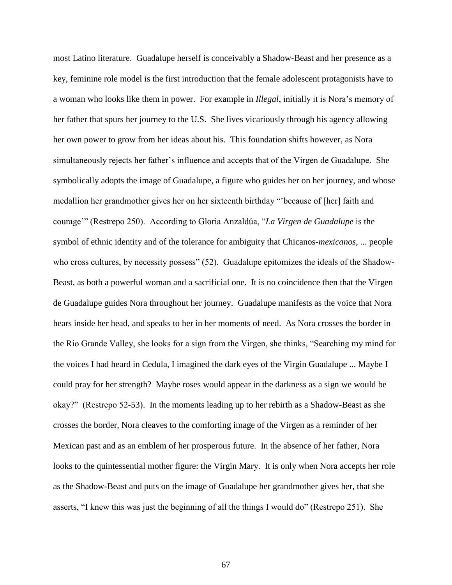most Latino literature. Guadalupe herself is conceivably a Shadow-Beast and her presence as a key, feminine role model is the first introduction that the female adolescent protagonists have to a woman who looks like them in power. For example in *Illegal*, initially it is Nora's memory of her father that spurs her journey to the U.S. She lives vicariously through his agency allowing her own power to grow from her ideas about his. This foundation shifts however, as Nora simultaneously rejects her father's influence and accepts that of the Virgen de Guadalupe. She symbolically adopts the image of Guadalupe, a figure who guides her on her journey, and whose medallion her grandmother gives her on her sixteenth birthday "'because of [her] faith and courage'" (Restrepo 250). According to Gloria Anzaldúa, "*La Virgen de Guadalupe* is the symbol of ethnic identity and of the tolerance for ambiguity that Chicanos-*mexicanos*, ... people who cross cultures, by necessity possess" (52). Guadalupe epitomizes the ideals of the Shadow-Beast, as both a powerful woman and a sacrificial one. It is no coincidence then that the Virgen de Guadalupe guides Nora throughout her journey. Guadalupe manifests as the voice that Nora hears inside her head, and speaks to her in her moments of need. As Nora crosses the border in the Rio Grande Valley, she looks for a sign from the Virgen, she thinks, "Searching my mind for the voices I had heard in Cedula, I imagined the dark eyes of the Virgin Guadalupe ... Maybe I could pray for her strength? Maybe roses would appear in the darkness as a sign we would be okay?" (Restrepo 52-53). In the moments leading up to her rebirth as a Shadow-Beast as she crosses the border, Nora cleaves to the comforting image of the Virgen as a reminder of her Mexican past and as an emblem of her prosperous future. In the absence of her father, Nora looks to the quintessential mother figure: the Virgin Mary. It is only when Nora accepts her role as the Shadow-Beast and puts on the image of Guadalupe her grandmother gives her, that she asserts, "I knew this was just the beginning of all the things I would do" (Restrepo 251). She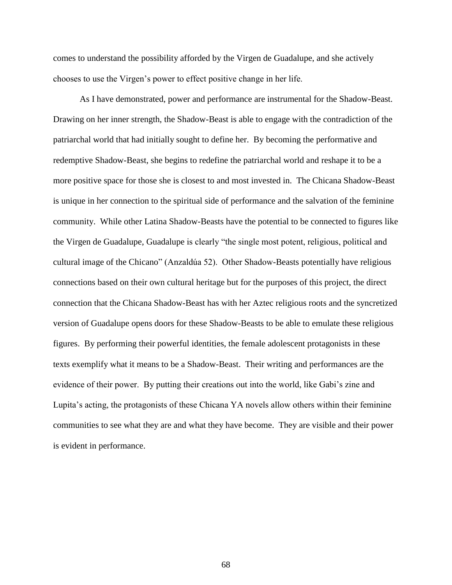comes to understand the possibility afforded by the Virgen de Guadalupe, and she actively chooses to use the Virgen's power to effect positive change in her life.

As I have demonstrated, power and performance are instrumental for the Shadow-Beast. Drawing on her inner strength, the Shadow-Beast is able to engage with the contradiction of the patriarchal world that had initially sought to define her. By becoming the performative and redemptive Shadow-Beast, she begins to redefine the patriarchal world and reshape it to be a more positive space for those she is closest to and most invested in. The Chicana Shadow-Beast is unique in her connection to the spiritual side of performance and the salvation of the feminine community. While other Latina Shadow-Beasts have the potential to be connected to figures like the Virgen de Guadalupe, Guadalupe is clearly "the single most potent, religious, political and cultural image of the Chicano" (Anzaldúa 52). Other Shadow-Beasts potentially have religious connections based on their own cultural heritage but for the purposes of this project, the direct connection that the Chicana Shadow-Beast has with her Aztec religious roots and the syncretized version of Guadalupe opens doors for these Shadow-Beasts to be able to emulate these religious figures. By performing their powerful identities, the female adolescent protagonists in these texts exemplify what it means to be a Shadow-Beast. Their writing and performances are the evidence of their power. By putting their creations out into the world, like Gabi's zine and Lupita's acting, the protagonists of these Chicana YA novels allow others within their feminine communities to see what they are and what they have become. They are visible and their power is evident in performance.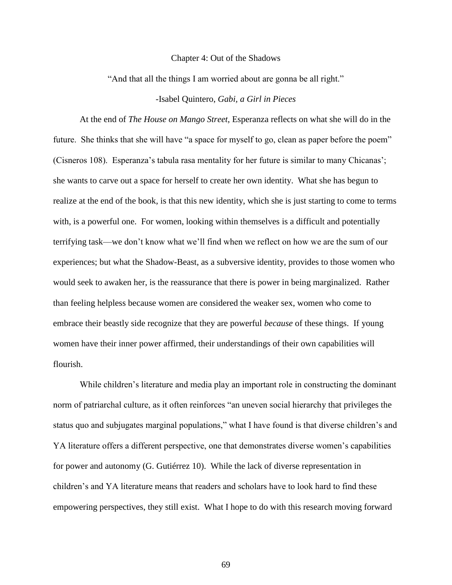#### Chapter 4: Out of the Shadows

"And that all the things I am worried about are gonna be all right."

# -Isabel Quintero, *Gabi, a Girl in Pieces*

At the end of *The House on Mango Street*, Esperanza reflects on what she will do in the future. She thinks that she will have "a space for myself to go, clean as paper before the poem" (Cisneros 108). Esperanza's tabula rasa mentality for her future is similar to many Chicanas'; she wants to carve out a space for herself to create her own identity. What she has begun to realize at the end of the book, is that this new identity, which she is just starting to come to terms with, is a powerful one. For women, looking within themselves is a difficult and potentially terrifying task—we don't know what we'll find when we reflect on how we are the sum of our experiences; but what the Shadow-Beast, as a subversive identity, provides to those women who would seek to awaken her, is the reassurance that there is power in being marginalized. Rather than feeling helpless because women are considered the weaker sex, women who come to embrace their beastly side recognize that they are powerful *because* of these things. If young women have their inner power affirmed, their understandings of their own capabilities will flourish.

While children's literature and media play an important role in constructing the dominant norm of patriarchal culture, as it often reinforces "an uneven social hierarchy that privileges the status quo and subjugates marginal populations," what I have found is that diverse children's and YA literature offers a different perspective, one that demonstrates diverse women's capabilities for power and autonomy (G. Gutiérrez 10). While the lack of diverse representation in children's and YA literature means that readers and scholars have to look hard to find these empowering perspectives, they still exist. What I hope to do with this research moving forward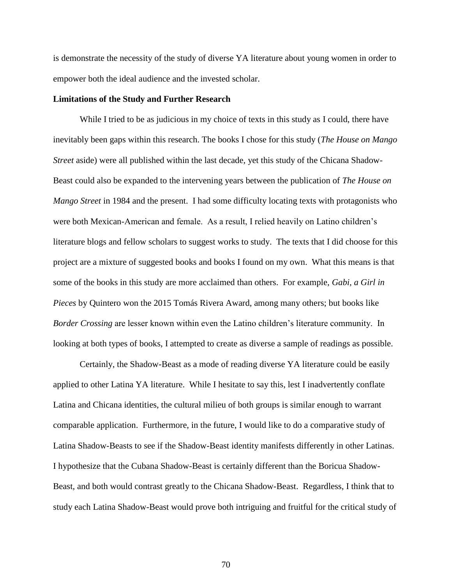is demonstrate the necessity of the study of diverse YA literature about young women in order to empower both the ideal audience and the invested scholar.

## **Limitations of the Study and Further Research**

While I tried to be as judicious in my choice of texts in this study as I could, there have inevitably been gaps within this research. The books I chose for this study (*The House on Mango Street* aside) were all published within the last decade, yet this study of the Chicana Shadow-Beast could also be expanded to the intervening years between the publication of *The House on Mango Street* in 1984 and the present. I had some difficulty locating texts with protagonists who were both Mexican-American and female. As a result, I relied heavily on Latino children's literature blogs and fellow scholars to suggest works to study. The texts that I did choose for this project are a mixture of suggested books and books I found on my own. What this means is that some of the books in this study are more acclaimed than others. For example, *Gabi, a Girl in Pieces* by Quintero won the 2015 Tomás Rivera Award, among many others; but books like *Border Crossing* are lesser known within even the Latino children's literature community. In looking at both types of books, I attempted to create as diverse a sample of readings as possible.

Certainly, the Shadow-Beast as a mode of reading diverse YA literature could be easily applied to other Latina YA literature. While I hesitate to say this, lest I inadvertently conflate Latina and Chicana identities, the cultural milieu of both groups is similar enough to warrant comparable application. Furthermore, in the future, I would like to do a comparative study of Latina Shadow-Beasts to see if the Shadow-Beast identity manifests differently in other Latinas. I hypothesize that the Cubana Shadow-Beast is certainly different than the Boricua Shadow-Beast, and both would contrast greatly to the Chicana Shadow-Beast. Regardless, I think that to study each Latina Shadow-Beast would prove both intriguing and fruitful for the critical study of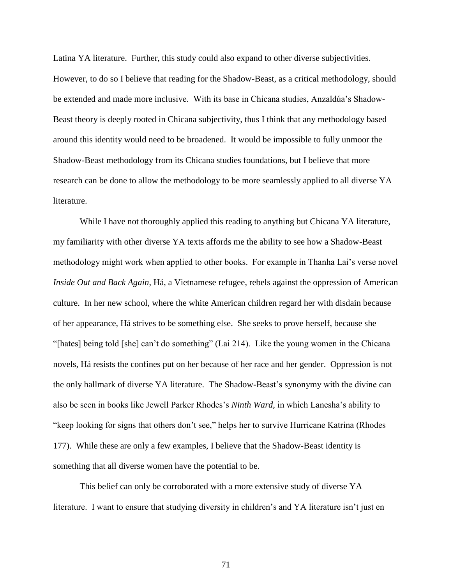Latina YA literature. Further, this study could also expand to other diverse subjectivities. However, to do so I believe that reading for the Shadow-Beast, as a critical methodology, should be extended and made more inclusive. With its base in Chicana studies, Anzaldúa's Shadow-Beast theory is deeply rooted in Chicana subjectivity, thus I think that any methodology based around this identity would need to be broadened. It would be impossible to fully unmoor the Shadow-Beast methodology from its Chicana studies foundations, but I believe that more research can be done to allow the methodology to be more seamlessly applied to all diverse YA literature.

While I have not thoroughly applied this reading to anything but Chicana YA literature, my familiarity with other diverse YA texts affords me the ability to see how a Shadow-Beast methodology might work when applied to other books. For example in Thanha Lai's verse novel *Inside Out and Back Again*, Há, a Vietnamese refugee, rebels against the oppression of American culture. In her new school, where the white American children regard her with disdain because of her appearance, Há strives to be something else. She seeks to prove herself, because she "[hates] being told [she] can't do something" (Lai 214). Like the young women in the Chicana novels, Há resists the confines put on her because of her race and her gender. Oppression is not the only hallmark of diverse YA literature. The Shadow-Beast's synonymy with the divine can also be seen in books like Jewell Parker Rhodes's *Ninth Ward,* in which Lanesha's ability to "keep looking for signs that others don't see," helps her to survive Hurricane Katrina (Rhodes 177). While these are only a few examples, I believe that the Shadow-Beast identity is something that all diverse women have the potential to be.

This belief can only be corroborated with a more extensive study of diverse YA literature. I want to ensure that studying diversity in children's and YA literature isn't just en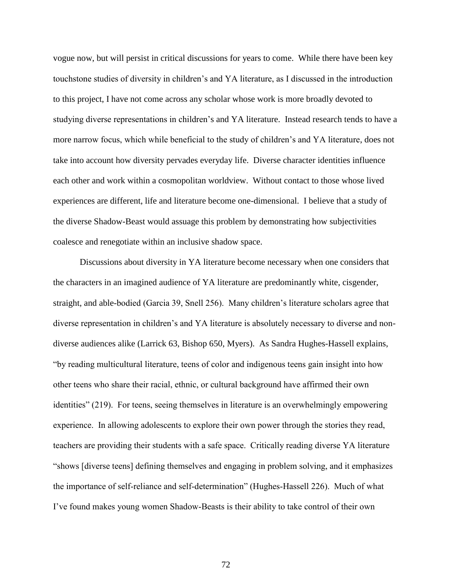vogue now, but will persist in critical discussions for years to come. While there have been key touchstone studies of diversity in children's and YA literature, as I discussed in the introduction to this project, I have not come across any scholar whose work is more broadly devoted to studying diverse representations in children's and YA literature. Instead research tends to have a more narrow focus, which while beneficial to the study of children's and YA literature, does not take into account how diversity pervades everyday life. Diverse character identities influence each other and work within a cosmopolitan worldview. Without contact to those whose lived experiences are different, life and literature become one-dimensional. I believe that a study of the diverse Shadow-Beast would assuage this problem by demonstrating how subjectivities coalesce and renegotiate within an inclusive shadow space.

Discussions about diversity in YA literature become necessary when one considers that the characters in an imagined audience of YA literature are predominantly white, cisgender, straight, and able-bodied (Garcia 39, Snell 256). Many children's literature scholars agree that diverse representation in children's and YA literature is absolutely necessary to diverse and nondiverse audiences alike (Larrick 63, Bishop 650, Myers). As Sandra Hughes-Hassell explains, "by reading multicultural literature, teens of color and indigenous teens gain insight into how other teens who share their racial, ethnic, or cultural background have affirmed their own identities" (219). For teens, seeing themselves in literature is an overwhelmingly empowering experience. In allowing adolescents to explore their own power through the stories they read, teachers are providing their students with a safe space. Critically reading diverse YA literature "shows [diverse teens] defining themselves and engaging in problem solving, and it emphasizes the importance of self-reliance and self-determination" (Hughes-Hassell 226). Much of what I've found makes young women Shadow-Beasts is their ability to take control of their own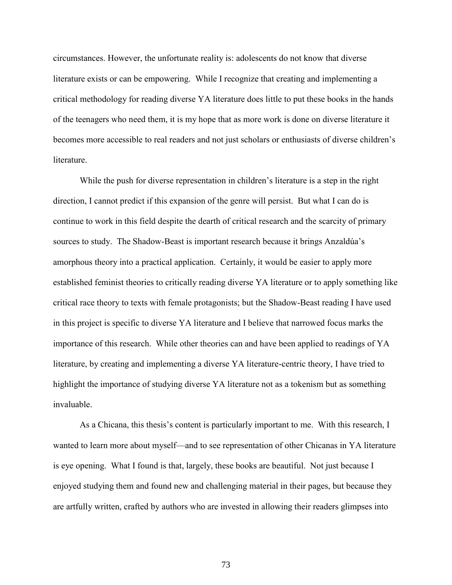circumstances. However, the unfortunate reality is: adolescents do not know that diverse literature exists or can be empowering. While I recognize that creating and implementing a critical methodology for reading diverse YA literature does little to put these books in the hands of the teenagers who need them, it is my hope that as more work is done on diverse literature it becomes more accessible to real readers and not just scholars or enthusiasts of diverse children's literature.

While the push for diverse representation in children's literature is a step in the right direction, I cannot predict if this expansion of the genre will persist. But what I can do is continue to work in this field despite the dearth of critical research and the scarcity of primary sources to study. The Shadow-Beast is important research because it brings Anzaldúa's amorphous theory into a practical application. Certainly, it would be easier to apply more established feminist theories to critically reading diverse YA literature or to apply something like critical race theory to texts with female protagonists; but the Shadow-Beast reading I have used in this project is specific to diverse YA literature and I believe that narrowed focus marks the importance of this research. While other theories can and have been applied to readings of YA literature, by creating and implementing a diverse YA literature-centric theory, I have tried to highlight the importance of studying diverse YA literature not as a tokenism but as something invaluable.

As a Chicana, this thesis's content is particularly important to me. With this research, I wanted to learn more about myself—and to see representation of other Chicanas in YA literature is eye opening. What I found is that, largely, these books are beautiful. Not just because I enjoyed studying them and found new and challenging material in their pages, but because they are artfully written, crafted by authors who are invested in allowing their readers glimpses into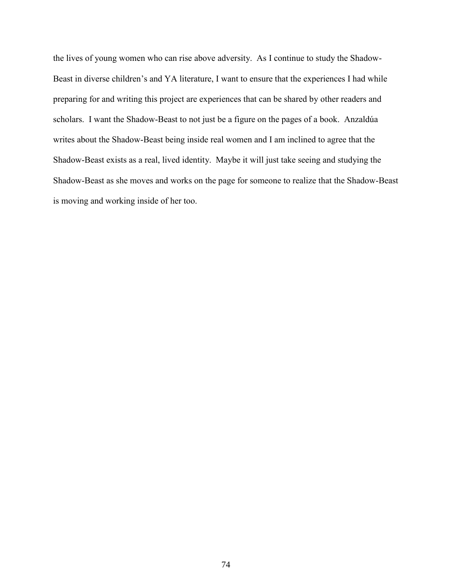the lives of young women who can rise above adversity. As I continue to study the Shadow-Beast in diverse children's and YA literature, I want to ensure that the experiences I had while preparing for and writing this project are experiences that can be shared by other readers and scholars. I want the Shadow-Beast to not just be a figure on the pages of a book. Anzaldúa writes about the Shadow-Beast being inside real women and I am inclined to agree that the Shadow-Beast exists as a real, lived identity. Maybe it will just take seeing and studying the Shadow-Beast as she moves and works on the page for someone to realize that the Shadow-Beast is moving and working inside of her too.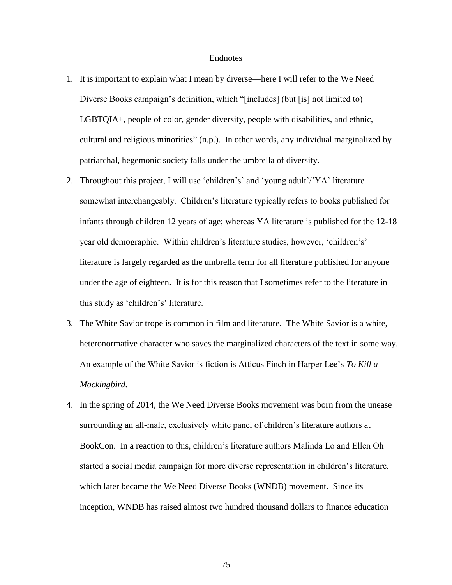## Endnotes

- 1. It is important to explain what I mean by diverse—here I will refer to the We Need Diverse Books campaign's definition, which "[includes] (but [is] not limited to) LGBTQIA+, people of color, gender diversity, people with disabilities, and ethnic, cultural and religious minorities" (n.p.). In other words, any individual marginalized by patriarchal, hegemonic society falls under the umbrella of diversity.
- 2. Throughout this project, I will use 'children's' and 'young adult'/'YA' literature somewhat interchangeably. Children's literature typically refers to books published for infants through children 12 years of age; whereas YA literature is published for the 12-18 year old demographic. Within children's literature studies, however, 'children's' literature is largely regarded as the umbrella term for all literature published for anyone under the age of eighteen. It is for this reason that I sometimes refer to the literature in this study as 'children's' literature.
- 3. The White Savior trope is common in film and literature. The White Savior is a white, heteronormative character who saves the marginalized characters of the text in some way. An example of the White Savior is fiction is Atticus Finch in Harper Lee's *To Kill a Mockingbird.*
- 4. In the spring of 2014, the We Need Diverse Books movement was born from the unease surrounding an all-male, exclusively white panel of children's literature authors at BookCon. In a reaction to this, children's literature authors Malinda Lo and Ellen Oh started a social media campaign for more diverse representation in children's literature, which later became the We Need Diverse Books (WNDB) movement. Since its inception, WNDB has raised almost two hundred thousand dollars to finance education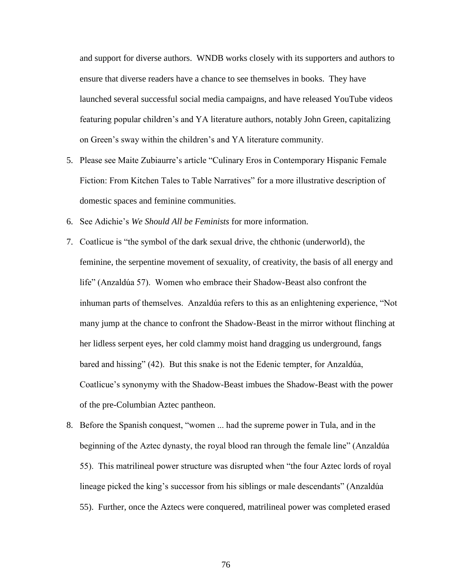and support for diverse authors. WNDB works closely with its supporters and authors to ensure that diverse readers have a chance to see themselves in books. They have launched several successful social media campaigns, and have released YouTube videos featuring popular children's and YA literature authors, notably John Green, capitalizing on Green's sway within the children's and YA literature community.

- 5. Please see Maite Zubiaurre's article "Culinary Eros in Contemporary Hispanic Female Fiction: From Kitchen Tales to Table Narratives" for a more illustrative description of domestic spaces and feminine communities.
- 6. See Adichie's *We Should All be Feminists* for more information.
- 7. Coatlicue is "the symbol of the dark sexual drive, the chthonic (underworld), the feminine, the serpentine movement of sexuality, of creativity, the basis of all energy and life" (Anzaldúa 57). Women who embrace their Shadow-Beast also confront the inhuman parts of themselves. Anzaldúa refers to this as an enlightening experience, "Not many jump at the chance to confront the Shadow-Beast in the mirror without flinching at her lidless serpent eyes, her cold clammy moist hand dragging us underground, fangs bared and hissing" (42). But this snake is not the Edenic tempter, for Anzaldúa, Coatlicue's synonymy with the Shadow-Beast imbues the Shadow-Beast with the power of the pre-Columbian Aztec pantheon.
- 8. Before the Spanish conquest, "women ... had the supreme power in Tula, and in the beginning of the Aztec dynasty, the royal blood ran through the female line" (Anzaldúa 55). This matrilineal power structure was disrupted when "the four Aztec lords of royal lineage picked the king's successor from his siblings or male descendants" (Anzaldúa 55). Further, once the Aztecs were conquered, matrilineal power was completed erased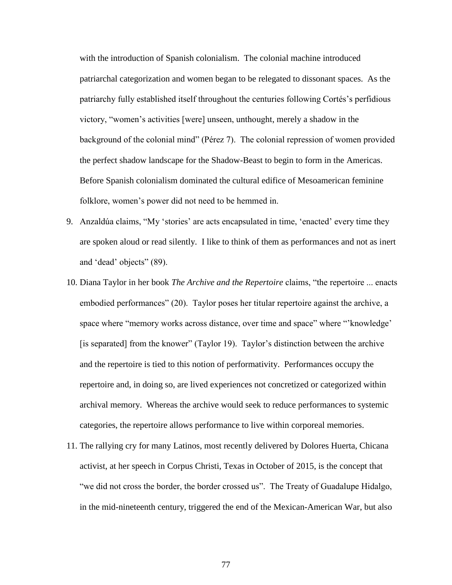with the introduction of Spanish colonialism. The colonial machine introduced patriarchal categorization and women began to be relegated to dissonant spaces. As the patriarchy fully established itself throughout the centuries following Cortés's perfidious victory, "women's activities [were] unseen, unthought, merely a shadow in the background of the colonial mind" (Pérez 7). The colonial repression of women provided the perfect shadow landscape for the Shadow-Beast to begin to form in the Americas. Before Spanish colonialism dominated the cultural edifice of Mesoamerican feminine folklore, women's power did not need to be hemmed in.

- 9. Anzaldúa claims, "My 'stories' are acts encapsulated in time, 'enacted' every time they are spoken aloud or read silently. I like to think of them as performances and not as inert and 'dead' objects" (89).
- 10. Diana Taylor in her book *The Archive and the Repertoire* claims, "the repertoire ... enacts embodied performances" (20). Taylor poses her titular repertoire against the archive, a space where "memory works across distance, over time and space" where "'knowledge' [is separated] from the knower" (Taylor 19). Taylor's distinction between the archive and the repertoire is tied to this notion of performativity. Performances occupy the repertoire and, in doing so, are lived experiences not concretized or categorized within archival memory. Whereas the archive would seek to reduce performances to systemic categories, the repertoire allows performance to live within corporeal memories.
- 11. The rallying cry for many Latinos, most recently delivered by Dolores Huerta, Chicana activist, at her speech in Corpus Christi, Texas in October of 2015, is the concept that "we did not cross the border, the border crossed us". The Treaty of Guadalupe Hidalgo, in the mid-nineteenth century, triggered the end of the Mexican-American War, but also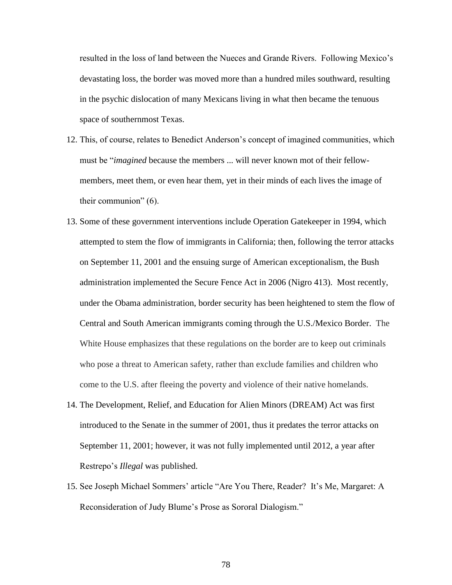resulted in the loss of land between the Nueces and Grande Rivers. Following Mexico's devastating loss, the border was moved more than a hundred miles southward, resulting in the psychic dislocation of many Mexicans living in what then became the tenuous space of southernmost Texas.

- 12. This, of course, relates to Benedict Anderson's concept of imagined communities, which must be "*imagined* because the members ... will never known mot of their fellowmembers, meet them, or even hear them, yet in their minds of each lives the image of their communion" (6).
- 13. Some of these government interventions include Operation Gatekeeper in 1994, which attempted to stem the flow of immigrants in California; then, following the terror attacks on September 11, 2001 and the ensuing surge of American exceptionalism, the Bush administration implemented the Secure Fence Act in 2006 (Nigro 413). Most recently, under the Obama administration, border security has been heightened to stem the flow of Central and South American immigrants coming through the U.S./Mexico Border. The White House emphasizes that these regulations on the border are to keep out criminals who pose a threat to American safety, rather than exclude families and children who come to the U.S. after fleeing the poverty and violence of their native homelands.
- 14. The Development, Relief, and Education for Alien Minors (DREAM) Act was first introduced to the Senate in the summer of 2001, thus it predates the terror attacks on September 11, 2001; however, it was not fully implemented until 2012, a year after Restrepo's *Illegal* was published.
- 15. See Joseph Michael Sommers' article "Are You There, Reader? It's Me, Margaret: A Reconsideration of Judy Blume's Prose as Sororal Dialogism."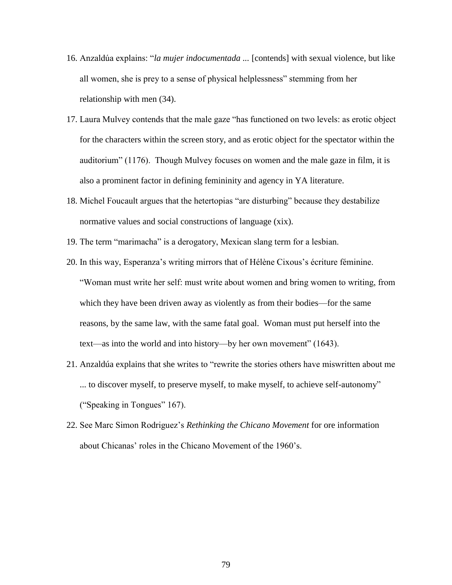- 16. Anzaldúa explains: "*la mujer indocumentada ...* [contends] with sexual violence, but like all women, she is prey to a sense of physical helplessness" stemming from her relationship with men (34).
- 17. Laura Mulvey contends that the male gaze "has functioned on two levels: as erotic object for the characters within the screen story, and as erotic object for the spectator within the auditorium" (1176). Though Mulvey focuses on women and the male gaze in film, it is also a prominent factor in defining femininity and agency in YA literature.
- 18. Michel Foucault argues that the hetertopias "are disturbing" because they destabilize normative values and social constructions of language (xix).
- 19. The term "marimacha" is a derogatory, Mexican slang term for a lesbian.
- 20. In this way, Esperanza's writing mirrors that of Hélène Cixous's écriture féminine. "Woman must write her self: must write about women and bring women to writing, from which they have been driven away as violently as from their bodies—for the same reasons, by the same law, with the same fatal goal. Woman must put herself into the text—as into the world and into history—by her own movement" (1643).
- 21. Anzaldúa explains that she writes to "rewrite the stories others have miswritten about me ... to discover myself, to preserve myself, to make myself, to achieve self-autonomy" ("Speaking in Tongues" 167).
- 22. See Marc Simon Rodriguez's *Rethinking the Chicano Movement* for ore information about Chicanas' roles in the Chicano Movement of the 1960's.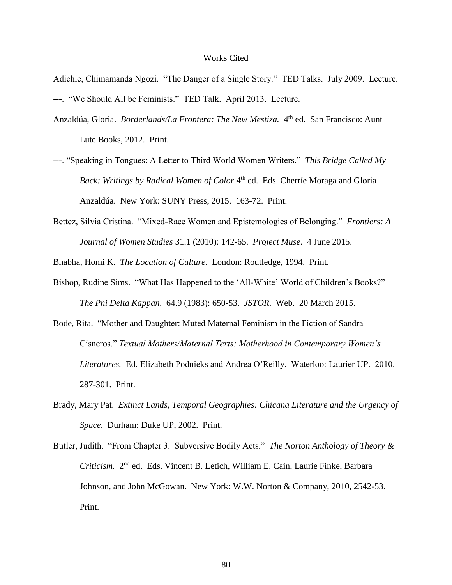## Works Cited

- Adichie, Chimamanda Ngozi. "The Danger of a Single Story." TED Talks. July 2009. Lecture. ---. "We Should All be Feminists." TED Talk. April 2013. Lecture.
- Anzaldúa, Gloria. *Borderlands/La Frontera: The New Mestiza*. 4<sup>th</sup> ed. San Francisco: Aunt Lute Books, 2012. Print.
- ---. "Speaking in Tongues: A Letter to Third World Women Writers." *This Bridge Called My*  Back: Writings by Radical Women of Color 4<sup>th</sup> ed. Eds. Cherríe Moraga and Gloria Anzaldúa. New York: SUNY Press, 2015. 163-72. Print.
- Bettez, Silvia Cristina. "Mixed-Race Women and Epistemologies of Belonging." *Frontiers: A Journal of Women Studies* 31.1 (2010): 142-65. *Project Muse*. 4 June 2015.

Bhabha, Homi K. *The Location of Culture*. London: Routledge, 1994. Print.

- Bishop, Rudine Sims. "What Has Happened to the 'All-White' World of Children's Books?" *The Phi Delta Kappan*. 64.9 (1983): 650-53. *JSTOR*. Web. 20 March 2015.
- Bode, Rita. "Mother and Daughter: Muted Maternal Feminism in the Fiction of Sandra Cisneros." *Textual Mothers/Maternal Texts: Motherhood in Contemporary Women's Literatures.* Ed. Elizabeth Podnieks and Andrea O'Reilly. Waterloo: Laurier UP. 2010. 287-301. Print.
- Brady, Mary Pat. *Extinct Lands, Temporal Geographies: Chicana Literature and the Urgency of Space*. Durham: Duke UP, 2002. Print.
- Butler, Judith. "From Chapter 3. Subversive Bodily Acts." *The Norton Anthology of Theory &*  Criticism. 2<sup>nd</sup> ed. Eds. Vincent B. Letich, William E. Cain, Laurie Finke, Barbara Johnson, and John McGowan. New York: W.W. Norton & Company, 2010, 2542-53. Print.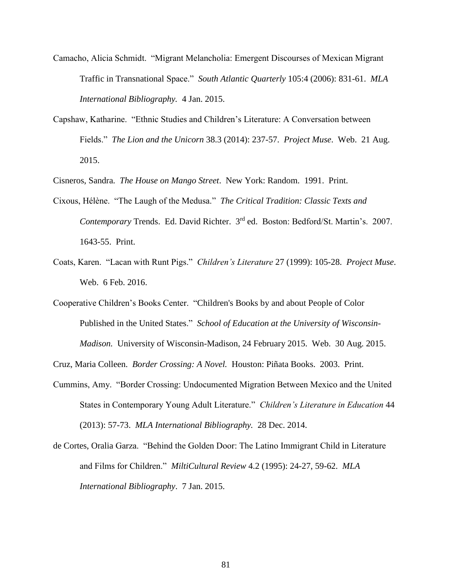- Camacho, Alicia Schmidt. "Migrant Melancholia: Emergent Discourses of Mexican Migrant Traffic in Transnational Space." *South Atlantic Quarterly* 105:4 (2006): 831-61. *MLA International Bibliography.* 4 Jan. 2015.
- Capshaw, Katharine. "Ethnic Studies and Children's Literature: A Conversation between Fields." *The Lion and the Unicorn* 38.3 (2014): 237-57. *Project Muse*. Web. 21 Aug. 2015.

Cisneros, Sandra. *The House on Mango Street*. New York: Random. 1991. Print.

- Cixous, Hélène. "The Laugh of the Medusa." *The Critical Tradition: Classic Texts and Contemporary* Trends. Ed. David Richter. 3rd ed. Boston: Bedford/St. Martin's. 2007. 1643-55. Print.
- Coats, Karen. "Lacan with Runt Pigs." *Children's Literature* 27 (1999): 105-28. *Project Muse*. Web. 6 Feb. 2016.
- Cooperative Children's Books Center. "Children's Books by and about People of Color Published in the United States." *School of Education at the University of Wisconsin-Madison.* University of Wisconsin-Madison, 24 February 2015. Web. 30 Aug. 2015.

Cruz, Maria Colleen. *Border Crossing: A Novel.* Houston: Piñata Books. 2003. Print.

- Cummins, Amy. "Border Crossing: Undocumented Migration Between Mexico and the United States in Contemporary Young Adult Literature." *Children's Literature in Education* 44 (2013): 57-73. *MLA International Bibliography.* 28 Dec. 2014.
- de Cortes, Oralia Garza. "Behind the Golden Door: The Latino Immigrant Child in Literature and Films for Children." *MiltiCultural Review* 4.2 (1995): 24-27, 59-62. *MLA International Bibliography*. 7 Jan. 2015.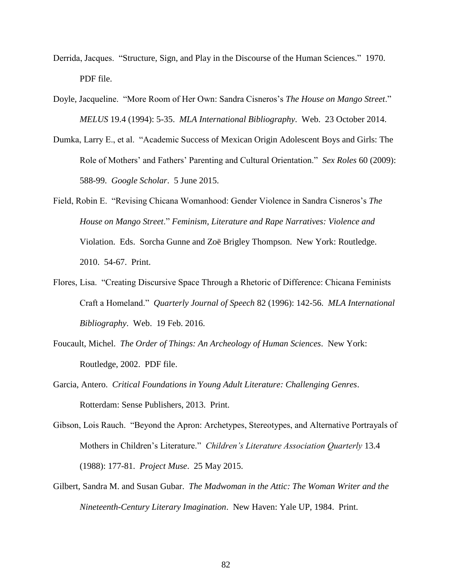- Derrida, Jacques. "Structure, Sign, and Play in the Discourse of the Human Sciences." 1970. PDF file.
- Doyle, Jacqueline. "More Room of Her Own: Sandra Cisneros's *The House on Mango Street*." *MELUS* 19.4 (1994): 5-35. *MLA International Bibliography*. Web. 23 October 2014.
- Dumka, Larry E., et al. "Academic Success of Mexican Origin Adolescent Boys and Girls: The Role of Mothers' and Fathers' Parenting and Cultural Orientation." *Sex Roles* 60 (2009): 588-99. *Google Scholar*. 5 June 2015.
- Field, Robin E. "Revising Chicana Womanhood: Gender Violence in Sandra Cisneros's *The House on Mango Street*." *Feminism, Literature and Rape Narratives: Violence and*  Violation. Eds. Sorcha Gunne and Zoë Brigley Thompson. New York: Routledge. 2010. 54-67. Print.
- Flores, Lisa. "Creating Discursive Space Through a Rhetoric of Difference: Chicana Feminists Craft a Homeland." *Quarterly Journal of Speech* 82 (1996): 142-56. *MLA International Bibliography*. Web. 19 Feb. 2016.
- Foucault, Michel. *The Order of Things: An Archeology of Human Sciences*. New York: Routledge, 2002. PDF file.
- Garcia, Antero. *Critical Foundations in Young Adult Literature: Challenging Genres*. Rotterdam: Sense Publishers, 2013. Print.
- Gibson, Lois Rauch. "Beyond the Apron: Archetypes, Stereotypes, and Alternative Portrayals of Mothers in Children's Literature." *Children's Literature Association Quarterly* 13.4 (1988): 177-81. *Project Muse*. 25 May 2015.
- Gilbert, Sandra M. and Susan Gubar. *The Madwoman in the Attic: The Woman Writer and the Nineteenth-Century Literary Imagination*. New Haven: Yale UP, 1984. Print.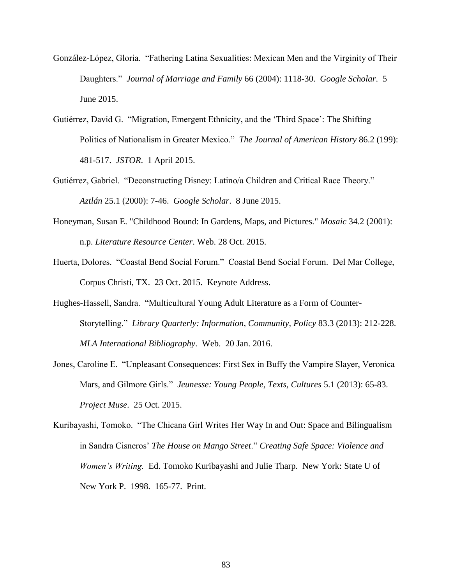- González-López, Gloria. "Fathering Latina Sexualities: Mexican Men and the Virginity of Their Daughters." *Journal of Marriage and Family* 66 (2004): 1118-30. *Google Scholar*. 5 June 2015.
- Gutiérrez, David G. "Migration, Emergent Ethnicity, and the 'Third Space': The Shifting Politics of Nationalism in Greater Mexico." *The Journal of American History* 86.2 (199): 481-517. *JSTOR*. 1 April 2015.
- Gutiérrez, Gabriel. "Deconstructing Disney: Latino/a Children and Critical Race Theory." *Aztlán* 25.1 (2000): 7-46. *Google Scholar*. 8 June 2015.
- Honeyman, Susan E. "Childhood Bound: In Gardens, Maps, and Pictures." *Mosaic* 34.2 (2001): n.p. *Literature Resource Center*. Web. 28 Oct. 2015.
- Huerta, Dolores. "Coastal Bend Social Forum." Coastal Bend Social Forum. Del Mar College, Corpus Christi, TX. 23 Oct. 2015. Keynote Address.
- Hughes-Hassell, Sandra. "Multicultural Young Adult Literature as a Form of Counter-Storytelling." *Library Quarterly: Information, Community, Policy* 83.3 (2013): 212-228. *MLA International Bibliography*. Web. 20 Jan. 2016.
- Jones, Caroline E. "Unpleasant Consequences: First Sex in Buffy the Vampire Slayer, Veronica Mars, and Gilmore Girls." *Jeunesse: Young People, Texts, Cultures* 5.1 (2013): 65-83. *Project Muse*. 25 Oct. 2015.
- Kuribayashi, Tomoko. "The Chicana Girl Writes Her Way In and Out: Space and Bilingualism in Sandra Cisneros' *The House on Mango Street*." *Creating Safe Space: Violence and Women's Writing.* Ed. Tomoko Kuribayashi and Julie Tharp. New York: State U of New York P. 1998. 165-77. Print.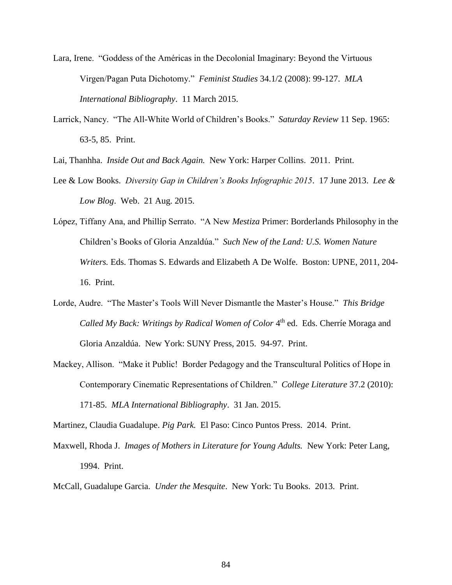- Lara, Irene. "Goddess of the Américas in the Decolonial Imaginary: Beyond the Virtuous Virgen/Pagan Puta Dichotomy." *Feminist Studies* 34.1/2 (2008): 99-127. *MLA International Bibliography*. 11 March 2015.
- Larrick, Nancy. "The All-White World of Children's Books." *Saturday Review* 11 Sep. 1965: 63-5, 85. Print.

Lai, Thanhha. *Inside Out and Back Again.* New York: Harper Collins. 2011. Print.

- Lee & Low Books. *Diversity Gap in Children's Books Infographic 2015*. 17 June 2013. *Lee & Low Blog*. Web. 21 Aug. 2015.
- López, Tiffany Ana, and Phillip Serrato. "A New *Mestiza* Primer: Borderlands Philosophy in the Children's Books of Gloria Anzaldúa." *Such New of the Land: U.S. Women Nature Writers.* Eds. Thomas S. Edwards and Elizabeth A De Wolfe. Boston: UPNE, 2011, 204- 16. Print.
- Lorde, Audre. "The Master's Tools Will Never Dismantle the Master's House." *This Bridge*  Called My Back: Writings by Radical Women of Color 4<sup>th</sup> ed. Eds. Cherríe Moraga and Gloria Anzaldúa. New York: SUNY Press, 2015. 94-97. Print.
- Mackey, Allison. "Make it Public! Border Pedagogy and the Transcultural Politics of Hope in Contemporary Cinematic Representations of Children." *College Literature* 37.2 (2010): 171-85. *MLA International Bibliography*. 31 Jan. 2015.

Martinez, Claudia Guadalupe. *Pig Park.* El Paso: Cinco Puntos Press. 2014. Print.

- Maxwell, Rhoda J. *Images of Mothers in Literature for Young Adults.* New York: Peter Lang, 1994. Print.
- McCall, Guadalupe Garcia. *Under the Mesquite*. New York: Tu Books. 2013. Print.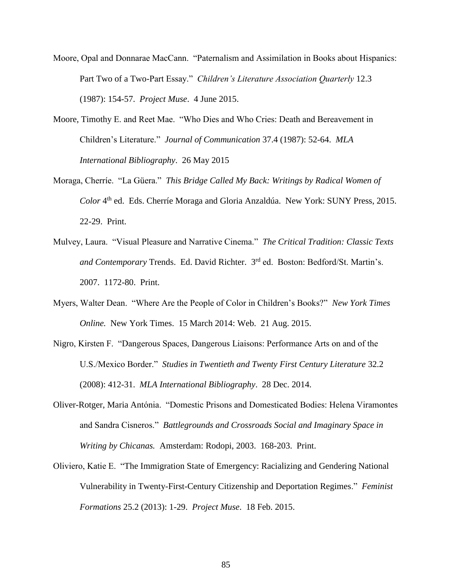- Moore, Opal and Donnarae MacCann. "Paternalism and Assimilation in Books about Hispanics: Part Two of a Two-Part Essay." *Children's Literature Association Quarterly* 12.3 (1987): 154-57. *Project Muse*. 4 June 2015.
- Moore, Timothy E. and Reet Mae. "Who Dies and Who Cries: Death and Bereavement in Children's Literature." *Journal of Communication* 37.4 (1987): 52-64. *MLA International Bibliography*. 26 May 2015
- Moraga, Cherríe. "La Güera." *This Bridge Called My Back: Writings by Radical Women of*  Color <sup>4th</sup> ed. Eds. Cherríe Moraga and Gloria Anzaldúa. New York: SUNY Press, 2015. 22-29. Print.
- Mulvey, Laura. "Visual Pleasure and Narrative Cinema." *The Critical Tradition: Classic Texts and Contemporary* Trends. Ed. David Richter. 3rd ed. Boston: Bedford/St. Martin's. 2007. 1172-80. Print.
- Myers, Walter Dean. "Where Are the People of Color in Children's Books?" *New York Times Online.* New York Times. 15 March 2014: Web. 21 Aug. 2015.
- Nigro, Kirsten F. "Dangerous Spaces, Dangerous Liaisons: Performance Arts on and of the U.S./Mexico Border." *Studies in Twentieth and Twenty First Century Literature* 32.2 (2008): 412-31. *MLA International Bibliography*. 28 Dec. 2014.
- Oliver-Rotger, Maria Antónia. "Domestic Prisons and Domesticated Bodies: Helena Viramontes and Sandra Cisneros." *Battlegrounds and Crossroads Social and Imaginary Space in Writing by Chicanas.* Amsterdam: Rodopi, 2003. 168-203. Print.
- Oliviero, Katie E. "The Immigration State of Emergency: Racializing and Gendering National Vulnerability in Twenty-First-Century Citizenship and Deportation Regimes." *Feminist Formations* 25.2 (2013): 1-29. *Project Muse*. 18 Feb. 2015.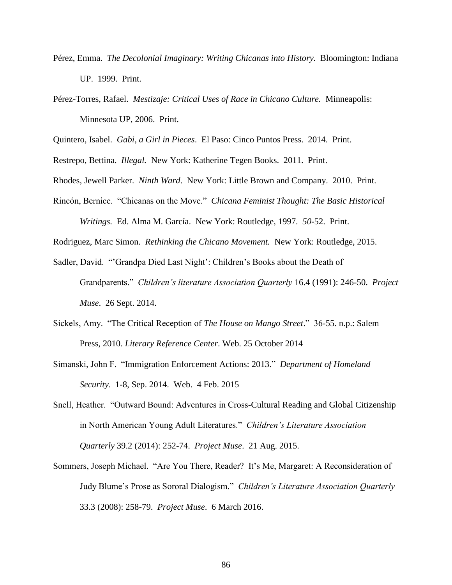- Pérez, Emma. *The Decolonial Imaginary: Writing Chicanas into History.* Bloomington: Indiana UP. 1999. Print.
- Pérez-Torres, Rafael. *Mestizaje: Critical Uses of Race in Chicano Culture.* Minneapolis: Minnesota UP, 2006. Print.

Quintero, Isabel. *Gabi, a Girl in Pieces*. El Paso: Cinco Puntos Press. 2014. Print.

Restrepo, Bettina. *Illegal.* New York: Katherine Tegen Books. 2011. Print.

Rhodes, Jewell Parker. *Ninth Ward*. New York: Little Brown and Company. 2010. Print.

Rincón, Bernice. "Chicanas on the Move." *Chicana Feminist Thought: The Basic Historical Writings.* Ed. Alma M. García. New York: Routledge, 1997. *50*-52. Print.

Rodriguez, Marc Simon. *Rethinking the Chicano Movement.* New York: Routledge, 2015.

- Sadler, David. "'Grandpa Died Last Night': Children's Books about the Death of Grandparents." *Children's literature Association Quarterly* 16.4 (1991): 246-50. *Project Muse*. 26 Sept. 2014.
- Sickels, Amy. "The Critical Reception of *The House on Mango Street*." 36-55. n.p.: Salem Press, 2010. *Literary Reference Center*. Web. 25 October 2014
- Simanski, John F. "Immigration Enforcement Actions: 2013." *Department of Homeland Security*. 1-8, Sep. 2014. Web. 4 Feb. 2015
- Snell, Heather. "Outward Bound: Adventures in Cross-Cultural Reading and Global Citizenship in North American Young Adult Literatures." *Children's Literature Association Quarterly* 39.2 (2014): 252-74. *Project Muse*. 21 Aug. 2015.
- Sommers, Joseph Michael. "Are You There, Reader? It's Me, Margaret: A Reconsideration of Judy Blume's Prose as Sororal Dialogism." *Children's Literature Association Quarterly* 33.3 (2008): 258-79. *Project Muse*. 6 March 2016.